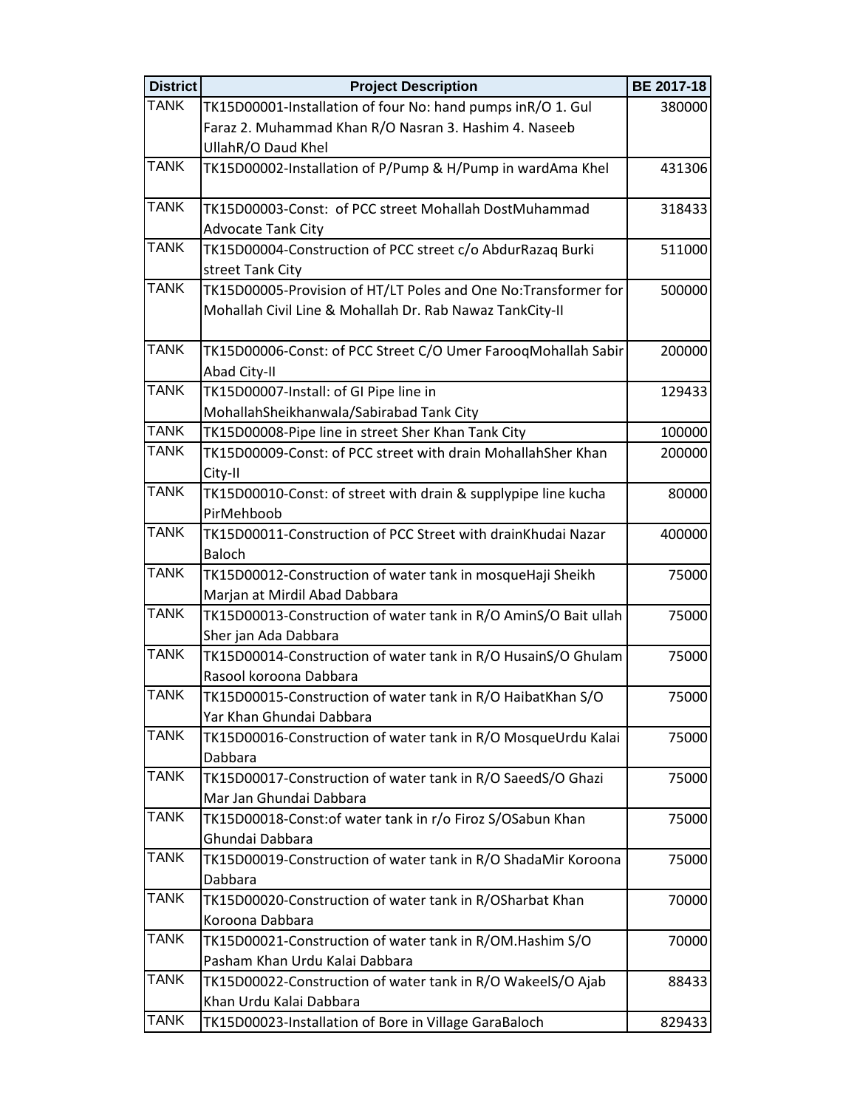| <b>District</b> | <b>Project Description</b>                                                                | <b>BE 2017-18</b> |
|-----------------|-------------------------------------------------------------------------------------------|-------------------|
| <b>TANK</b>     | TK15D00001-Installation of four No: hand pumps inR/O 1. Gul                               | 380000            |
|                 | Faraz 2. Muhammad Khan R/O Nasran 3. Hashim 4. Naseeb                                     |                   |
|                 | UllahR/O Daud Khel                                                                        |                   |
| <b>TANK</b>     | TK15D00002-Installation of P/Pump & H/Pump in wardAma Khel                                | 431306            |
|                 |                                                                                           |                   |
| <b>TANK</b>     | TK15D00003-Const: of PCC street Mohallah DostMuhammad                                     | 318433            |
|                 | <b>Advocate Tank City</b>                                                                 |                   |
| <b>TANK</b>     | TK15D00004-Construction of PCC street c/o AbdurRazaq Burki                                | 511000            |
|                 | street Tank City                                                                          |                   |
| <b>TANK</b>     | TK15D00005-Provision of HT/LT Poles and One No:Transformer for                            | 500000            |
|                 | Mohallah Civil Line & Mohallah Dr. Rab Nawaz TankCity-II                                  |                   |
|                 |                                                                                           |                   |
| <b>TANK</b>     | TK15D00006-Const: of PCC Street C/O Umer FarooqMohallah Sabir                             | 200000            |
|                 | Abad City-II                                                                              |                   |
| <b>TANK</b>     | TK15D00007-Install: of GI Pipe line in                                                    | 129433            |
|                 | MohallahSheikhanwala/Sabirabad Tank City                                                  |                   |
| <b>TANK</b>     | TK15D00008-Pipe line in street Sher Khan Tank City                                        | 100000            |
| <b>TANK</b>     | TK15D00009-Const: of PCC street with drain MohallahSher Khan                              | 200000            |
|                 | City-II                                                                                   |                   |
| <b>TANK</b>     | TK15D00010-Const: of street with drain & supplypipe line kucha                            | 80000             |
|                 | PirMehboob                                                                                |                   |
| <b>TANK</b>     | TK15D00011-Construction of PCC Street with drainKhudai Nazar                              | 400000            |
|                 | <b>Baloch</b>                                                                             |                   |
| <b>TANK</b>     | TK15D00012-Construction of water tank in mosqueHaji Sheikh                                | 75000             |
|                 | Marjan at Mirdil Abad Dabbara                                                             |                   |
| <b>TANK</b>     | TK15D00013-Construction of water tank in R/O AminS/O Bait ullah                           | 75000             |
| <b>TANK</b>     | Sher jan Ada Dabbara                                                                      |                   |
|                 | TK15D00014-Construction of water tank in R/O HusainS/O Ghulam                             | 75000             |
| <b>TANK</b>     | Rasool koroona Dabbara                                                                    |                   |
|                 | TK15D00015-Construction of water tank in R/O HaibatKhan S/O                               | 75000             |
| <b>TANK</b>     | Yar Khan Ghundai Dabbara<br>TK15D00016-Construction of water tank in R/O MosqueUrdu Kalai | 75000             |
|                 | Dabbara                                                                                   |                   |
| <b>TANK</b>     | TK15D00017-Construction of water tank in R/O SaeedS/O Ghazi                               | 75000             |
|                 | Mar Jan Ghundai Dabbara                                                                   |                   |
| <b>TANK</b>     | TK15D00018-Const: of water tank in r/o Firoz S/OSabun Khan                                | 75000             |
|                 | Ghundai Dabbara                                                                           |                   |
| <b>TANK</b>     | TK15D00019-Construction of water tank in R/O ShadaMir Koroona                             | 75000             |
|                 | Dabbara                                                                                   |                   |
| <b>TANK</b>     | TK15D00020-Construction of water tank in R/OSharbat Khan                                  | 70000             |
|                 | Koroona Dabbara                                                                           |                   |
| <b>TANK</b>     | TK15D00021-Construction of water tank in R/OM.Hashim S/O                                  | 70000             |
|                 | Pasham Khan Urdu Kalai Dabbara                                                            |                   |
| <b>TANK</b>     | TK15D00022-Construction of water tank in R/O WakeelS/O Ajab                               | 88433             |
|                 | Khan Urdu Kalai Dabbara                                                                   |                   |
| <b>TANK</b>     | TK15D00023-Installation of Bore in Village GaraBaloch                                     | 829433            |
|                 |                                                                                           |                   |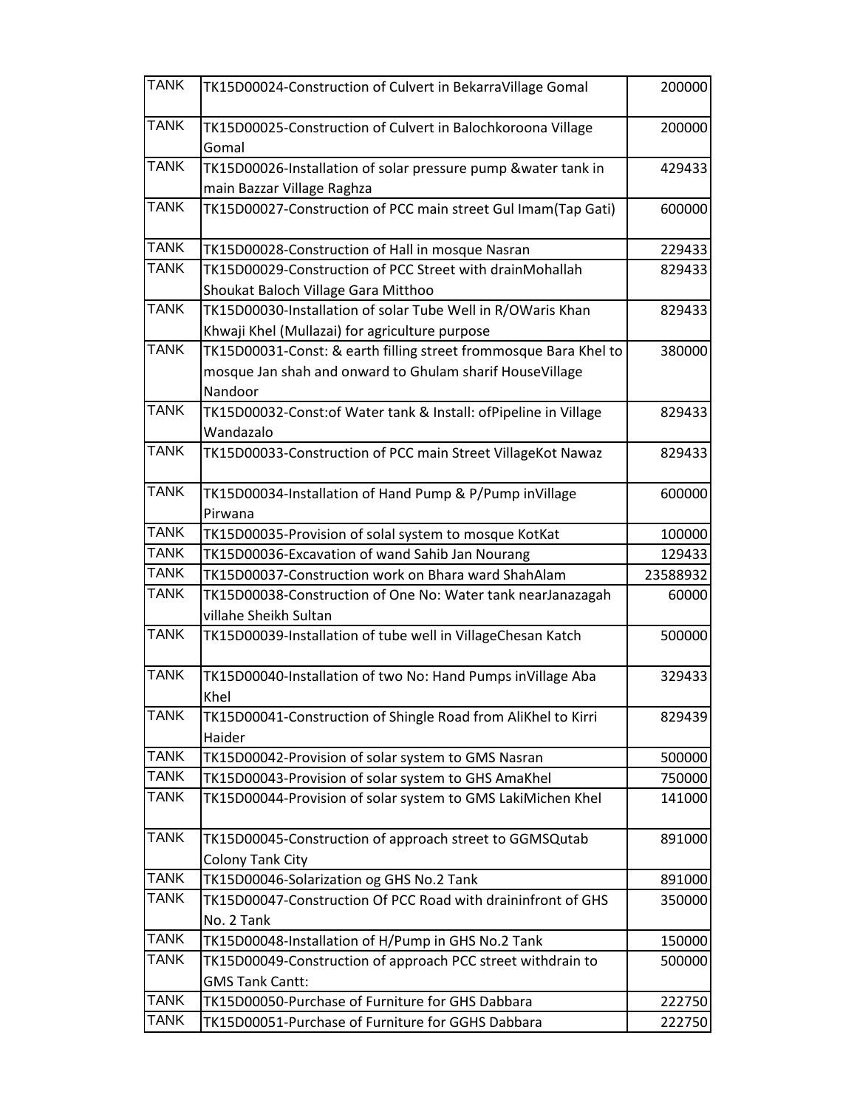| <b>TANK</b> | TK15D00024-Construction of Culvert in BekarraVillage Gomal           | 200000   |
|-------------|----------------------------------------------------------------------|----------|
| <b>TANK</b> | TK15D00025-Construction of Culvert in Balochkoroona Village<br>Gomal | 200000   |
| <b>TANK</b> | TK15D00026-Installation of solar pressure pump &water tank in        | 429433   |
|             | main Bazzar Village Raghza                                           |          |
| <b>TANK</b> | TK15D00027-Construction of PCC main street Gul Imam(Tap Gati)        | 600000   |
| <b>TANK</b> | TK15D00028-Construction of Hall in mosque Nasran                     | 229433   |
| <b>TANK</b> | TK15D00029-Construction of PCC Street with drainMohallah             | 829433   |
|             | Shoukat Baloch Village Gara Mitthoo                                  |          |
| <b>TANK</b> | TK15D00030-Installation of solar Tube Well in R/OWaris Khan          | 829433   |
|             | Khwaji Khel (Mullazai) for agriculture purpose                       |          |
| <b>TANK</b> | TK15D00031-Const: & earth filling street frommosque Bara Khel to     | 380000   |
|             | mosque Jan shah and onward to Ghulam sharif HouseVillage             |          |
|             | Nandoor                                                              |          |
| <b>TANK</b> | TK15D00032-Const: of Water tank & Install: of Pipeline in Village    | 829433   |
|             | Wandazalo                                                            |          |
| <b>TANK</b> | TK15D00033-Construction of PCC main Street VillageKot Nawaz          | 829433   |
| <b>TANK</b> | TK15D00034-Installation of Hand Pump & P/Pump inVillage              | 600000   |
|             | Pirwana                                                              |          |
| <b>TANK</b> | TK15D00035-Provision of solal system to mosque KotKat                | 100000   |
| <b>TANK</b> | TK15D00036-Excavation of wand Sahib Jan Nourang                      | 129433   |
| <b>TANK</b> | TK15D00037-Construction work on Bhara ward ShahAlam                  | 23588932 |
|             |                                                                      |          |
| <b>TANK</b> | TK15D00038-Construction of One No: Water tank nearJanazagah          | 60000    |
|             | villahe Sheikh Sultan                                                |          |
| <b>TANK</b> | TK15D00039-Installation of tube well in VillageChesan Katch          | 500000   |
| <b>TANK</b> | TK15D00040-Installation of two No: Hand Pumps inVillage Aba          | 329433   |
|             | Khel                                                                 |          |
| <b>TANK</b> | TK15D00041-Construction of Shingle Road from AliKhel to Kirri        | 829439   |
|             | Haider                                                               |          |
| <b>TANK</b> | TK15D00042-Provision of solar system to GMS Nasran                   | 500000   |
| <b>TANK</b> | TK15D00043-Provision of solar system to GHS AmaKhel                  | 750000   |
| <b>TANK</b> | TK15D00044-Provision of solar system to GMS LakiMichen Khel          | 141000   |
| <b>TANK</b> | TK15D00045-Construction of approach street to GGMSQutab              | 891000   |
|             | Colony Tank City                                                     |          |
| <b>TANK</b> | TK15D00046-Solarization og GHS No.2 Tank                             | 891000   |
| <b>TANK</b> | TK15D00047-Construction Of PCC Road with draininfront of GHS         | 350000   |
|             | No. 2 Tank                                                           |          |
| <b>TANK</b> | TK15D00048-Installation of H/Pump in GHS No.2 Tank                   | 150000   |
| <b>TANK</b> | TK15D00049-Construction of approach PCC street withdrain to          | 500000   |
|             | <b>GMS Tank Cantt:</b>                                               |          |
| <b>TANK</b> | TK15D00050-Purchase of Furniture for GHS Dabbara                     | 222750   |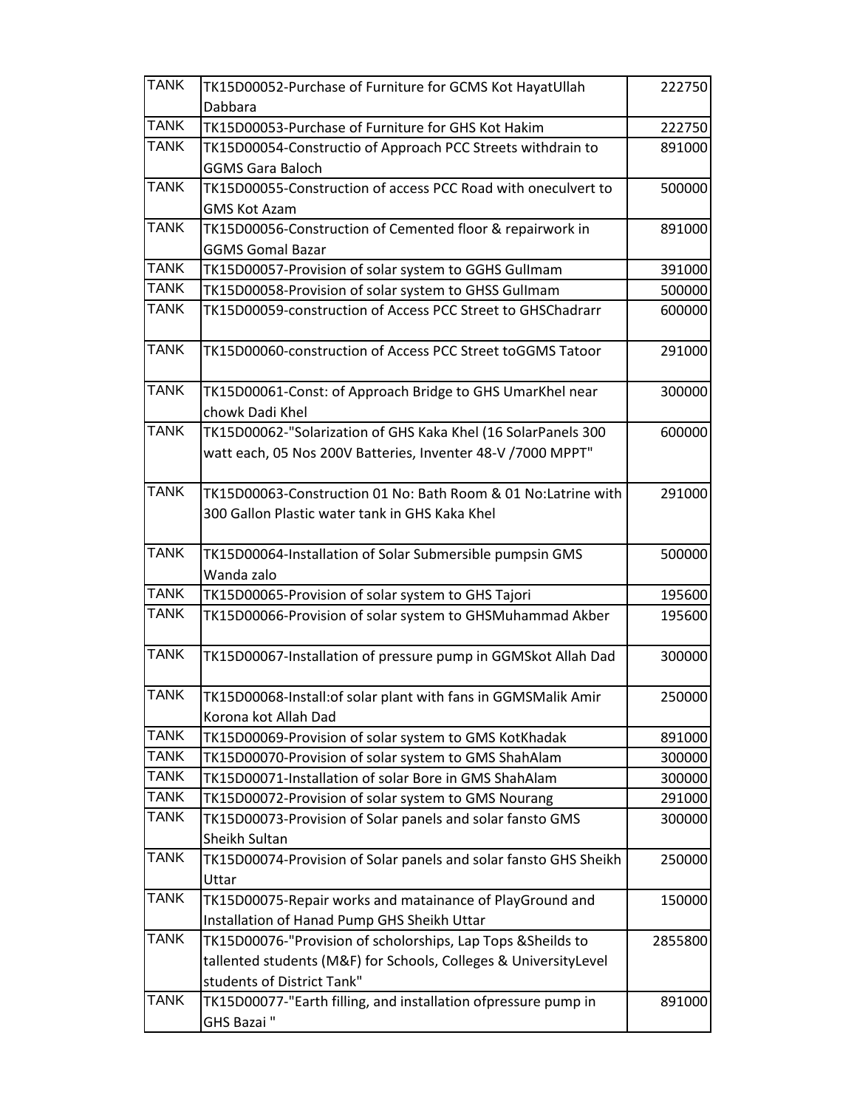| <b>TANK</b> | TK15D00052-Purchase of Furniture for GCMS Kot HayatUllah         | 222750  |
|-------------|------------------------------------------------------------------|---------|
|             | Dabbara                                                          |         |
| <b>TANK</b> | TK15D00053-Purchase of Furniture for GHS Kot Hakim               | 222750  |
| <b>TANK</b> | TK15D00054-Constructio of Approach PCC Streets withdrain to      | 891000  |
|             | <b>GGMS Gara Baloch</b>                                          |         |
| <b>TANK</b> | TK15D00055-Construction of access PCC Road with oneculvert to    | 500000  |
|             | <b>GMS Kot Azam</b>                                              |         |
| <b>TANK</b> | TK15D00056-Construction of Cemented floor & repairwork in        | 891000  |
|             | <b>GGMS Gomal Bazar</b>                                          |         |
| <b>TANK</b> | TK15D00057-Provision of solar system to GGHS Gullmam             | 391000  |
| <b>TANK</b> | TK15D00058-Provision of solar system to GHSS Gullmam             | 500000  |
| <b>TANK</b> | TK15D00059-construction of Access PCC Street to GHSChadrarr      | 600000  |
| <b>TANK</b> | TK15D00060-construction of Access PCC Street toGGMS Tatoor       | 291000  |
| <b>TANK</b> | TK15D00061-Const: of Approach Bridge to GHS UmarKhel near        | 300000  |
|             | chowk Dadi Khel                                                  |         |
| <b>TANK</b> | TK15D00062-"Solarization of GHS Kaka Khel (16 SolarPanels 300    | 600000  |
|             | watt each, 05 Nos 200V Batteries, Inventer 48-V /7000 MPPT"      |         |
|             |                                                                  |         |
| <b>TANK</b> | TK15D00063-Construction 01 No: Bath Room & 01 No:Latrine with    | 291000  |
|             | 300 Gallon Plastic water tank in GHS Kaka Khel                   |         |
|             |                                                                  |         |
| <b>TANK</b> | TK15D00064-Installation of Solar Submersible pumpsin GMS         | 500000  |
|             | Wanda zalo                                                       |         |
| <b>TANK</b> | TK15D00065-Provision of solar system to GHS Tajori               | 195600  |
| <b>TANK</b> | TK15D00066-Provision of solar system to GHSMuhammad Akber        | 195600  |
|             |                                                                  |         |
| <b>TANK</b> | TK15D00067-Installation of pressure pump in GGMSkot Allah Dad    | 300000  |
| <b>TANK</b> | TK15D00068-Install: of solar plant with fans in GGMSMalik Amir   | 250000  |
|             | Korona kot Allah Dad                                             |         |
| <b>TANK</b> | TK15D00069-Provision of solar system to GMS KotKhadak            | 891000  |
| <b>TANK</b> | TK15D00070-Provision of solar system to GMS ShahAlam             | 300000  |
| <b>TANK</b> | TK15D00071-Installation of solar Bore in GMS ShahAlam            | 300000  |
| <b>TANK</b> | TK15D00072-Provision of solar system to GMS Nourang              | 291000  |
| <b>TANK</b> | TK15D00073-Provision of Solar panels and solar fansto GMS        | 300000  |
|             | Sheikh Sultan                                                    |         |
| <b>TANK</b> | TK15D00074-Provision of Solar panels and solar fansto GHS Sheikh | 250000  |
|             | Uttar                                                            |         |
| <b>TANK</b> | TK15D00075-Repair works and matainance of PlayGround and         | 150000  |
|             | Installation of Hanad Pump GHS Sheikh Uttar                      |         |
| <b>TANK</b> | TK15D00076-"Provision of scholorships, Lap Tops & Sheilds to     | 2855800 |
|             | tallented students (M&F) for Schools, Colleges & UniversityLevel |         |
|             | students of District Tank"                                       |         |
| <b>TANK</b> | TK15D00077-"Earth filling, and installation ofpressure pump in   | 891000  |
|             | GHS Bazai"                                                       |         |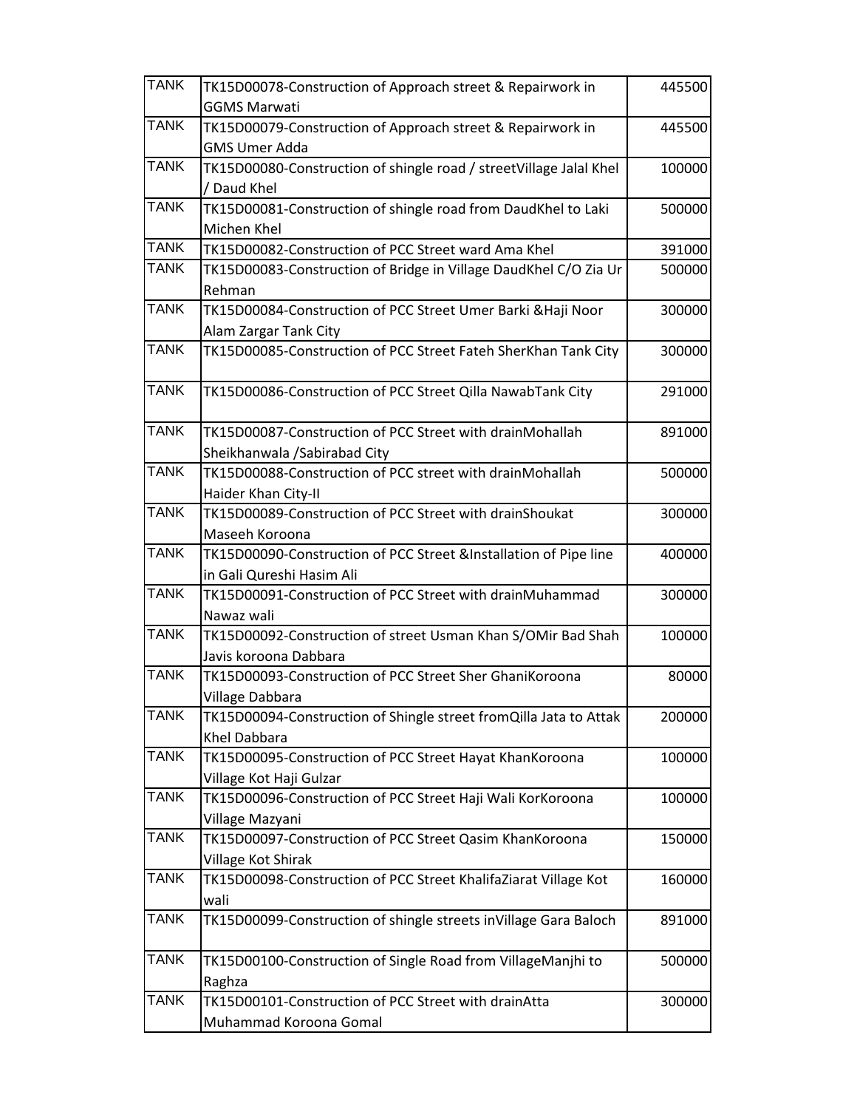| <b>TANK</b> | TK15D00078-Construction of Approach street & Repairwork in                     | 445500 |
|-------------|--------------------------------------------------------------------------------|--------|
|             | <b>GGMS Marwati</b>                                                            |        |
| <b>TANK</b> | TK15D00079-Construction of Approach street & Repairwork in                     | 445500 |
|             | <b>GMS Umer Adda</b>                                                           |        |
| <b>TANK</b> | TK15D00080-Construction of shingle road / streetVillage Jalal Khel             | 100000 |
|             | / Daud Khel                                                                    |        |
| <b>TANK</b> | TK15D00081-Construction of shingle road from DaudKhel to Laki                  | 500000 |
|             | Michen Khel                                                                    |        |
| <b>TANK</b> | TK15D00082-Construction of PCC Street ward Ama Khel                            | 391000 |
| <b>TANK</b> | TK15D00083-Construction of Bridge in Village DaudKhel C/O Zia Ur               | 500000 |
|             | Rehman                                                                         |        |
| <b>TANK</b> | TK15D00084-Construction of PCC Street Umer Barki & Haji Noor                   | 300000 |
|             | Alam Zargar Tank City                                                          |        |
| <b>TANK</b> | TK15D00085-Construction of PCC Street Fateh SherKhan Tank City                 | 300000 |
| <b>TANK</b> | TK15D00086-Construction of PCC Street Qilla NawabTank City                     | 291000 |
|             |                                                                                |        |
| <b>TANK</b> | TK15D00087-Construction of PCC Street with drainMohallah                       | 891000 |
| <b>TANK</b> | Sheikhanwala / Sabirabad City                                                  |        |
|             | TK15D00088-Construction of PCC street with drainMohallah                       | 500000 |
| <b>TANK</b> | Haider Khan City-II<br>TK15D00089-Construction of PCC Street with drainShoukat |        |
|             | Maseeh Koroona                                                                 | 300000 |
| <b>TANK</b> | TK15D00090-Construction of PCC Street &Installation of Pipe line               | 400000 |
|             | in Gali Qureshi Hasim Ali                                                      |        |
| <b>TANK</b> | TK15D00091-Construction of PCC Street with drainMuhammad                       | 300000 |
|             | Nawaz wali                                                                     |        |
| <b>TANK</b> | TK15D00092-Construction of street Usman Khan S/OMir Bad Shah                   | 100000 |
|             | Javis koroona Dabbara                                                          |        |
| <b>TANK</b> | TK15D00093-Construction of PCC Street Sher GhaniKoroona                        | 80000  |
|             | Village Dabbara                                                                |        |
| <b>TANK</b> | TK15D00094-Construction of Shingle street fromQilla Jata to Attak              | 200000 |
|             | Khel Dabbara                                                                   |        |
| <b>TANK</b> | TK15D00095-Construction of PCC Street Hayat KhanKoroona                        | 100000 |
|             | Village Kot Haji Gulzar                                                        |        |
| <b>TANK</b> | TK15D00096-Construction of PCC Street Haji Wali KorKoroona                     | 100000 |
|             | Village Mazyani                                                                |        |
| <b>TANK</b> | TK15D00097-Construction of PCC Street Qasim KhanKoroona                        | 150000 |
|             | Village Kot Shirak                                                             |        |
| <b>TANK</b> | TK15D00098-Construction of PCC Street KhalifaZiarat Village Kot                | 160000 |
|             | wali                                                                           |        |
| <b>TANK</b> | TK15D00099-Construction of shingle streets inVillage Gara Baloch               | 891000 |
| <b>TANK</b> | TK15D00100-Construction of Single Road from VillageManjhi to                   | 500000 |
|             | Raghza                                                                         |        |
| <b>TANK</b> | TK15D00101-Construction of PCC Street with drainAtta                           | 300000 |
|             | Muhammad Koroona Gomal                                                         |        |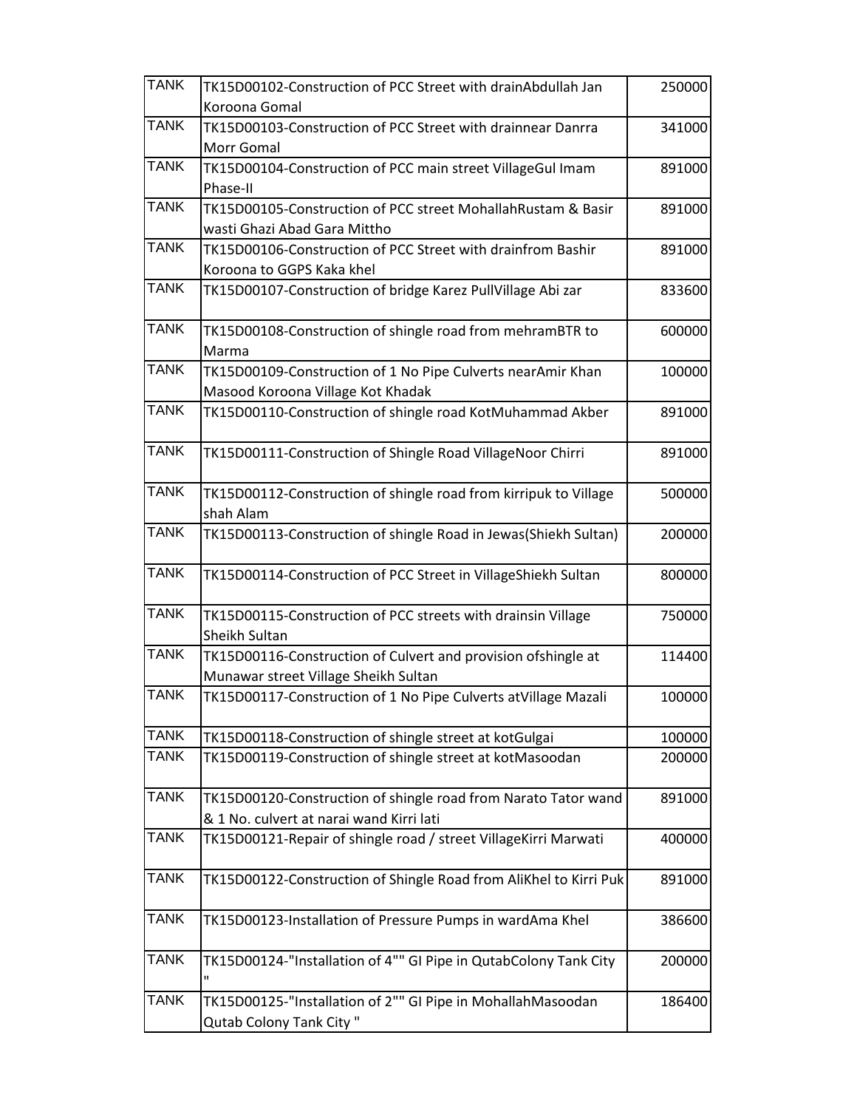| <b>TANK</b> | TK15D00102-Construction of PCC Street with drainAbdullah Jan      | 250000 |
|-------------|-------------------------------------------------------------------|--------|
|             | Koroona Gomal                                                     |        |
| <b>TANK</b> | TK15D00103-Construction of PCC Street with drainnear Danrra       | 341000 |
|             | Morr Gomal                                                        |        |
| <b>TANK</b> | TK15D00104-Construction of PCC main street VillageGul Imam        | 891000 |
|             | Phase-II                                                          |        |
| <b>TANK</b> | TK15D00105-Construction of PCC street MohallahRustam & Basir      | 891000 |
|             | wasti Ghazi Abad Gara Mittho                                      |        |
| <b>TANK</b> | TK15D00106-Construction of PCC Street with drainfrom Bashir       | 891000 |
|             | Koroona to GGPS Kaka khel                                         |        |
| <b>TANK</b> | TK15D00107-Construction of bridge Karez PullVillage Abi zar       | 833600 |
|             |                                                                   |        |
| <b>TANK</b> | TK15D00108-Construction of shingle road from mehramBTR to         | 600000 |
|             | Marma                                                             |        |
| <b>TANK</b> | TK15D00109-Construction of 1 No Pipe Culverts nearAmir Khan       | 100000 |
|             | Masood Koroona Village Kot Khadak                                 |        |
| <b>TANK</b> | TK15D00110-Construction of shingle road KotMuhammad Akber         | 891000 |
|             |                                                                   |        |
| <b>TANK</b> | TK15D00111-Construction of Shingle Road VillageNoor Chirri        | 891000 |
|             |                                                                   |        |
| <b>TANK</b> | TK15D00112-Construction of shingle road from kirripuk to Village  | 500000 |
|             | shah Alam                                                         |        |
| <b>TANK</b> | TK15D00113-Construction of shingle Road in Jewas(Shiekh Sultan)   | 200000 |
|             |                                                                   |        |
| <b>TANK</b> | TK15D00114-Construction of PCC Street in VillageShiekh Sultan     | 800000 |
|             |                                                                   |        |
| <b>TANK</b> | TK15D00115-Construction of PCC streets with drainsin Village      | 750000 |
|             | <b>Sheikh Sultan</b>                                              |        |
| <b>TANK</b> | TK15D00116-Construction of Culvert and provision ofshingle at     | 114400 |
|             | Munawar street Village Sheikh Sultan                              |        |
| <b>TANK</b> | TK15D00117-Construction of 1 No Pipe Culverts atVillage Mazali    | 100000 |
|             |                                                                   |        |
| <b>TANK</b> | TK15D00118-Construction of shingle street at kotGulgai            | 100000 |
| <b>TANK</b> | TK15D00119-Construction of shingle street at kotMasoodan          | 200000 |
|             |                                                                   |        |
| <b>TANK</b> | TK15D00120-Construction of shingle road from Narato Tator wand    | 891000 |
|             | & 1 No. culvert at narai wand Kirri lati                          |        |
| <b>TANK</b> | TK15D00121-Repair of shingle road / street VillageKirri Marwati   | 400000 |
|             |                                                                   |        |
| <b>TANK</b> | TK15D00122-Construction of Shingle Road from AliKhel to Kirri Puk | 891000 |
|             |                                                                   |        |
| <b>TANK</b> | TK15D00123-Installation of Pressure Pumps in wardAma Khel         | 386600 |
|             |                                                                   |        |
| <b>TANK</b> | TK15D00124-"Installation of 4"" GI Pipe in QutabColony Tank City  | 200000 |
|             | п                                                                 |        |
| <b>TANK</b> | TK15D00125-"Installation of 2"" GI Pipe in MohallahMasoodan       | 186400 |
|             | Qutab Colony Tank City"                                           |        |
|             |                                                                   |        |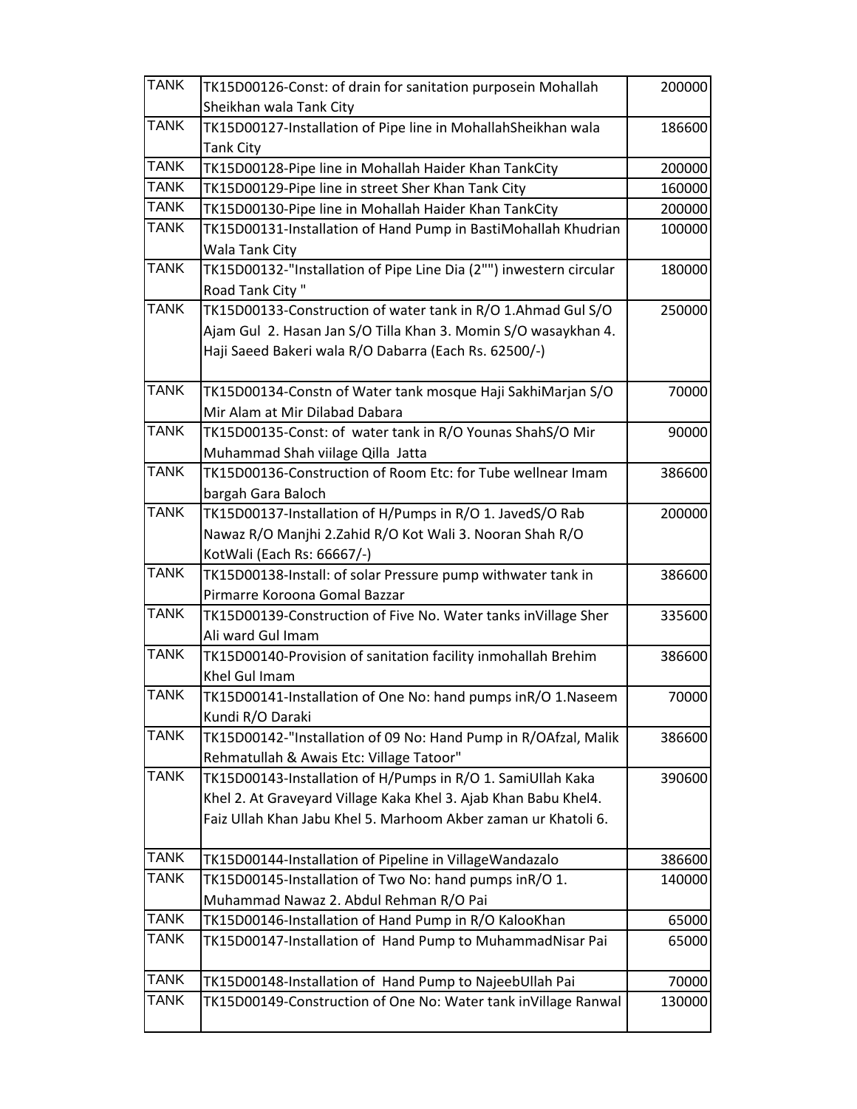| <b>TANK</b> | TK15D00126-Const: of drain for sanitation purposein Mohallah                                  | 200000 |
|-------------|-----------------------------------------------------------------------------------------------|--------|
|             | Sheikhan wala Tank City                                                                       |        |
| <b>TANK</b> | TK15D00127-Installation of Pipe line in MohallahSheikhan wala                                 | 186600 |
|             | <b>Tank City</b>                                                                              |        |
| <b>TANK</b> | TK15D00128-Pipe line in Mohallah Haider Khan TankCity                                         | 200000 |
| <b>TANK</b> | TK15D00129-Pipe line in street Sher Khan Tank City                                            | 160000 |
| <b>TANK</b> | TK15D00130-Pipe line in Mohallah Haider Khan TankCity                                         | 200000 |
| <b>TANK</b> | TK15D00131-Installation of Hand Pump in BastiMohallah Khudrian                                | 100000 |
|             | Wala Tank City                                                                                |        |
| <b>TANK</b> | TK15D00132-"Installation of Pipe Line Dia (2"") inwestern circular                            | 180000 |
|             | Road Tank City"                                                                               |        |
| <b>TANK</b> | TK15D00133-Construction of water tank in R/O 1.Ahmad Gul S/O                                  | 250000 |
|             | Ajam Gul 2. Hasan Jan S/O Tilla Khan 3. Momin S/O wasaykhan 4.                                |        |
|             | Haji Saeed Bakeri wala R/O Dabarra (Each Rs. 62500/-)                                         |        |
|             |                                                                                               |        |
| <b>TANK</b> | TK15D00134-Constn of Water tank mosque Haji SakhiMarjan S/O                                   | 70000  |
|             | Mir Alam at Mir Dilabad Dabara                                                                |        |
| <b>TANK</b> | TK15D00135-Const: of water tank in R/O Younas ShahS/O Mir                                     | 90000  |
| <b>TANK</b> | Muhammad Shah viilage Qilla Jatta                                                             |        |
|             | TK15D00136-Construction of Room Etc: for Tube wellnear Imam                                   | 386600 |
| <b>TANK</b> | bargah Gara Baloch                                                                            |        |
|             | TK15D00137-Installation of H/Pumps in R/O 1. JavedS/O Rab                                     | 200000 |
|             | Nawaz R/O Manjhi 2.Zahid R/O Kot Wali 3. Nooran Shah R/O                                      |        |
| <b>TANK</b> | KotWali (Each Rs: 66667/-)                                                                    |        |
|             | TK15D00138-Install: of solar Pressure pump withwater tank in<br>Pirmarre Koroona Gomal Bazzar | 386600 |
| <b>TANK</b> | TK15D00139-Construction of Five No. Water tanks inVillage Sher                                | 335600 |
|             | Ali ward Gul Imam                                                                             |        |
| <b>TANK</b> | TK15D00140-Provision of sanitation facility inmohallah Brehim                                 | 386600 |
|             | Khel Gul Imam                                                                                 |        |
| <b>TANK</b> | TK15D00141-Installation of One No: hand pumps inR/O 1.Naseem                                  | 70000  |
|             | Kundi R/O Daraki                                                                              |        |
| <b>TANK</b> | TK15D00142-"Installation of 09 No: Hand Pump in R/OAfzal, Malik                               | 386600 |
|             | Rehmatullah & Awais Etc: Village Tatoor"                                                      |        |
| <b>TANK</b> | TK15D00143-Installation of H/Pumps in R/O 1. SamiUllah Kaka                                   | 390600 |
|             | Khel 2. At Graveyard Village Kaka Khel 3. Ajab Khan Babu Khel4.                               |        |
|             | Faiz Ullah Khan Jabu Khel 5. Marhoom Akber zaman ur Khatoli 6.                                |        |
|             |                                                                                               |        |
| <b>TANK</b> | TK15D00144-Installation of Pipeline in VillageWandazalo                                       | 386600 |
| <b>TANK</b> | TK15D00145-Installation of Two No: hand pumps inR/O 1.                                        | 140000 |
|             | Muhammad Nawaz 2. Abdul Rehman R/O Pai                                                        |        |
| <b>TANK</b> | TK15D00146-Installation of Hand Pump in R/O KalooKhan                                         | 65000  |
| <b>TANK</b> | TK15D00147-Installation of Hand Pump to MuhammadNisar Pai                                     | 65000  |
|             |                                                                                               |        |
| <b>TANK</b> | TK15D00148-Installation of Hand Pump to NajeebUllah Pai                                       | 70000  |
| <b>TANK</b> | TK15D00149-Construction of One No: Water tank inVillage Ranwal                                | 130000 |
|             |                                                                                               |        |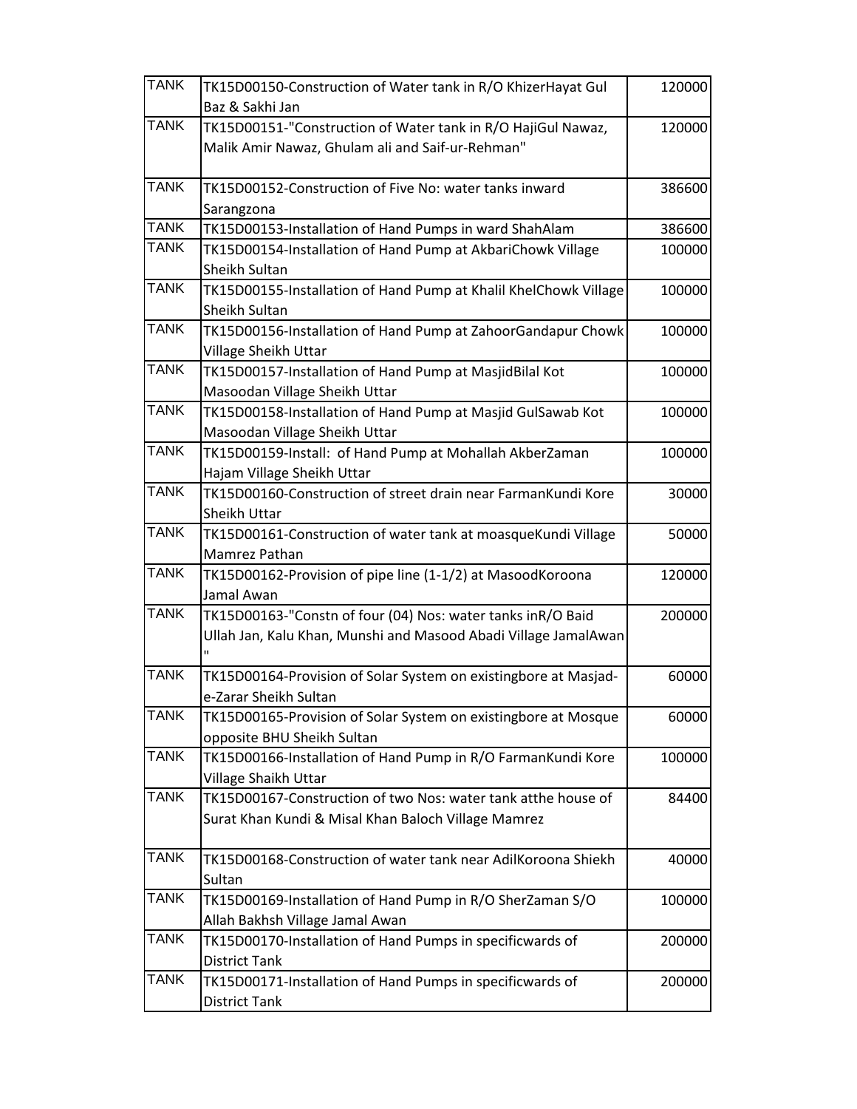| <b>TANK</b> | TK15D00150-Construction of Water tank in R/O KhizerHayat Gul     | 120000 |
|-------------|------------------------------------------------------------------|--------|
|             | Baz & Sakhi Jan                                                  |        |
| <b>TANK</b> | TK15D00151-"Construction of Water tank in R/O HajiGul Nawaz,     | 120000 |
|             | Malik Amir Nawaz, Ghulam ali and Saif-ur-Rehman"                 |        |
| <b>TANK</b> | TK15D00152-Construction of Five No: water tanks inward           | 386600 |
|             | Sarangzona                                                       |        |
| <b>TANK</b> | TK15D00153-Installation of Hand Pumps in ward ShahAlam           | 386600 |
| <b>TANK</b> | TK15D00154-Installation of Hand Pump at AkbariChowk Village      | 100000 |
|             | <b>Sheikh Sultan</b>                                             |        |
| <b>TANK</b> | TK15D00155-Installation of Hand Pump at Khalil KhelChowk Village | 100000 |
|             | Sheikh Sultan                                                    |        |
| <b>TANK</b> | TK15D00156-Installation of Hand Pump at ZahoorGandapur Chowk     | 100000 |
|             | Village Sheikh Uttar                                             |        |
| <b>TANK</b> | TK15D00157-Installation of Hand Pump at MasjidBilal Kot          | 100000 |
|             | Masoodan Village Sheikh Uttar                                    |        |
| <b>TANK</b> | TK15D00158-Installation of Hand Pump at Masjid GulSawab Kot      | 100000 |
|             | Masoodan Village Sheikh Uttar                                    |        |
| <b>TANK</b> | TK15D00159-Install: of Hand Pump at Mohallah AkberZaman          | 100000 |
|             | Hajam Village Sheikh Uttar                                       |        |
| <b>TANK</b> | TK15D00160-Construction of street drain near FarmanKundi Kore    | 30000  |
|             | Sheikh Uttar                                                     |        |
| <b>TANK</b> | TK15D00161-Construction of water tank at moasqueKundi Village    | 50000  |
|             | Mamrez Pathan                                                    |        |
| <b>TANK</b> | TK15D00162-Provision of pipe line (1-1/2) at MasoodKoroona       | 120000 |
|             | Jamal Awan                                                       |        |
| <b>TANK</b> | TK15D00163-"Constn of four (04) Nos: water tanks inR/O Baid      | 200000 |
|             | Ullah Jan, Kalu Khan, Munshi and Masood Abadi Village JamalAwan  |        |
|             | $\mathbf{u}$                                                     |        |
| <b>TANK</b> | TK15D00164-Provision of Solar System on existingbore at Masjad-  | 60000  |
|             | e-Zarar Sheikh Sultan                                            |        |
| <b>TANK</b> | TK15D00165-Provision of Solar System on existingbore at Mosque   | 60000  |
|             | opposite BHU Sheikh Sultan                                       |        |
| <b>TANK</b> | TK15D00166-Installation of Hand Pump in R/O FarmanKundi Kore     | 100000 |
|             | Village Shaikh Uttar                                             |        |
| <b>TANK</b> | TK15D00167-Construction of two Nos: water tank atthe house of    | 84400  |
|             | Surat Khan Kundi & Misal Khan Baloch Village Mamrez              |        |
| <b>TANK</b> | TK15D00168-Construction of water tank near AdilKoroona Shiekh    | 40000  |
|             | Sultan                                                           |        |
| <b>TANK</b> | TK15D00169-Installation of Hand Pump in R/O SherZaman S/O        | 100000 |
|             | Allah Bakhsh Village Jamal Awan                                  |        |
| <b>TANK</b> | TK15D00170-Installation of Hand Pumps in specificwards of        | 200000 |
|             | <b>District Tank</b>                                             |        |
| <b>TANK</b> | TK15D00171-Installation of Hand Pumps in specificwards of        | 200000 |
|             | <b>District Tank</b>                                             |        |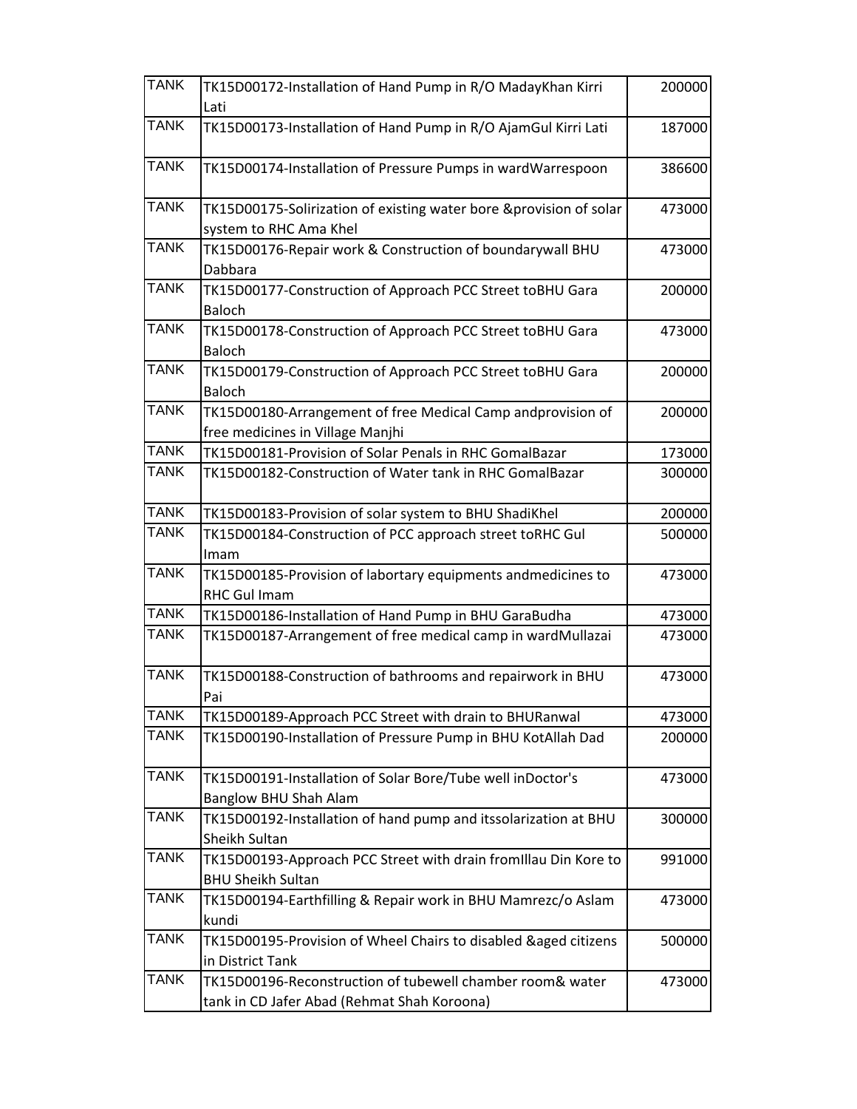| <b>TANK</b> | TK15D00172-Installation of Hand Pump in R/O MadayKhan Kirri        | 200000 |
|-------------|--------------------------------------------------------------------|--------|
|             | Lati                                                               |        |
| <b>TANK</b> | TK15D00173-Installation of Hand Pump in R/O AjamGul Kirri Lati     | 187000 |
| <b>TANK</b> | TK15D00174-Installation of Pressure Pumps in wardWarrespoon        | 386600 |
| <b>TANK</b> | TK15D00175-Solirization of existing water bore &provision of solar | 473000 |
|             | system to RHC Ama Khel                                             |        |
| <b>TANK</b> | TK15D00176-Repair work & Construction of boundarywall BHU          | 473000 |
|             | Dabbara                                                            |        |
| <b>TANK</b> | TK15D00177-Construction of Approach PCC Street toBHU Gara          | 200000 |
|             | <b>Baloch</b>                                                      |        |
| <b>TANK</b> | TK15D00178-Construction of Approach PCC Street toBHU Gara          | 473000 |
|             | <b>Baloch</b>                                                      |        |
| <b>TANK</b> | TK15D00179-Construction of Approach PCC Street toBHU Gara          | 200000 |
|             | Baloch                                                             |        |
| <b>TANK</b> | TK15D00180-Arrangement of free Medical Camp andprovision of        | 200000 |
|             | free medicines in Village Manjhi                                   |        |
| <b>TANK</b> | TK15D00181-Provision of Solar Penals in RHC GomalBazar             | 173000 |
| <b>TANK</b> | TK15D00182-Construction of Water tank in RHC GomalBazar            | 300000 |
| <b>TANK</b> | TK15D00183-Provision of solar system to BHU ShadiKhel              | 200000 |
| <b>TANK</b> | TK15D00184-Construction of PCC approach street toRHC Gul           | 500000 |
|             | Imam                                                               |        |
| <b>TANK</b> | TK15D00185-Provision of labortary equipments andmedicines to       | 473000 |
|             | <b>RHC Gul Imam</b>                                                |        |
| <b>TANK</b> | TK15D00186-Installation of Hand Pump in BHU GaraBudha              | 473000 |
| <b>TANK</b> | TK15D00187-Arrangement of free medical camp in wardMullazai        | 473000 |
| <b>TANK</b> | TK15D00188-Construction of bathrooms and repairwork in BHU         | 473000 |
|             | Pai                                                                |        |
| <b>TANK</b> | TK15D00189-Approach PCC Street with drain to BHURanwal             | 473000 |
| <b>TANK</b> | TK15D00190-Installation of Pressure Pump in BHU KotAllah Dad       | 200000 |
| <b>TANK</b> | TK15D00191-Installation of Solar Bore/Tube well inDoctor's         | 473000 |
|             | Banglow BHU Shah Alam                                              |        |
| <b>TANK</b> | TK15D00192-Installation of hand pump and itssolarization at BHU    | 300000 |
|             | Sheikh Sultan                                                      |        |
| <b>TANK</b> | TK15D00193-Approach PCC Street with drain fromIllau Din Kore to    | 991000 |
|             | <b>BHU Sheikh Sultan</b>                                           |        |
| <b>TANK</b> | TK15D00194-Earthfilling & Repair work in BHU Mamrezc/o Aslam       | 473000 |
|             | kundi                                                              |        |
| <b>TANK</b> | TK15D00195-Provision of Wheel Chairs to disabled &aged citizens    | 500000 |
|             | in District Tank                                                   |        |
| <b>TANK</b> | TK15D00196-Reconstruction of tubewell chamber room& water          | 473000 |
|             | tank in CD Jafer Abad (Rehmat Shah Koroona)                        |        |
|             |                                                                    |        |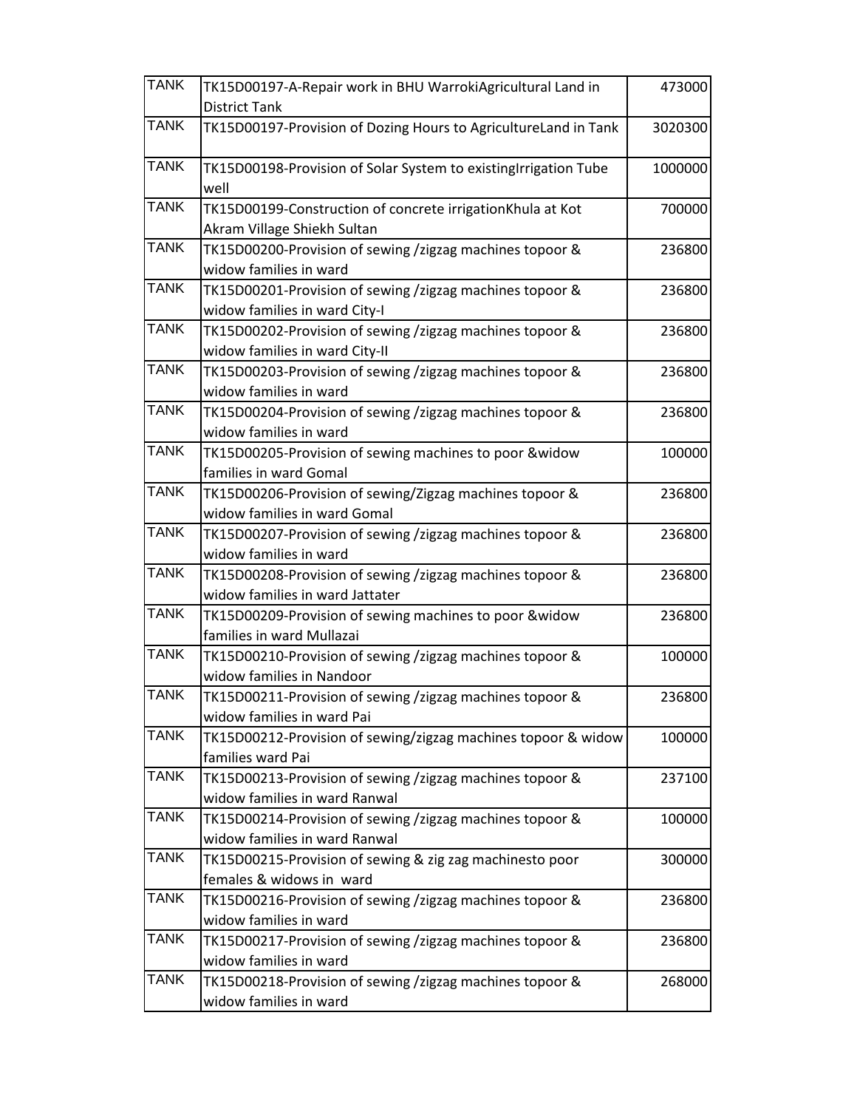| <b>TANK</b> | TK15D00197-A-Repair work in BHU WarrokiAgricultural Land in     | 473000  |
|-------------|-----------------------------------------------------------------|---------|
|             | <b>District Tank</b>                                            |         |
| <b>TANK</b> | TK15D00197-Provision of Dozing Hours to AgricultureLand in Tank | 3020300 |
| <b>TANK</b> | TK15D00198-Provision of Solar System to existingIrrigation Tube | 1000000 |
|             | well                                                            |         |
| <b>TANK</b> | TK15D00199-Construction of concrete irrigationKhula at Kot      | 700000  |
|             | Akram Village Shiekh Sultan                                     |         |
| <b>TANK</b> | TK15D00200-Provision of sewing /zigzag machines topoor &        | 236800  |
|             | widow families in ward                                          |         |
| <b>TANK</b> | TK15D00201-Provision of sewing /zigzag machines topoor &        | 236800  |
|             | widow families in ward City-I                                   |         |
| <b>TANK</b> | TK15D00202-Provision of sewing /zigzag machines topoor &        | 236800  |
|             | widow families in ward City-II                                  |         |
| <b>TANK</b> | TK15D00203-Provision of sewing /zigzag machines topoor &        | 236800  |
|             | widow families in ward                                          |         |
| <b>TANK</b> | TK15D00204-Provision of sewing /zigzag machines topoor &        | 236800  |
|             | widow families in ward                                          |         |
| <b>TANK</b> | TK15D00205-Provision of sewing machines to poor &widow          | 100000  |
|             | families in ward Gomal                                          |         |
| <b>TANK</b> | TK15D00206-Provision of sewing/Zigzag machines topoor &         | 236800  |
|             | widow families in ward Gomal                                    |         |
| <b>TANK</b> | TK15D00207-Provision of sewing /zigzag machines topoor &        | 236800  |
|             | widow families in ward                                          |         |
| <b>TANK</b> | TK15D00208-Provision of sewing /zigzag machines topoor &        | 236800  |
|             | widow families in ward Jattater                                 |         |
| <b>TANK</b> | TK15D00209-Provision of sewing machines to poor &widow          | 236800  |
|             | families in ward Mullazai                                       |         |
| <b>TANK</b> | TK15D00210-Provision of sewing /zigzag machines topoor &        | 100000  |
|             | widow families in Nandoor                                       |         |
| <b>TANK</b> | TK15D00211-Provision of sewing /zigzag machines topoor &        | 236800  |
|             | widow families in ward Pai                                      |         |
| <b>TANK</b> | TK15D00212-Provision of sewing/zigzag machines topoor & widow   | 100000  |
|             | families ward Pai                                               |         |
| <b>TANK</b> | TK15D00213-Provision of sewing /zigzag machines topoor &        | 237100  |
|             | widow families in ward Ranwal                                   |         |
| <b>TANK</b> | TK15D00214-Provision of sewing /zigzag machines topoor &        | 100000  |
|             | widow families in ward Ranwal                                   |         |
| <b>TANK</b> | TK15D00215-Provision of sewing & zig zag machinesto poor        | 300000  |
|             | females & widows in ward                                        |         |
| <b>TANK</b> | TK15D00216-Provision of sewing /zigzag machines topoor &        | 236800  |
|             | widow families in ward                                          |         |
| <b>TANK</b> | TK15D00217-Provision of sewing /zigzag machines topoor &        | 236800  |
|             | widow families in ward                                          |         |
| <b>TANK</b> | TK15D00218-Provision of sewing /zigzag machines topoor &        | 268000  |
|             | widow families in ward                                          |         |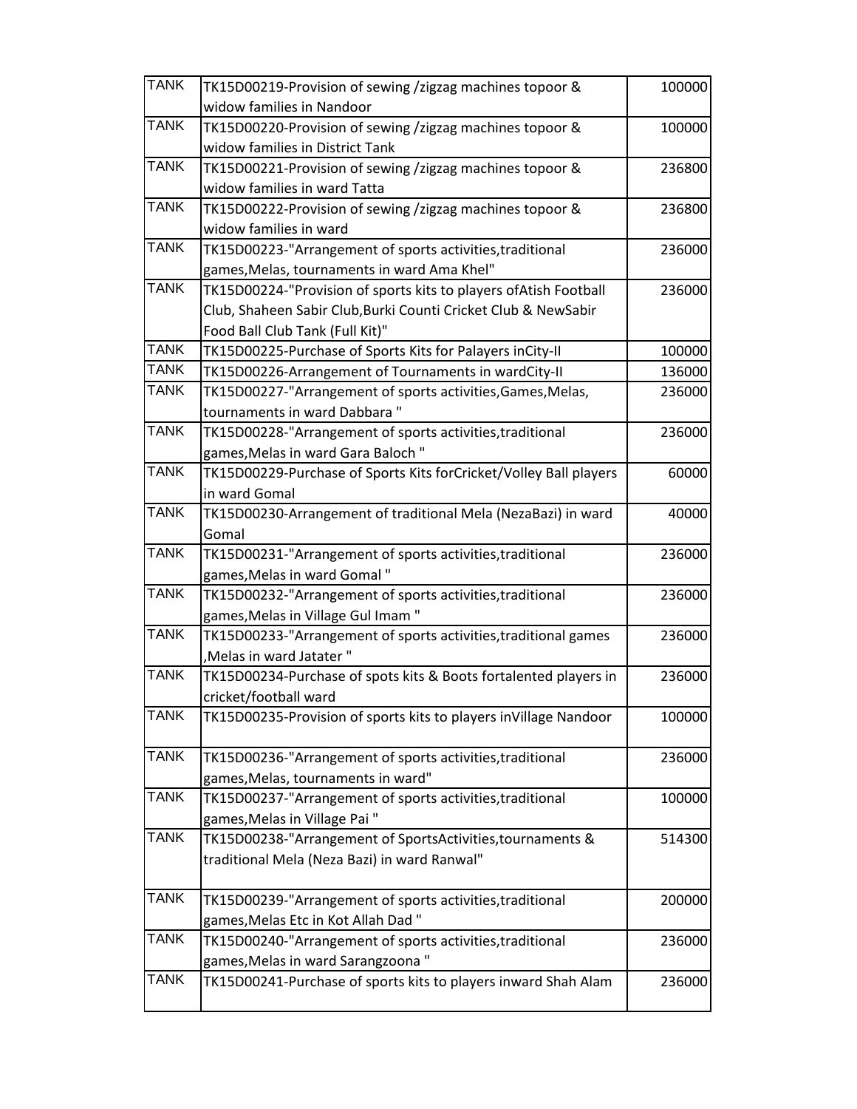| <b>TANK</b> | TK15D00219-Provision of sewing /zigzag machines topoor &          | 100000 |
|-------------|-------------------------------------------------------------------|--------|
|             | widow families in Nandoor                                         |        |
| <b>TANK</b> | TK15D00220-Provision of sewing /zigzag machines topoor &          | 100000 |
|             | widow families in District Tank                                   |        |
| <b>TANK</b> | TK15D00221-Provision of sewing /zigzag machines topoor &          | 236800 |
|             | widow families in ward Tatta                                      |        |
| <b>TANK</b> | TK15D00222-Provision of sewing /zigzag machines topoor &          | 236800 |
|             | widow families in ward                                            |        |
| <b>TANK</b> | TK15D00223-"Arrangement of sports activities, traditional         | 236000 |
|             | games, Melas, tournaments in ward Ama Khel"                       |        |
| <b>TANK</b> | TK15D00224-"Provision of sports kits to players ofAtish Football  | 236000 |
|             | Club, Shaheen Sabir Club, Burki Counti Cricket Club & NewSabir    |        |
|             | Food Ball Club Tank (Full Kit)"                                   |        |
| <b>TANK</b> | TK15D00225-Purchase of Sports Kits for Palayers inCity-II         | 100000 |
| <b>TANK</b> | TK15D00226-Arrangement of Tournaments in wardCity-II              | 136000 |
| <b>TANK</b> | TK15D00227-"Arrangement of sports activities, Games, Melas,       | 236000 |
|             | tournaments in ward Dabbara"                                      |        |
| <b>TANK</b> | TK15D00228-"Arrangement of sports activities, traditional         | 236000 |
|             | games, Melas in ward Gara Baloch"                                 |        |
| <b>TANK</b> | TK15D00229-Purchase of Sports Kits forCricket/Volley Ball players | 60000  |
|             | in ward Gomal                                                     |        |
| <b>TANK</b> | TK15D00230-Arrangement of traditional Mela (NezaBazi) in ward     | 40000  |
|             | Gomal                                                             |        |
| <b>TANK</b> | TK15D00231-"Arrangement of sports activities, traditional         | 236000 |
|             | games, Melas in ward Gomal"                                       |        |
| <b>TANK</b> | TK15D00232-"Arrangement of sports activities, traditional         | 236000 |
|             | games, Melas in Village Gul Imam"                                 |        |
| <b>TANK</b> | TK15D00233-"Arrangement of sports activities, traditional games   | 236000 |
|             | ,Melas in ward Jatater"                                           |        |
| <b>TANK</b> | TK15D00234-Purchase of spots kits & Boots fortalented players in  | 236000 |
|             | cricket/football ward                                             |        |
| <b>TANK</b> | TK15D00235-Provision of sports kits to players inVillage Nandoor  | 100000 |
| <b>TANK</b> | TK15D00236-"Arrangement of sports activities, traditional         | 236000 |
|             | games, Melas, tournaments in ward"                                |        |
| <b>TANK</b> | TK15D00237-"Arrangement of sports activities, traditional         | 100000 |
|             | games, Melas in Village Pai "                                     |        |
| <b>TANK</b> | TK15D00238-"Arrangement of SportsActivities, tournaments &        | 514300 |
|             | traditional Mela (Neza Bazi) in ward Ranwal"                      |        |
| <b>TANK</b> | TK15D00239-"Arrangement of sports activities, traditional         | 200000 |
|             | games, Melas Etc in Kot Allah Dad"                                |        |
| <b>TANK</b> | TK15D00240-"Arrangement of sports activities, traditional         | 236000 |
|             | games, Melas in ward Sarangzoona"                                 |        |
| <b>TANK</b> | TK15D00241-Purchase of sports kits to players inward Shah Alam    |        |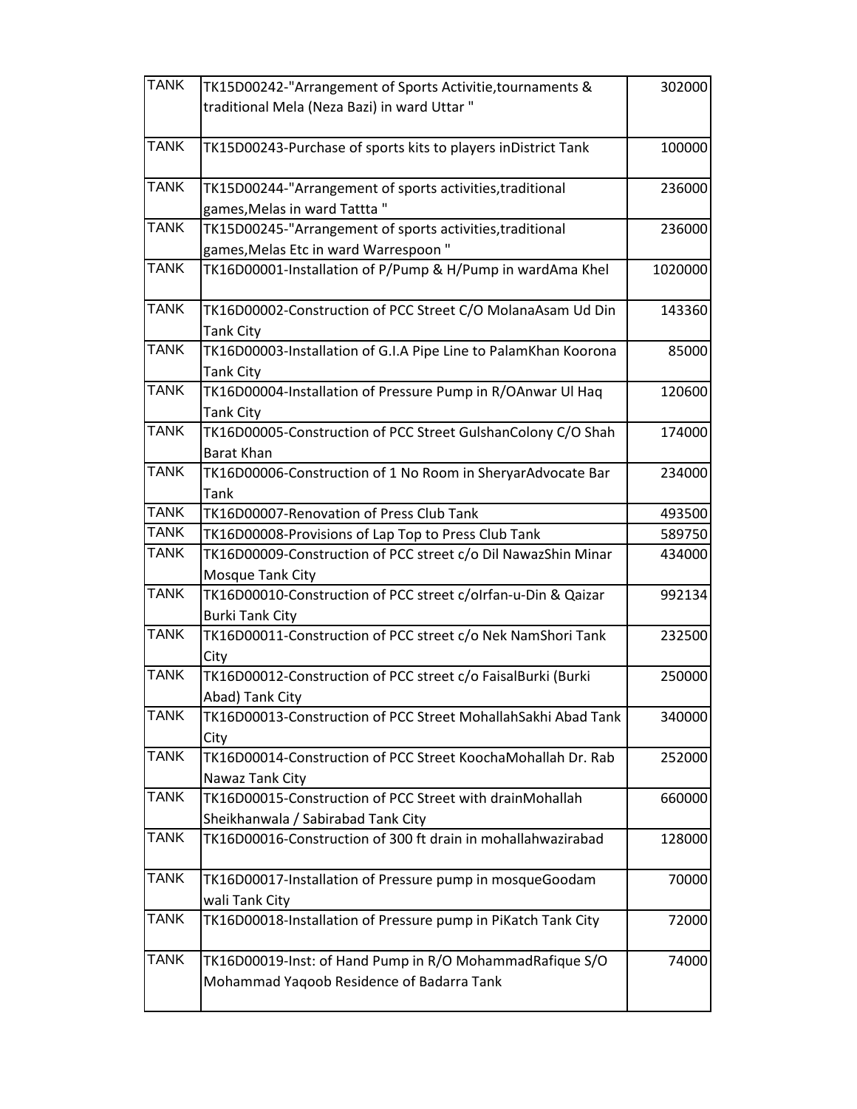| <b>TANK</b> | TK15D00242-"Arrangement of Sports Activitie, tournaments &      | 302000  |
|-------------|-----------------------------------------------------------------|---------|
|             | traditional Mela (Neza Bazi) in ward Uttar "                    |         |
|             |                                                                 |         |
| <b>TANK</b> | TK15D00243-Purchase of sports kits to players inDistrict Tank   | 100000  |
|             |                                                                 |         |
| <b>TANK</b> | TK15D00244-"Arrangement of sports activities, traditional       | 236000  |
|             | games, Melas in ward Tattta"                                    |         |
| <b>TANK</b> | TK15D00245-"Arrangement of sports activities, traditional       | 236000  |
|             | games, Melas Etc in ward Warrespoon"                            |         |
| <b>TANK</b> | TK16D00001-Installation of P/Pump & H/Pump in wardAma Khel      | 1020000 |
|             |                                                                 |         |
| <b>TANK</b> | TK16D00002-Construction of PCC Street C/O MolanaAsam Ud Din     | 143360  |
|             | <b>Tank City</b>                                                |         |
| <b>TANK</b> | TK16D00003-Installation of G.I.A Pipe Line to PalamKhan Koorona | 85000   |
|             | <b>Tank City</b>                                                |         |
| <b>TANK</b> | TK16D00004-Installation of Pressure Pump in R/OAnwar Ul Haq     | 120600  |
|             | <b>Tank City</b>                                                |         |
| <b>TANK</b> | TK16D00005-Construction of PCC Street GulshanColony C/O Shah    | 174000  |
|             | <b>Barat Khan</b>                                               |         |
| <b>TANK</b> | TK16D00006-Construction of 1 No Room in SheryarAdvocate Bar     | 234000  |
|             | <b>Tank</b>                                                     |         |
| <b>TANK</b> | TK16D00007-Renovation of Press Club Tank                        | 493500  |
| <b>TANK</b> | TK16D00008-Provisions of Lap Top to Press Club Tank             | 589750  |
| <b>TANK</b> | TK16D00009-Construction of PCC street c/o Dil NawazShin Minar   | 434000  |
|             | Mosque Tank City                                                |         |
| <b>TANK</b> | TK16D00010-Construction of PCC street c/olrfan-u-Din & Qaizar   | 992134  |
|             | <b>Burki Tank City</b>                                          |         |
| <b>TANK</b> | TK16D00011-Construction of PCC street c/o Nek NamShori Tank     | 232500  |
|             | City                                                            |         |
| <b>TANK</b> | TK16D00012-Construction of PCC street c/o FaisalBurki (Burki    | 250000  |
|             | Abad) Tank City                                                 |         |
| <b>TANK</b> | TK16D00013-Construction of PCC Street MohallahSakhi Abad Tank   | 340000  |
|             | City                                                            |         |
| <b>TANK</b> | TK16D00014-Construction of PCC Street KoochaMohallah Dr. Rab    | 252000  |
|             | Nawaz Tank City                                                 |         |
| <b>TANK</b> | TK16D00015-Construction of PCC Street with drainMohallah        | 660000  |
|             | Sheikhanwala / Sabirabad Tank City                              |         |
| <b>TANK</b> | TK16D00016-Construction of 300 ft drain in mohallahwazirabad    | 128000  |
|             |                                                                 |         |
| <b>TANK</b> | TK16D00017-Installation of Pressure pump in mosqueGoodam        | 70000   |
|             | wali Tank City                                                  |         |
| <b>TANK</b> | TK16D00018-Installation of Pressure pump in PiKatch Tank City   | 72000   |
|             |                                                                 |         |
| <b>TANK</b> | TK16D00019-Inst: of Hand Pump in R/O MohammadRafique S/O        | 74000   |
|             | Mohammad Yaqoob Residence of Badarra Tank                       |         |
|             |                                                                 |         |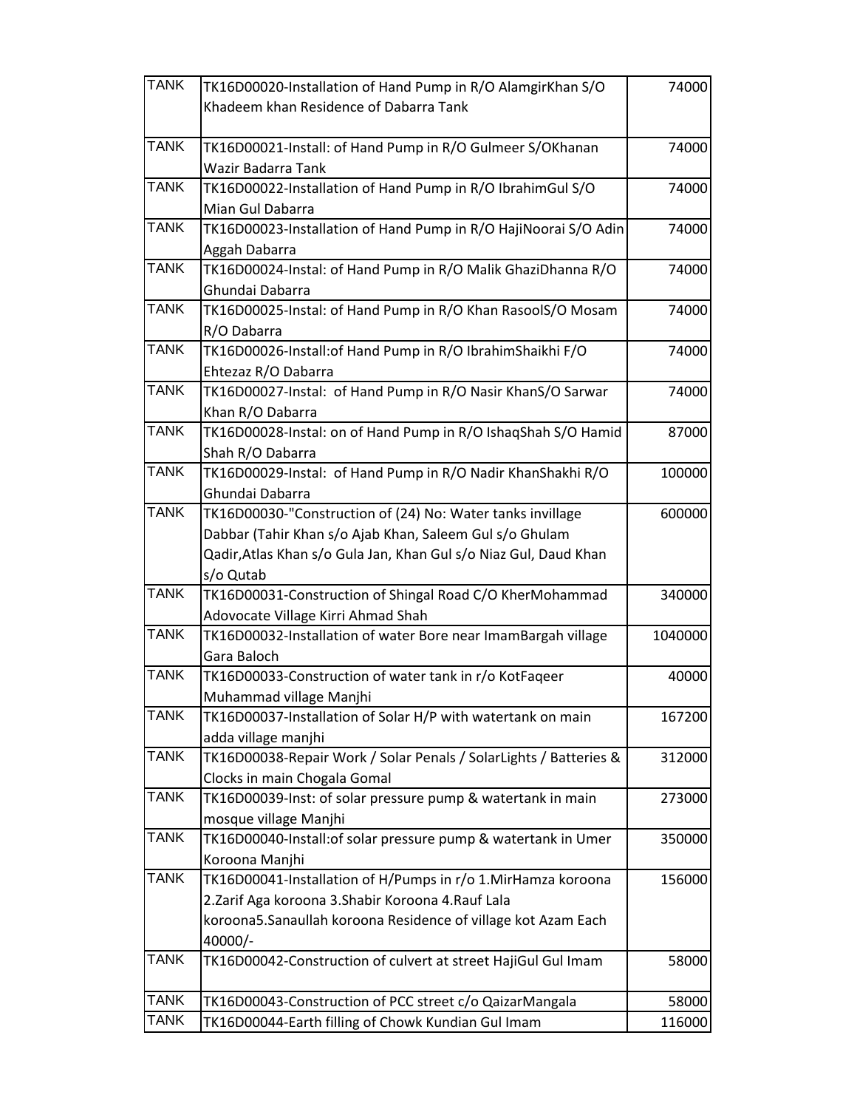| <b>TANK</b> | TK16D00020-Installation of Hand Pump in R/O AlamgirKhan S/O                            | 74000   |
|-------------|----------------------------------------------------------------------------------------|---------|
|             | Khadeem khan Residence of Dabarra Tank                                                 |         |
|             |                                                                                        |         |
| <b>TANK</b> | TK16D00021-Install: of Hand Pump in R/O Gulmeer S/OKhanan                              | 74000   |
|             | Wazir Badarra Tank                                                                     |         |
| <b>TANK</b> | TK16D00022-Installation of Hand Pump in R/O IbrahimGul S/O                             | 74000   |
|             | Mian Gul Dabarra                                                                       |         |
| <b>TANK</b> | TK16D00023-Installation of Hand Pump in R/O HajiNoorai S/O Adin                        | 74000   |
|             | Aggah Dabarra                                                                          |         |
| <b>TANK</b> | TK16D00024-Instal: of Hand Pump in R/O Malik GhaziDhanna R/O                           | 74000   |
|             | Ghundai Dabarra                                                                        |         |
| <b>TANK</b> | TK16D00025-Instal: of Hand Pump in R/O Khan RasoolS/O Mosam                            | 74000   |
|             | R/O Dabarra                                                                            |         |
| <b>TANK</b> | TK16D00026-Install: of Hand Pump in R/O IbrahimShaikhi F/O                             | 74000   |
|             | Ehtezaz R/O Dabarra                                                                    |         |
| <b>TANK</b> | TK16D00027-Instal: of Hand Pump in R/O Nasir KhanS/O Sarwar                            | 74000   |
|             | Khan R/O Dabarra                                                                       |         |
| <b>TANK</b> | TK16D00028-Instal: on of Hand Pump in R/O IshaqShah S/O Hamid                          | 87000   |
|             | Shah R/O Dabarra                                                                       |         |
| <b>TANK</b> | TK16D00029-Instal: of Hand Pump in R/O Nadir KhanShakhi R/O                            | 100000  |
|             | Ghundai Dabarra                                                                        |         |
| <b>TANK</b> | TK16D00030-"Construction of (24) No: Water tanks invillage                             | 600000  |
|             | Dabbar (Tahir Khan s/o Ajab Khan, Saleem Gul s/o Ghulam                                |         |
|             | Qadir,Atlas Khan s/o Gula Jan, Khan Gul s/o Niaz Gul, Daud Khan                        |         |
| <b>TANK</b> | s/o Qutab                                                                              |         |
|             | TK16D00031-Construction of Shingal Road C/O KherMohammad                               | 340000  |
| <b>TANK</b> | Adovocate Village Kirri Ahmad Shah                                                     |         |
|             | TK16D00032-Installation of water Bore near ImamBargah village                          | 1040000 |
| <b>TANK</b> | Gara Baloch                                                                            |         |
|             | TK16D00033-Construction of water tank in r/o KotFaqeer                                 | 40000   |
| <b>TANK</b> | Muhammad village Manjhi<br>TK16D00037-Installation of Solar H/P with watertank on main | 167200  |
|             | adda village manjhi                                                                    |         |
| <b>TANK</b> | TK16D00038-Repair Work / Solar Penals / SolarLights / Batteries &                      | 312000  |
|             | Clocks in main Chogala Gomal                                                           |         |
| <b>TANK</b> | TK16D00039-Inst: of solar pressure pump & watertank in main                            | 273000  |
|             | mosque village Manjhi                                                                  |         |
| <b>TANK</b> | TK16D00040-Install: of solar pressure pump & watertank in Umer                         | 350000  |
|             | Koroona Manjhi                                                                         |         |
| <b>TANK</b> | TK16D00041-Installation of H/Pumps in r/o 1. MirHamza koroona                          | 156000  |
|             | 2.Zarif Aga koroona 3.Shabir Koroona 4.Rauf Lala                                       |         |
|             | koroona5.Sanaullah koroona Residence of village kot Azam Each                          |         |
|             | 40000/-                                                                                |         |
| <b>TANK</b> | TK16D00042-Construction of culvert at street HajiGul Gul Imam                          | 58000   |
|             |                                                                                        |         |
| <b>TANK</b> | TK16D00043-Construction of PCC street c/o QaizarMangala                                | 58000   |
| <b>TANK</b> | TK16D00044-Earth filling of Chowk Kundian Gul Imam                                     | 116000  |
|             |                                                                                        |         |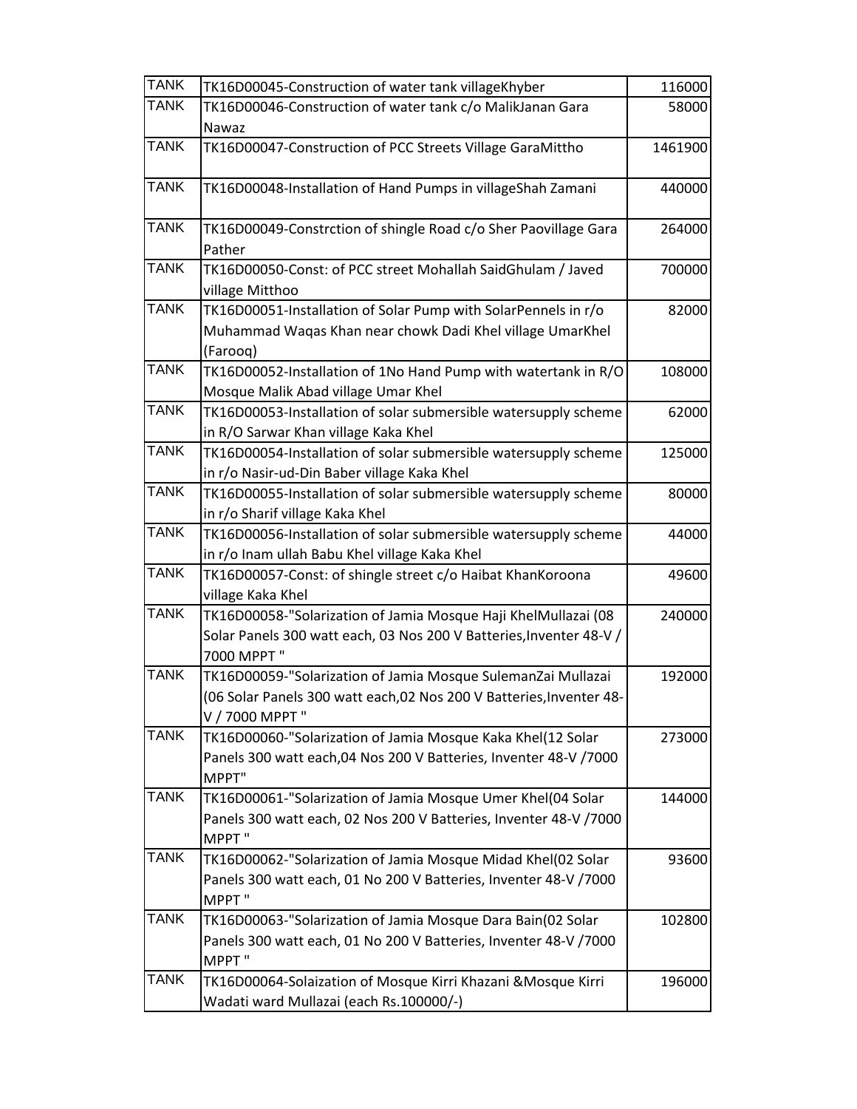| <b>TANK</b> | TK16D00045-Construction of water tank villageKhyber                                                                                                     | 116000  |
|-------------|---------------------------------------------------------------------------------------------------------------------------------------------------------|---------|
| <b>TANK</b> | TK16D00046-Construction of water tank c/o MalikJanan Gara                                                                                               | 58000   |
| <b>TANK</b> | Nawaz<br>TK16D00047-Construction of PCC Streets Village GaraMittho                                                                                      | 1461900 |
| <b>TANK</b> | TK16D00048-Installation of Hand Pumps in villageShah Zamani                                                                                             | 440000  |
|             |                                                                                                                                                         |         |
| <b>TANK</b> | TK16D00049-Constrction of shingle Road c/o Sher Paovillage Gara<br>Pather                                                                               | 264000  |
| <b>TANK</b> | TK16D00050-Const: of PCC street Mohallah SaidGhulam / Javed<br>village Mitthoo                                                                          | 700000  |
| <b>TANK</b> | TK16D00051-Installation of Solar Pump with SolarPennels in r/o<br>Muhammad Waqas Khan near chowk Dadi Khel village UmarKhel<br>(Farooq)                 | 82000   |
| <b>TANK</b> | TK16D00052-Installation of 1No Hand Pump with watertank in R/O<br>Mosque Malik Abad village Umar Khel                                                   | 108000  |
| <b>TANK</b> | TK16D00053-Installation of solar submersible watersupply scheme<br>in R/O Sarwar Khan village Kaka Khel                                                 | 62000   |
| <b>TANK</b> | TK16D00054-Installation of solar submersible watersupply scheme<br>in r/o Nasir-ud-Din Baber village Kaka Khel                                          | 125000  |
| <b>TANK</b> | TK16D00055-Installation of solar submersible watersupply scheme<br>in r/o Sharif village Kaka Khel                                                      | 80000   |
| <b>TANK</b> | TK16D00056-Installation of solar submersible watersupply scheme<br>in r/o Inam ullah Babu Khel village Kaka Khel                                        | 44000   |
| <b>TANK</b> | TK16D00057-Const: of shingle street c/o Haibat KhanKoroona<br>village Kaka Khel                                                                         | 49600   |
| <b>TANK</b> | TK16D00058-"Solarization of Jamia Mosque Haji KhelMullazai (08<br>Solar Panels 300 watt each, 03 Nos 200 V Batteries, Inventer 48-V /<br>7000 MPPT "    | 240000  |
| <b>TANK</b> | TK16D00059-"Solarization of Jamia Mosque SulemanZai Mullazai<br>(06 Solar Panels 300 watt each, 02 Nos 200 V Batteries, Inventer 48-<br>V / 7000 MPPT " | 192000  |
| <b>TANK</b> | TK16D00060-"Solarization of Jamia Mosque Kaka Khel(12 Solar<br>Panels 300 watt each, 04 Nos 200 V Batteries, Inventer 48-V / 7000<br>MPPT"              | 273000  |
| <b>TANK</b> | TK16D00061-"Solarization of Jamia Mosque Umer Khel(04 Solar<br>Panels 300 watt each, 02 Nos 200 V Batteries, Inventer 48-V /7000<br>MPPT"               | 144000  |
| <b>TANK</b> | TK16D00062-"Solarization of Jamia Mosque Midad Khel(02 Solar<br>Panels 300 watt each, 01 No 200 V Batteries, Inventer 48-V /7000<br>MPPT"               | 93600   |
| <b>TANK</b> | TK16D00063-"Solarization of Jamia Mosque Dara Bain(02 Solar<br>Panels 300 watt each, 01 No 200 V Batteries, Inventer 48-V /7000<br>MPPT"                | 102800  |
| TANK        | TK16D00064-Solaization of Mosque Kirri Khazani & Mosque Kirri<br>Wadati ward Mullazai (each Rs.100000/-)                                                | 196000  |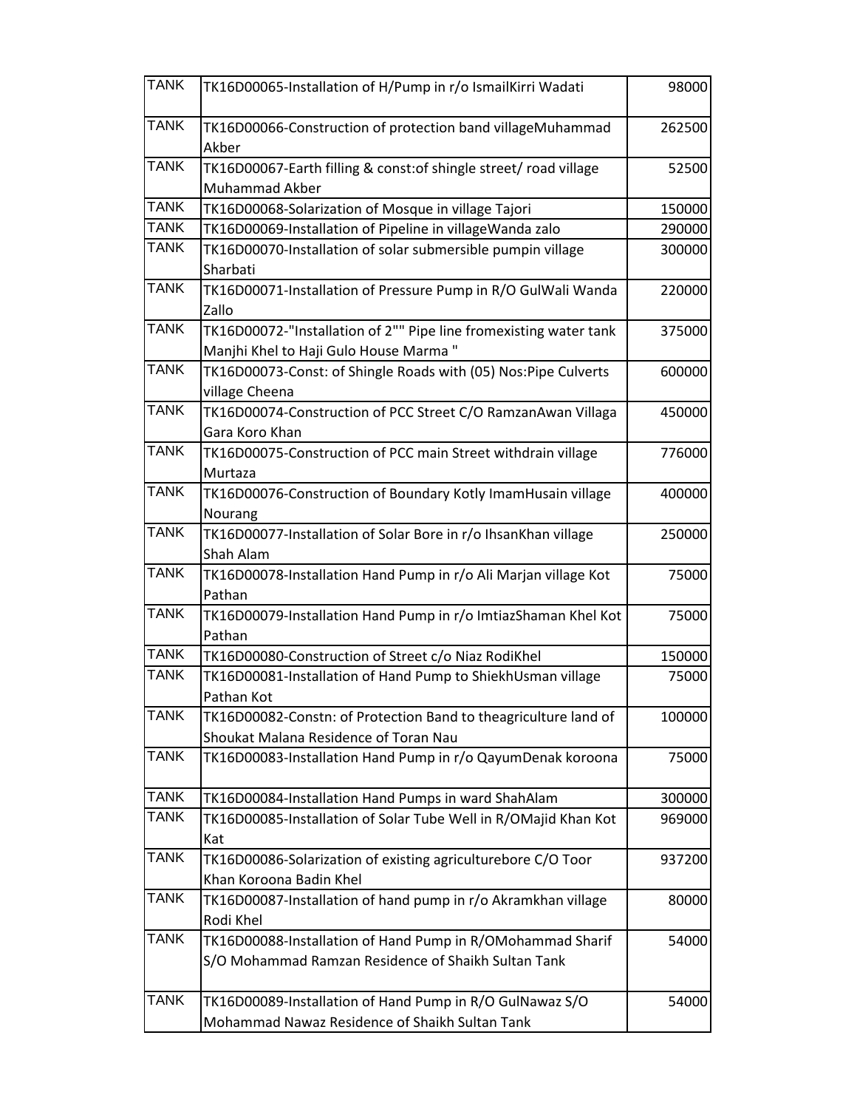| <b>TANK</b> | TK16D00065-Installation of H/Pump in r/o IsmailKirri Wadati                                                       | 98000  |
|-------------|-------------------------------------------------------------------------------------------------------------------|--------|
| <b>TANK</b> | TK16D00066-Construction of protection band villageMuhammad<br>Akber                                               | 262500 |
| <b>TANK</b> | TK16D00067-Earth filling & const: of shingle street/ road village<br>Muhammad Akber                               | 52500  |
| <b>TANK</b> | TK16D00068-Solarization of Mosque in village Tajori                                                               | 150000 |
| <b>TANK</b> | TK16D00069-Installation of Pipeline in villageWanda zalo                                                          | 290000 |
| <b>TANK</b> | TK16D00070-Installation of solar submersible pumpin village<br>Sharbati                                           | 300000 |
| <b>TANK</b> | TK16D00071-Installation of Pressure Pump in R/O GulWali Wanda<br>Zallo                                            | 220000 |
| <b>TANK</b> | TK16D00072-"Installation of 2"" Pipe line fromexisting water tank<br>Manjhi Khel to Haji Gulo House Marma"        | 375000 |
| <b>TANK</b> | TK16D00073-Const: of Shingle Roads with (05) Nos:Pipe Culverts<br>village Cheena                                  | 600000 |
| <b>TANK</b> | TK16D00074-Construction of PCC Street C/O RamzanAwan Villaga<br>Gara Koro Khan                                    | 450000 |
| <b>TANK</b> | TK16D00075-Construction of PCC main Street withdrain village<br>Murtaza                                           | 776000 |
| <b>TANK</b> | TK16D00076-Construction of Boundary Kotly ImamHusain village<br>Nourang                                           | 400000 |
| <b>TANK</b> | TK16D00077-Installation of Solar Bore in r/o IhsanKhan village<br>Shah Alam                                       | 250000 |
| <b>TANK</b> | TK16D00078-Installation Hand Pump in r/o Ali Marjan village Kot<br>Pathan                                         | 75000  |
| <b>TANK</b> | TK16D00079-Installation Hand Pump in r/o ImtiazShaman Khel Kot<br>Pathan                                          | 75000  |
| <b>TANK</b> | TK16D00080-Construction of Street c/o Niaz RodiKhel                                                               | 150000 |
| <b>TANK</b> | TK16D00081-Installation of Hand Pump to ShiekhUsman village<br>Pathan Kot                                         | 75000  |
| <b>TANK</b> | TK16D00082-Constn: of Protection Band to theagriculture land of<br>Shoukat Malana Residence of Toran Nau          | 100000 |
| <b>TANK</b> | TK16D00083-Installation Hand Pump in r/o QayumDenak koroona                                                       | 75000  |
| <b>TANK</b> | TK16D00084-Installation Hand Pumps in ward ShahAlam                                                               | 300000 |
| <b>TANK</b> | TK16D00085-Installation of Solar Tube Well in R/OMajid Khan Kot<br>Kat                                            | 969000 |
| <b>TANK</b> | TK16D00086-Solarization of existing agriculturebore C/O Toor<br>Khan Koroona Badin Khel                           | 937200 |
| <b>TANK</b> | TK16D00087-Installation of hand pump in r/o Akramkhan village<br>Rodi Khel                                        | 80000  |
| <b>TANK</b> | TK16D00088-Installation of Hand Pump in R/OMohammad Sharif<br>S/O Mohammad Ramzan Residence of Shaikh Sultan Tank | 54000  |
| <b>TANK</b> | TK16D00089-Installation of Hand Pump in R/O GulNawaz S/O<br>Mohammad Nawaz Residence of Shaikh Sultan Tank        | 54000  |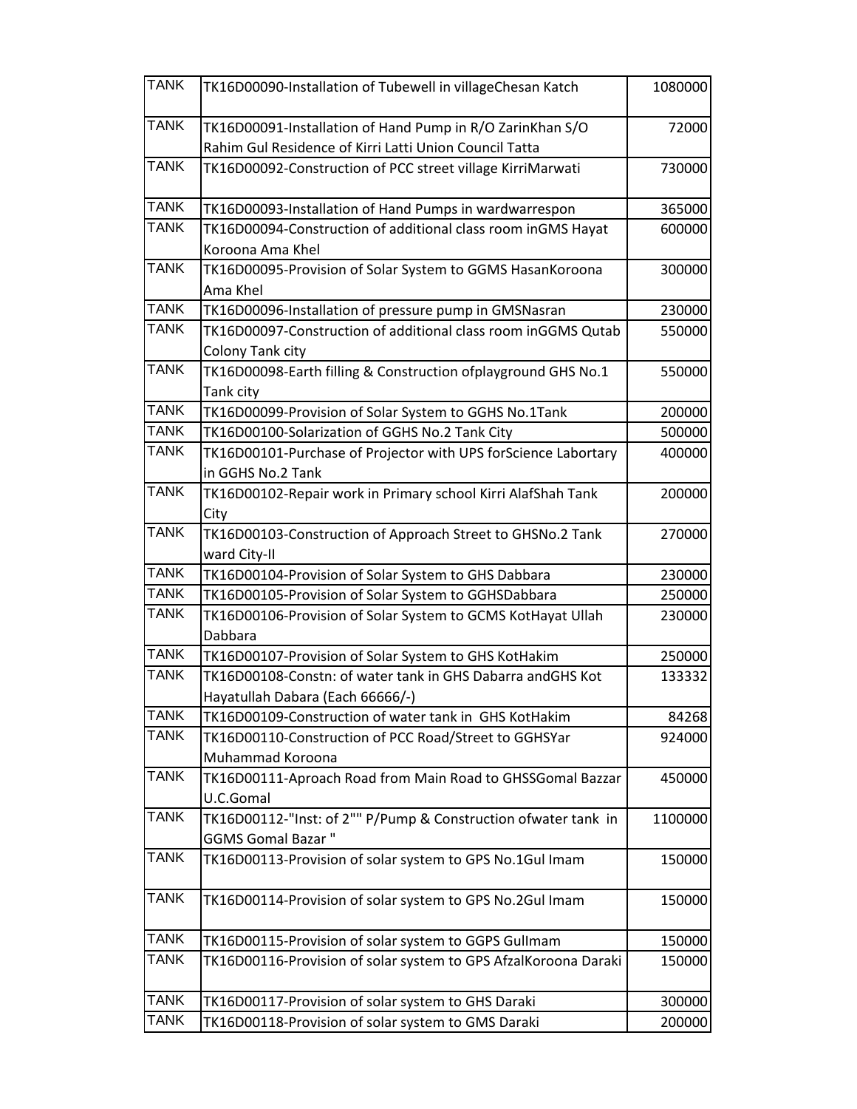| <b>TANK</b> | TK16D00090-Installation of Tubewell in villageChesan Katch                                                          | 1080000 |
|-------------|---------------------------------------------------------------------------------------------------------------------|---------|
| <b>TANK</b> | TK16D00091-Installation of Hand Pump in R/O ZarinKhan S/O<br>Rahim Gul Residence of Kirri Latti Union Council Tatta | 72000   |
| <b>TANK</b> | TK16D00092-Construction of PCC street village KirriMarwati                                                          | 730000  |
| <b>TANK</b> | TK16D00093-Installation of Hand Pumps in wardwarrespon                                                              | 365000  |
| <b>TANK</b> | TK16D00094-Construction of additional class room inGMS Hayat<br>Koroona Ama Khel                                    | 600000  |
| <b>TANK</b> | TK16D00095-Provision of Solar System to GGMS HasanKoroona<br>Ama Khel                                               | 300000  |
| <b>TANK</b> | TK16D00096-Installation of pressure pump in GMSNasran                                                               | 230000  |
| <b>TANK</b> | TK16D00097-Construction of additional class room inGGMS Qutab<br>Colony Tank city                                   | 550000  |
| <b>TANK</b> | TK16D00098-Earth filling & Construction ofplayground GHS No.1<br>Tank city                                          | 550000  |
| <b>TANK</b> | TK16D00099-Provision of Solar System to GGHS No.1Tank                                                               | 200000  |
| <b>TANK</b> | TK16D00100-Solarization of GGHS No.2 Tank City                                                                      | 500000  |
| <b>TANK</b> | TK16D00101-Purchase of Projector with UPS forScience Labortary<br>in GGHS No.2 Tank                                 | 400000  |
| <b>TANK</b> | TK16D00102-Repair work in Primary school Kirri AlafShah Tank<br>City                                                | 200000  |
| <b>TANK</b> | TK16D00103-Construction of Approach Street to GHSNo.2 Tank<br>ward City-II                                          | 270000  |
| <b>TANK</b> | TK16D00104-Provision of Solar System to GHS Dabbara                                                                 | 230000  |
| <b>TANK</b> | TK16D00105-Provision of Solar System to GGHSDabbara                                                                 | 250000  |
| <b>TANK</b> | TK16D00106-Provision of Solar System to GCMS KotHayat Ullah<br>Dabbara                                              | 230000  |
| <b>TANK</b> | TK16D00107-Provision of Solar System to GHS KotHakim                                                                | 250000  |
| <b>TANK</b> | TK16D00108-Constn: of water tank in GHS Dabarra andGHS Kot<br>Hayatullah Dabara (Each 66666/-)                      | 133332  |
| <b>TANK</b> | TK16D00109-Construction of water tank in GHS KotHakim                                                               | 84268   |
| <b>TANK</b> | TK16D00110-Construction of PCC Road/Street to GGHSYar<br>Muhammad Koroona                                           | 924000  |
| <b>TANK</b> | TK16D00111-Aproach Road from Main Road to GHSSGomal Bazzar<br>U.C.Gomal                                             | 450000  |
| <b>TANK</b> | TK16D00112-"Inst: of 2"" P/Pump & Construction ofwater tank in<br><b>GGMS Gomal Bazar "</b>                         | 1100000 |
| <b>TANK</b> | TK16D00113-Provision of solar system to GPS No.1Gul Imam                                                            | 150000  |
| <b>TANK</b> | TK16D00114-Provision of solar system to GPS No.2Gul Imam                                                            | 150000  |
| <b>TANK</b> | TK16D00115-Provision of solar system to GGPS Gullmam                                                                | 150000  |
| <b>TANK</b> | TK16D00116-Provision of solar system to GPS AfzalKoroona Daraki                                                     | 150000  |
| <b>TANK</b> | TK16D00117-Provision of solar system to GHS Daraki                                                                  | 300000  |
| <b>TANK</b> | TK16D00118-Provision of solar system to GMS Daraki                                                                  | 200000  |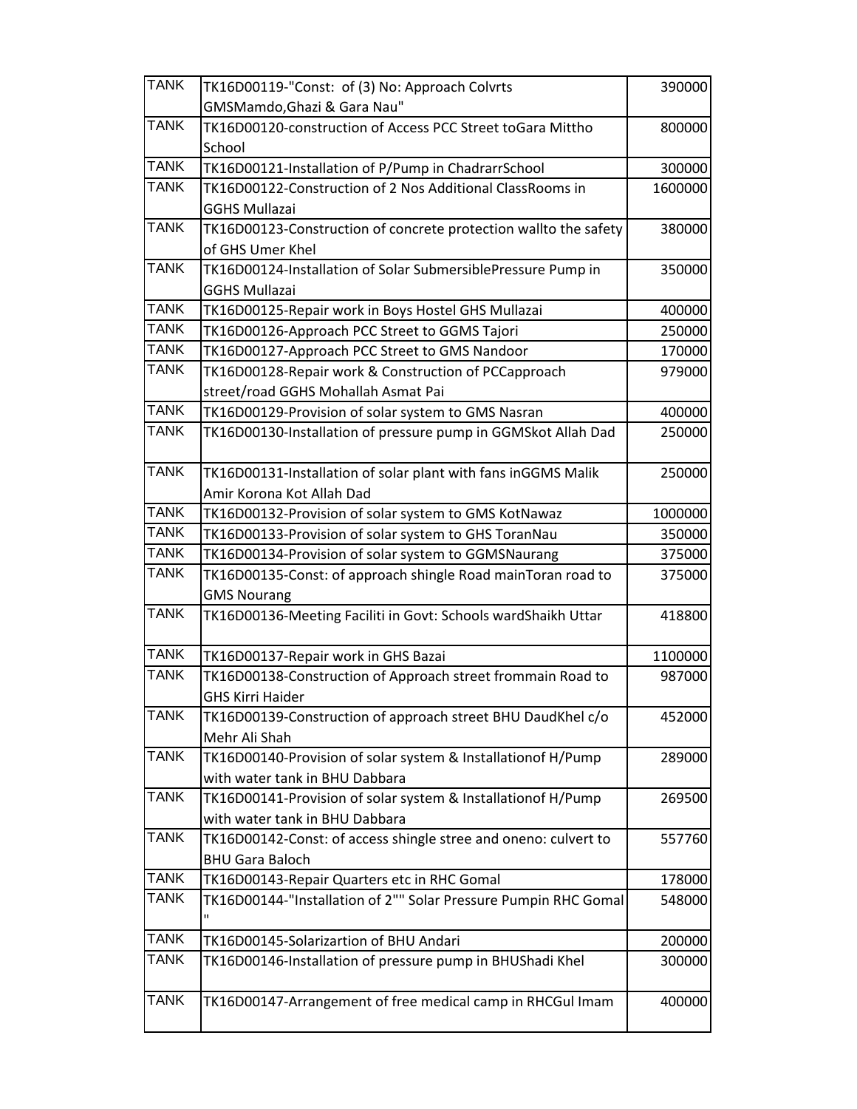| <b>TANK</b> | TK16D00119-"Const: of (3) No: Approach Colvrts                       | 390000  |
|-------------|----------------------------------------------------------------------|---------|
|             | GMSMamdo, Ghazi & Gara Nau"                                          |         |
| <b>TANK</b> | TK16D00120-construction of Access PCC Street toGara Mittho           | 800000  |
|             | School                                                               |         |
| <b>TANK</b> | TK16D00121-Installation of P/Pump in ChadrarrSchool                  | 300000  |
| <b>TANK</b> | TK16D00122-Construction of 2 Nos Additional ClassRooms in            | 1600000 |
|             | <b>GGHS Mullazai</b>                                                 |         |
| <b>TANK</b> | TK16D00123-Construction of concrete protection wallto the safety     | 380000  |
|             | of GHS Umer Khel                                                     |         |
| <b>TANK</b> | TK16D00124-Installation of Solar SubmersiblePressure Pump in         | 350000  |
|             | <b>GGHS Mullazai</b>                                                 |         |
| <b>TANK</b> | TK16D00125-Repair work in Boys Hostel GHS Mullazai                   | 400000  |
| <b>TANK</b> | TK16D00126-Approach PCC Street to GGMS Tajori                        | 250000  |
| <b>TANK</b> | TK16D00127-Approach PCC Street to GMS Nandoor                        | 170000  |
| <b>TANK</b> | TK16D00128-Repair work & Construction of PCCapproach                 | 979000  |
|             | street/road GGHS Mohallah Asmat Pai                                  |         |
| <b>TANK</b> | TK16D00129-Provision of solar system to GMS Nasran                   | 400000  |
| <b>TANK</b> | TK16D00130-Installation of pressure pump in GGMSkot Allah Dad        | 250000  |
| <b>TANK</b> | TK16D00131-Installation of solar plant with fans inGGMS Malik        | 250000  |
|             | Amir Korona Kot Allah Dad                                            |         |
| <b>TANK</b> | TK16D00132-Provision of solar system to GMS KotNawaz                 | 1000000 |
| <b>TANK</b> | TK16D00133-Provision of solar system to GHS ToranNau                 | 350000  |
| <b>TANK</b> | TK16D00134-Provision of solar system to GGMSNaurang                  | 375000  |
| <b>TANK</b> | TK16D00135-Const: of approach shingle Road mainToran road to         | 375000  |
|             | <b>GMS Nourang</b>                                                   |         |
| <b>TANK</b> | TK16D00136-Meeting Faciliti in Govt: Schools wardShaikh Uttar        | 418800  |
|             |                                                                      |         |
| <b>TANK</b> | TK16D00137-Repair work in GHS Bazai                                  | 1100000 |
| <b>TANK</b> | TK16D00138-Construction of Approach street frommain Road to          | 987000  |
|             | <b>GHS Kirri Haider</b>                                              |         |
| <b>TANK</b> | TK16D00139-Construction of approach street BHU DaudKhel c/o          | 452000  |
|             | Mehr Ali Shah                                                        |         |
| <b>TANK</b> | TK16D00140-Provision of solar system & Installationof H/Pump         | 289000  |
|             | with water tank in BHU Dabbara                                       |         |
| <b>TANK</b> | TK16D00141-Provision of solar system & Installationof H/Pump         | 269500  |
|             | with water tank in BHU Dabbara                                       |         |
| <b>TANK</b> | TK16D00142-Const: of access shingle stree and oneno: culvert to      | 557760  |
|             | <b>BHU Gara Baloch</b>                                               |         |
| <b>TANK</b> | TK16D00143-Repair Quarters etc in RHC Gomal                          | 178000  |
| <b>TANK</b> | TK16D00144-"Installation of 2"" Solar Pressure Pumpin RHC Gomal<br>Ħ | 548000  |
| <b>TANK</b> | TK16D00145-Solarizartion of BHU Andari                               | 200000  |
| <b>TANK</b> | TK16D00146-Installation of pressure pump in BHUShadi Khel            | 300000  |
|             |                                                                      |         |
| <b>TANK</b> | TK16D00147-Arrangement of free medical camp in RHCGul Imam           | 400000  |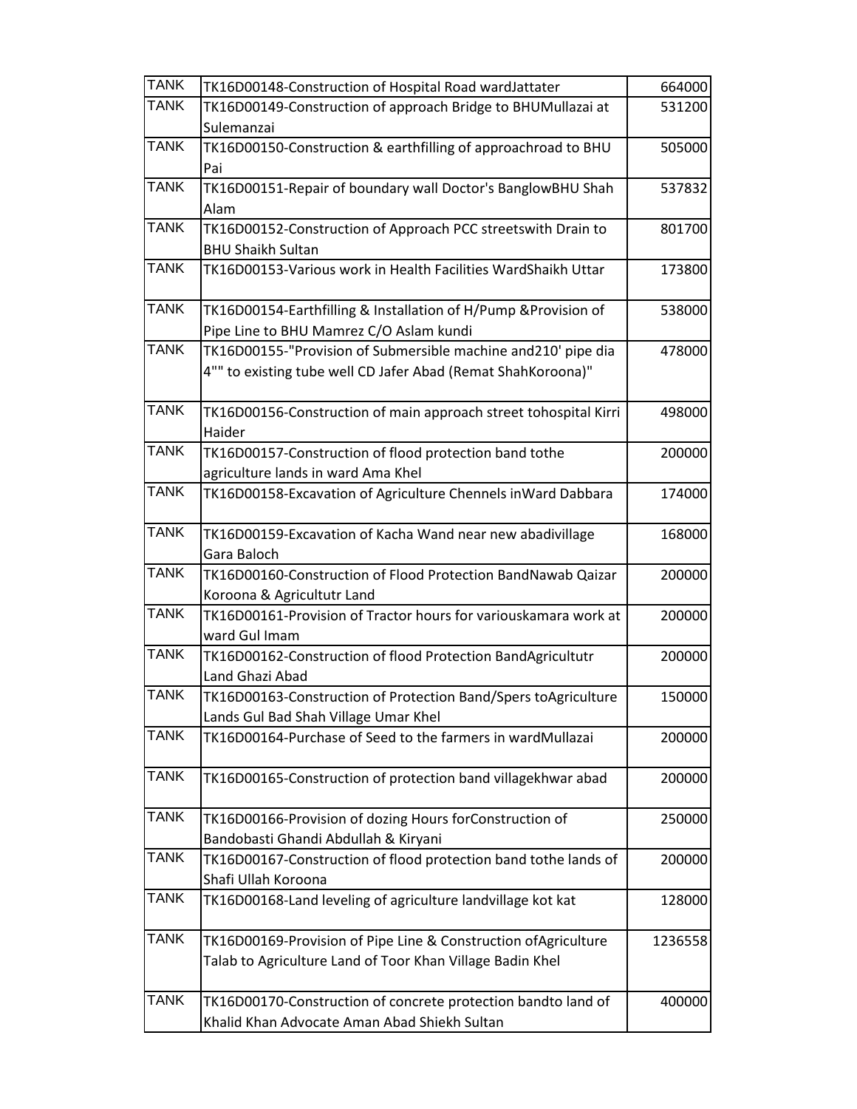| <b>TANK</b> | TK16D00148-Construction of Hospital Road wardJattater            | 664000  |
|-------------|------------------------------------------------------------------|---------|
| <b>TANK</b> | TK16D00149-Construction of approach Bridge to BHUMullazai at     | 531200  |
|             | Sulemanzai                                                       |         |
| <b>TANK</b> | TK16D00150-Construction & earthfilling of approachroad to BHU    | 505000  |
|             | Pai                                                              |         |
| <b>TANK</b> | TK16D00151-Repair of boundary wall Doctor's BanglowBHU Shah      | 537832  |
|             | Alam                                                             |         |
| <b>TANK</b> | TK16D00152-Construction of Approach PCC streetswith Drain to     | 801700  |
|             | <b>BHU Shaikh Sultan</b>                                         |         |
| <b>TANK</b> | TK16D00153-Various work in Health Facilities WardShaikh Uttar    | 173800  |
| <b>TANK</b> | TK16D00154-Earthfilling & Installation of H/Pump & Provision of  | 538000  |
|             | Pipe Line to BHU Mamrez C/O Aslam kundi                          |         |
| <b>TANK</b> | TK16D00155-"Provision of Submersible machine and210' pipe dia    | 478000  |
|             | 4"" to existing tube well CD Jafer Abad (Remat ShahKoroona)"     |         |
| <b>TANK</b> | TK16D00156-Construction of main approach street tohospital Kirri | 498000  |
|             | Haider                                                           |         |
| <b>TANK</b> | TK16D00157-Construction of flood protection band tothe           | 200000  |
|             | agriculture lands in ward Ama Khel                               |         |
| <b>TANK</b> | TK16D00158-Excavation of Agriculture Chennels inWard Dabbara     | 174000  |
| <b>TANK</b> | TK16D00159-Excavation of Kacha Wand near new abadivillage        | 168000  |
|             | Gara Baloch                                                      |         |
| <b>TANK</b> | TK16D00160-Construction of Flood Protection BandNawab Qaizar     | 200000  |
|             | Koroona & Agricultutr Land                                       |         |
| <b>TANK</b> | TK16D00161-Provision of Tractor hours for variouskamara work at  | 200000  |
|             | ward Gul Imam                                                    |         |
| <b>TANK</b> | TK16D00162-Construction of flood Protection BandAgricultutr      | 200000  |
|             | Land Ghazi Abad                                                  |         |
| <b>TANK</b> | TK16D00163-Construction of Protection Band/Spers toAgriculture   | 150000  |
|             | Lands Gul Bad Shah Village Umar Khel                             |         |
| <b>TANK</b> | TK16D00164-Purchase of Seed to the farmers in wardMullazai       | 200000  |
| <b>TANK</b> | TK16D00165-Construction of protection band villagekhwar abad     | 200000  |
| <b>TANK</b> | TK16D00166-Provision of dozing Hours forConstruction of          | 250000  |
|             | Bandobasti Ghandi Abdullah & Kiryani                             |         |
| <b>TANK</b> | TK16D00167-Construction of flood protection band tothe lands of  | 200000  |
|             | Shafi Ullah Koroona                                              |         |
| <b>TANK</b> | TK16D00168-Land leveling of agriculture landvillage kot kat      | 128000  |
| <b>TANK</b> | TK16D00169-Provision of Pipe Line & Construction ofAgriculture   | 1236558 |
|             | Talab to Agriculture Land of Toor Khan Village Badin Khel        |         |
| <b>TANK</b> | TK16D00170-Construction of concrete protection bandto land of    | 400000  |
|             | Khalid Khan Advocate Aman Abad Shiekh Sultan                     |         |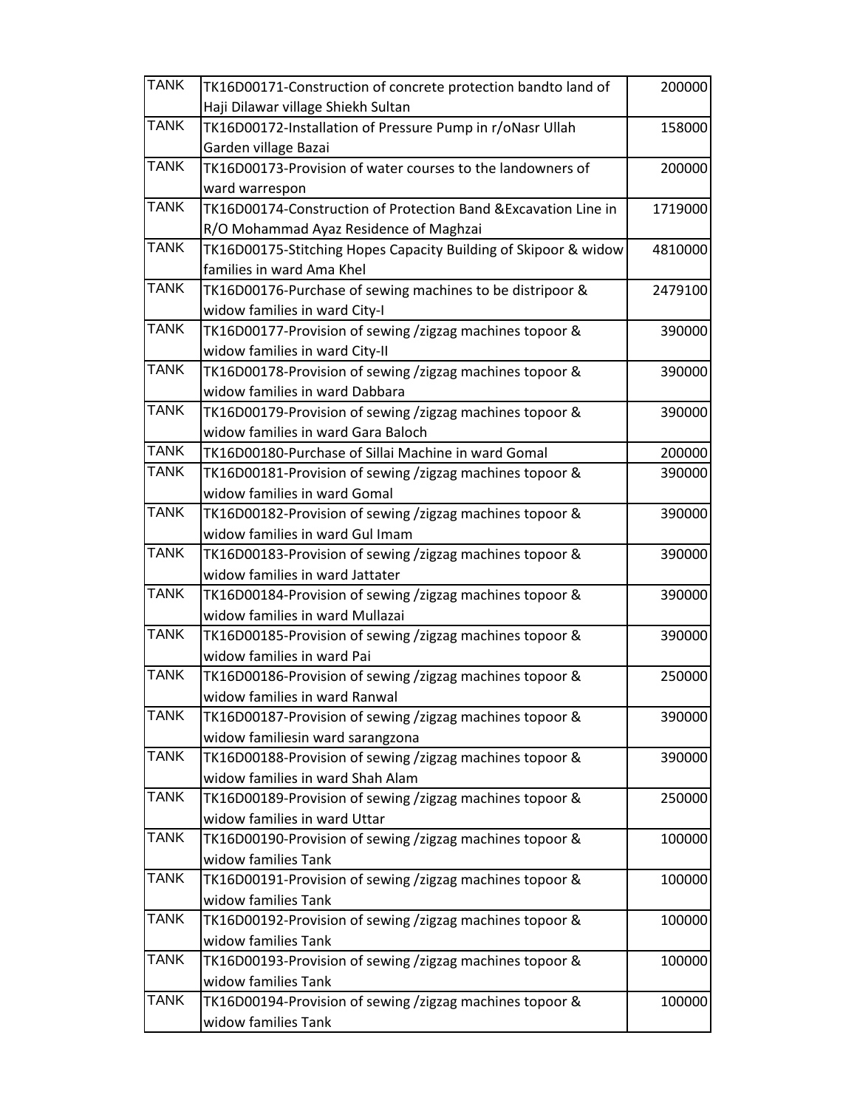| <b>TANK</b> | TK16D00171-Construction of concrete protection bandto land of   | 200000  |
|-------------|-----------------------------------------------------------------|---------|
|             | Haji Dilawar village Shiekh Sultan                              |         |
| <b>TANK</b> | TK16D00172-Installation of Pressure Pump in r/oNasr Ullah       | 158000  |
|             | Garden village Bazai                                            |         |
| <b>TANK</b> | TK16D00173-Provision of water courses to the landowners of      | 200000  |
|             | ward warrespon                                                  |         |
| <b>TANK</b> | TK16D00174-Construction of Protection Band & Excavation Line in | 1719000 |
|             | R/O Mohammad Ayaz Residence of Maghzai                          |         |
| <b>TANK</b> | TK16D00175-Stitching Hopes Capacity Building of Skipoor & widow | 4810000 |
|             | families in ward Ama Khel                                       |         |
| <b>TANK</b> | TK16D00176-Purchase of sewing machines to be distripoor &       | 2479100 |
|             | widow families in ward City-I                                   |         |
| <b>TANK</b> | TK16D00177-Provision of sewing /zigzag machines topoor &        | 390000  |
|             | widow families in ward City-II                                  |         |
| <b>TANK</b> | TK16D00178-Provision of sewing /zigzag machines topoor &        | 390000  |
|             | widow families in ward Dabbara                                  |         |
| <b>TANK</b> | TK16D00179-Provision of sewing /zigzag machines topoor &        | 390000  |
|             | widow families in ward Gara Baloch                              |         |
| <b>TANK</b> | TK16D00180-Purchase of Sillai Machine in ward Gomal             | 200000  |
| <b>TANK</b> | TK16D00181-Provision of sewing /zigzag machines topoor &        | 390000  |
|             | widow families in ward Gomal                                    |         |
| <b>TANK</b> | TK16D00182-Provision of sewing /zigzag machines topoor &        | 390000  |
|             | widow families in ward Gul Imam                                 |         |
| <b>TANK</b> | TK16D00183-Provision of sewing /zigzag machines topoor &        | 390000  |
|             | widow families in ward Jattater                                 |         |
| <b>TANK</b> | TK16D00184-Provision of sewing /zigzag machines topoor &        | 390000  |
|             | widow families in ward Mullazai                                 |         |
| <b>TANK</b> | TK16D00185-Provision of sewing /zigzag machines topoor &        | 390000  |
|             | widow families in ward Pai                                      |         |
| <b>TANK</b> | TK16D00186-Provision of sewing /zigzag machines topoor &        | 250000  |
|             | widow families in ward Ranwal                                   |         |
| <b>TANK</b> | TK16D00187-Provision of sewing /zigzag machines topoor &        | 390000  |
|             | widow familiesin ward sarangzona                                |         |
| <b>TANK</b> | TK16D00188-Provision of sewing /zigzag machines topoor &        | 390000  |
|             | widow families in ward Shah Alam                                |         |
| <b>TANK</b> | TK16D00189-Provision of sewing /zigzag machines topoor &        | 250000  |
| <b>TANK</b> | widow families in ward Uttar                                    |         |
|             | TK16D00190-Provision of sewing /zigzag machines topoor &        | 100000  |
| <b>TANK</b> | widow families Tank                                             |         |
|             | TK16D00191-Provision of sewing /zigzag machines topoor &        | 100000  |
| <b>TANK</b> | widow families Tank                                             |         |
|             | TK16D00192-Provision of sewing /zigzag machines topoor &        | 100000  |
| <b>TANK</b> | widow families Tank                                             |         |
|             | TK16D00193-Provision of sewing /zigzag machines topoor &        | 100000  |
| <b>TANK</b> | widow families Tank                                             |         |
|             | TK16D00194-Provision of sewing /zigzag machines topoor &        | 100000  |
|             | widow families Tank                                             |         |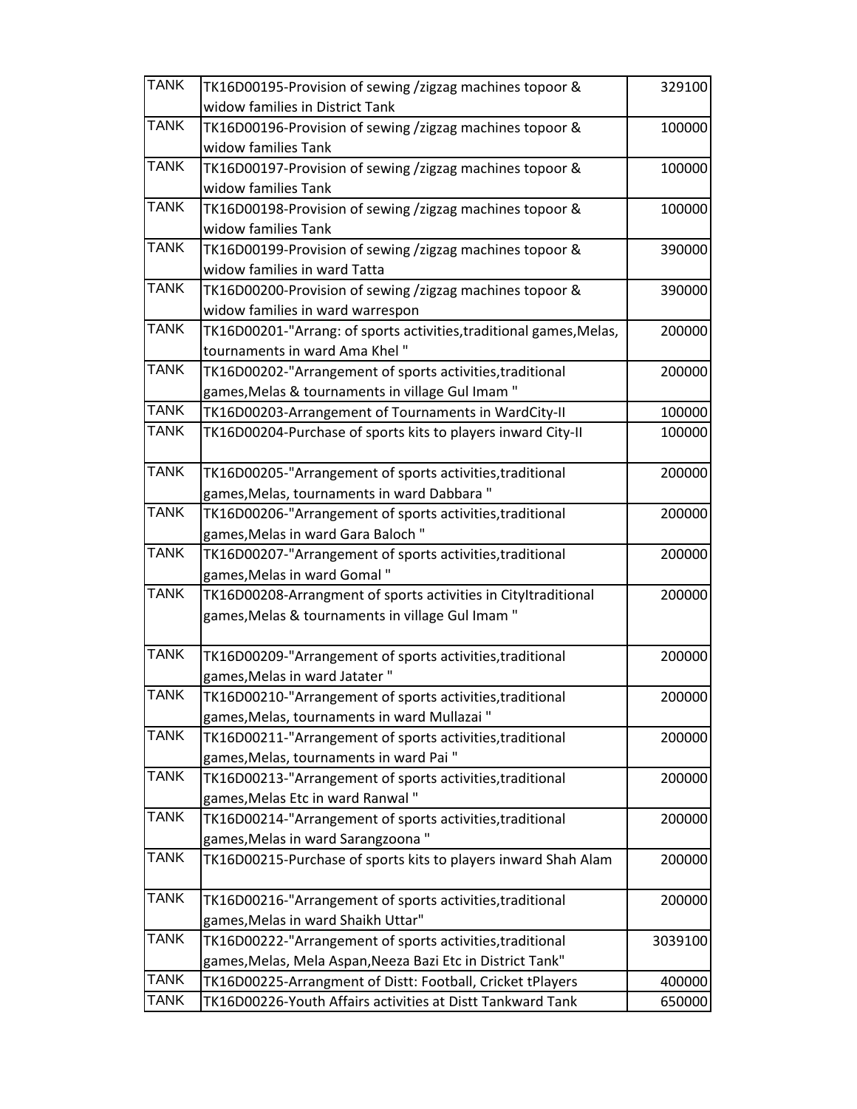| <b>TANK</b> | TK16D00195-Provision of sewing /zigzag machines topoor &            | 329100  |
|-------------|---------------------------------------------------------------------|---------|
|             | widow families in District Tank                                     |         |
| <b>TANK</b> | TK16D00196-Provision of sewing /zigzag machines topoor &            | 100000  |
|             | widow families Tank                                                 |         |
| <b>TANK</b> | TK16D00197-Provision of sewing /zigzag machines topoor &            | 100000  |
|             | widow families Tank                                                 |         |
| <b>TANK</b> | TK16D00198-Provision of sewing /zigzag machines topoor &            | 100000  |
|             | widow families Tank                                                 |         |
| <b>TANK</b> | TK16D00199-Provision of sewing /zigzag machines topoor &            | 390000  |
|             | widow families in ward Tatta                                        |         |
| <b>TANK</b> | TK16D00200-Provision of sewing /zigzag machines topoor &            | 390000  |
|             | widow families in ward warrespon                                    |         |
| <b>TANK</b> | TK16D00201-"Arrang: of sports activities, traditional games, Melas, | 200000  |
|             | tournaments in ward Ama Khel"                                       |         |
| <b>TANK</b> | TK16D00202-"Arrangement of sports activities, traditional           | 200000  |
|             | games, Melas & tournaments in village Gul Imam"                     |         |
| <b>TANK</b> | TK16D00203-Arrangement of Tournaments in WardCity-II                | 100000  |
| <b>TANK</b> | TK16D00204-Purchase of sports kits to players inward City-II        | 100000  |
|             |                                                                     |         |
| <b>TANK</b> | TK16D00205-"Arrangement of sports activities, traditional           | 200000  |
|             | games, Melas, tournaments in ward Dabbara"                          |         |
| <b>TANK</b> | TK16D00206-"Arrangement of sports activities, traditional           | 200000  |
|             | games, Melas in ward Gara Baloch"                                   |         |
| <b>TANK</b> | TK16D00207-"Arrangement of sports activities, traditional           | 200000  |
|             | games, Melas in ward Gomal"                                         |         |
| <b>TANK</b> | TK16D00208-Arrangment of sports activities in Cityltraditional      | 200000  |
|             | games, Melas & tournaments in village Gul Imam"                     |         |
|             |                                                                     |         |
| <b>TANK</b> | TK16D00209-"Arrangement of sports activities, traditional           | 200000  |
|             | games, Melas in ward Jatater"                                       |         |
| <b>TANK</b> | TK16D00210-"Arrangement of sports activities, traditional           | 200000  |
|             | games, Melas, tournaments in ward Mullazai"                         |         |
| <b>TANK</b> | TK16D00211-"Arrangement of sports activities, traditional           | 200000  |
|             | games, Melas, tournaments in ward Pai"                              |         |
| <b>TANK</b> | TK16D00213-"Arrangement of sports activities, traditional           | 200000  |
|             | games, Melas Etc in ward Ranwal"                                    |         |
| <b>TANK</b> | TK16D00214-"Arrangement of sports activities, traditional           | 200000  |
|             | games, Melas in ward Sarangzoona"                                   |         |
| <b>TANK</b> | TK16D00215-Purchase of sports kits to players inward Shah Alam      | 200000  |
|             |                                                                     |         |
| <b>TANK</b> | TK16D00216-"Arrangement of sports activities, traditional           | 200000  |
|             | games, Melas in ward Shaikh Uttar"                                  |         |
| <b>TANK</b> | TK16D00222-"Arrangement of sports activities, traditional           | 3039100 |
|             | games, Melas, Mela Aspan, Neeza Bazi Etc in District Tank"          |         |
| <b>TANK</b> | TK16D00225-Arrangment of Distt: Football, Cricket tPlayers          | 400000  |
| <b>TANK</b> | TK16D00226-Youth Affairs activities at Distt Tankward Tank          | 650000  |
|             |                                                                     |         |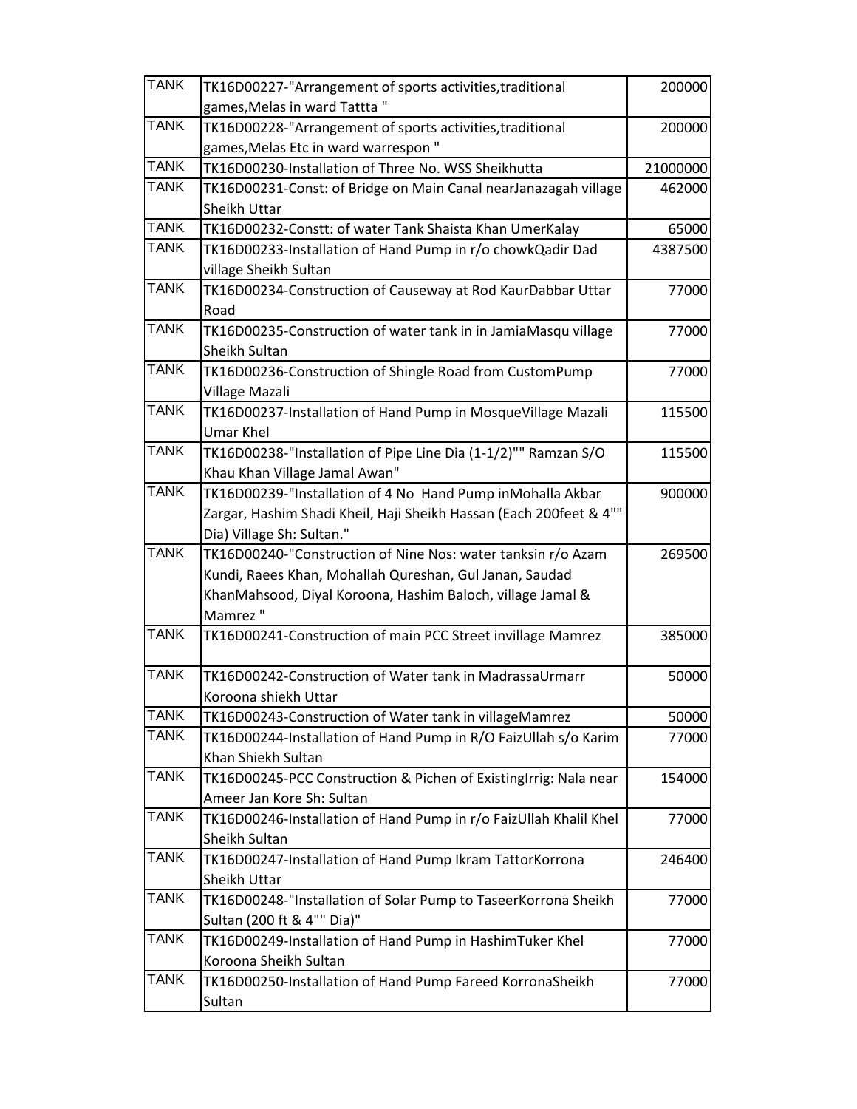| <b>TANK</b> | TK16D00227-"Arrangement of sports activities, traditional          | 200000   |
|-------------|--------------------------------------------------------------------|----------|
|             | games, Melas in ward Tattta"                                       |          |
| <b>TANK</b> | TK16D00228-"Arrangement of sports activities, traditional          | 200000   |
|             | games, Melas Etc in ward warrespon"                                |          |
| <b>TANK</b> | TK16D00230-Installation of Three No. WSS Sheikhutta                | 21000000 |
| <b>TANK</b> | TK16D00231-Const: of Bridge on Main Canal nearJanazagah village    | 462000   |
|             | Sheikh Uttar                                                       |          |
| <b>TANK</b> | TK16D00232-Constt: of water Tank Shaista Khan UmerKalay            | 65000    |
| <b>TANK</b> | TK16D00233-Installation of Hand Pump in r/o chowkQadir Dad         | 4387500  |
|             | village Sheikh Sultan                                              |          |
| <b>TANK</b> | TK16D00234-Construction of Causeway at Rod KaurDabbar Uttar        | 77000    |
|             | Road                                                               |          |
| <b>TANK</b> | TK16D00235-Construction of water tank in in JamiaMasqu village     | 77000    |
|             | Sheikh Sultan                                                      |          |
| <b>TANK</b> | TK16D00236-Construction of Shingle Road from CustomPump            | 77000    |
|             | Village Mazali                                                     |          |
| <b>TANK</b> | TK16D00237-Installation of Hand Pump in MosqueVillage Mazali       | 115500   |
|             | <b>Umar Khel</b>                                                   |          |
| <b>TANK</b> | TK16D00238-"Installation of Pipe Line Dia (1-1/2)"" Ramzan S/O     | 115500   |
|             | Khau Khan Village Jamal Awan"                                      |          |
| <b>TANK</b> | TK16D00239-"Installation of 4 No Hand Pump inMohalla Akbar         | 900000   |
|             | Zargar, Hashim Shadi Kheil, Haji Sheikh Hassan (Each 200feet & 4"" |          |
|             | Dia) Village Sh: Sultan."                                          |          |
| <b>TANK</b> | TK16D00240-"Construction of Nine Nos: water tanksin r/o Azam       | 269500   |
|             | Kundi, Raees Khan, Mohallah Qureshan, Gul Janan, Saudad            |          |
|             | KhanMahsood, Diyal Koroona, Hashim Baloch, village Jamal &         |          |
|             | Mamrez "                                                           |          |
| <b>TANK</b> | TK16D00241-Construction of main PCC Street invillage Mamrez        | 385000   |
| <b>TANK</b> | TK16D00242-Construction of Water tank in MadrassaUrmarr            | 50000    |
|             | Koroona shiekh Uttar                                               |          |
| <b>TANK</b> | TK16D00243-Construction of Water tank in villageMamrez             | 50000    |
| <b>TANK</b> | TK16D00244-Installation of Hand Pump in R/O FaizUllah s/o Karim    | 77000    |
|             | Khan Shiekh Sultan                                                 |          |
| <b>TANK</b> | TK16D00245-PCC Construction & Pichen of ExistingIrrig: Nala near   | 154000   |
|             | Ameer Jan Kore Sh: Sultan                                          |          |
| <b>TANK</b> | TK16D00246-Installation of Hand Pump in r/o FaizUllah Khalil Khel  | 77000    |
|             | Sheikh Sultan                                                      |          |
| <b>TANK</b> | TK16D00247-Installation of Hand Pump Ikram TattorKorrona           | 246400   |
|             | Sheikh Uttar                                                       |          |
| <b>TANK</b> | TK16D00248-"Installation of Solar Pump to TaseerKorrona Sheikh     | 77000    |
|             | Sultan (200 ft & 4"" Dia)"                                         |          |
| <b>TANK</b> | TK16D00249-Installation of Hand Pump in HashimTuker Khel           | 77000    |
|             | Koroona Sheikh Sultan                                              |          |
| <b>TANK</b> | TK16D00250-Installation of Hand Pump Fareed KorronaSheikh          | 77000    |
|             | Sultan                                                             |          |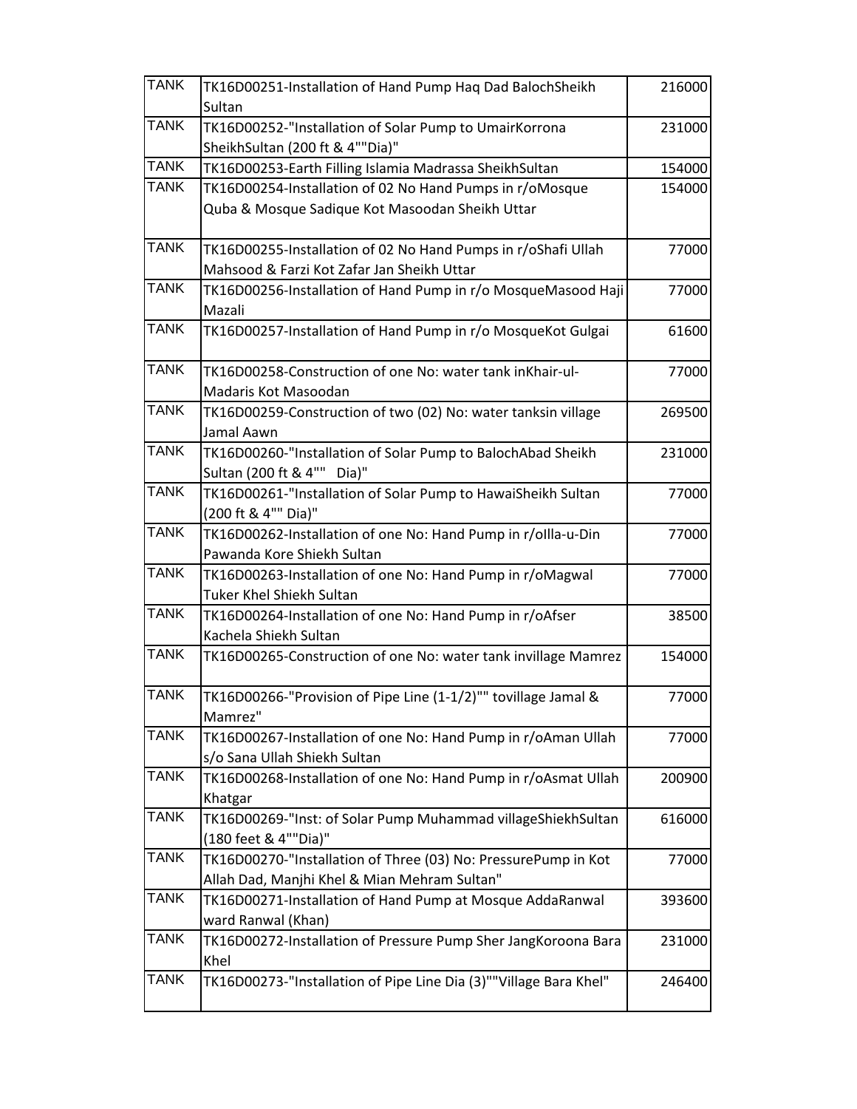| <b>TANK</b> | TK16D00251-Installation of Hand Pump Haq Dad BalochSheikh                         | 216000 |
|-------------|-----------------------------------------------------------------------------------|--------|
|             | Sultan                                                                            |        |
| <b>TANK</b> | TK16D00252-"Installation of Solar Pump to UmairKorrona                            | 231000 |
|             | SheikhSultan (200 ft & 4""Dia)"                                                   |        |
| <b>TANK</b> | TK16D00253-Earth Filling Islamia Madrassa SheikhSultan                            | 154000 |
| <b>TANK</b> | TK16D00254-Installation of 02 No Hand Pumps in r/oMosque                          | 154000 |
|             | Quba & Mosque Sadique Kot Masoodan Sheikh Uttar                                   |        |
|             |                                                                                   |        |
| <b>TANK</b> | TK16D00255-Installation of 02 No Hand Pumps in r/oShafi Ullah                     | 77000  |
|             | Mahsood & Farzi Kot Zafar Jan Sheikh Uttar                                        |        |
| <b>TANK</b> | TK16D00256-Installation of Hand Pump in r/o MosqueMasood Haji                     | 77000  |
|             | Mazali                                                                            |        |
| <b>TANK</b> | TK16D00257-Installation of Hand Pump in r/o MosqueKot Gulgai                      | 61600  |
|             |                                                                                   |        |
| <b>TANK</b> | TK16D00258-Construction of one No: water tank inKhair-ul-                         | 77000  |
|             | Madaris Kot Masoodan                                                              |        |
| <b>TANK</b> | TK16D00259-Construction of two (02) No: water tanksin village                     | 269500 |
|             | Jamal Aawn                                                                        |        |
| <b>TANK</b> | TK16D00260-"Installation of Solar Pump to BalochAbad Sheikh                       | 231000 |
| <b>TANK</b> | Sultan (200 ft & 4"" Dia)"                                                        |        |
|             | TK16D00261-"Installation of Solar Pump to HawaiSheikh Sultan                      | 77000  |
| <b>TANK</b> | (200 ft & 4"" Dia)"                                                               |        |
|             | TK16D00262-Installation of one No: Hand Pump in r/ollla-u-Din                     | 77000  |
| <b>TANK</b> | Pawanda Kore Shiekh Sultan                                                        |        |
|             | TK16D00263-Installation of one No: Hand Pump in r/oMagwal                         | 77000  |
| <b>TANK</b> | Tuker Khel Shiekh Sultan                                                          |        |
|             | TK16D00264-Installation of one No: Hand Pump in r/oAfser<br>Kachela Shiekh Sultan | 38500  |
| <b>TANK</b> | TK16D00265-Construction of one No: water tank invillage Mamrez                    |        |
|             |                                                                                   | 154000 |
| <b>TANK</b> | TK16D00266-"Provision of Pipe Line (1-1/2)"" tovillage Jamal &                    | 77000  |
|             | Mamrez"                                                                           |        |
| <b>TANK</b> | TK16D00267-Installation of one No: Hand Pump in r/oAman Ullah                     | 77000  |
|             | s/o Sana Ullah Shiekh Sultan                                                      |        |
| <b>TANK</b> | TK16D00268-Installation of one No: Hand Pump in r/oAsmat Ullah                    | 200900 |
|             | Khatgar                                                                           |        |
| <b>TANK</b> | TK16D00269-"Inst: of Solar Pump Muhammad villageShiekhSultan                      | 616000 |
|             | (180 feet & 4""Dia)"                                                              |        |
| <b>TANK</b> | TK16D00270-"Installation of Three (03) No: PressurePump in Kot                    | 77000  |
|             | Allah Dad, Manjhi Khel & Mian Mehram Sultan"                                      |        |
| <b>TANK</b> | TK16D00271-Installation of Hand Pump at Mosque AddaRanwal                         | 393600 |
|             | ward Ranwal (Khan)                                                                |        |
| <b>TANK</b> | TK16D00272-Installation of Pressure Pump Sher JangKoroona Bara                    | 231000 |
|             | Khel                                                                              |        |
| <b>TANK</b> | TK16D00273-"Installation of Pipe Line Dia (3)""Village Bara Khel"                 | 246400 |
|             |                                                                                   |        |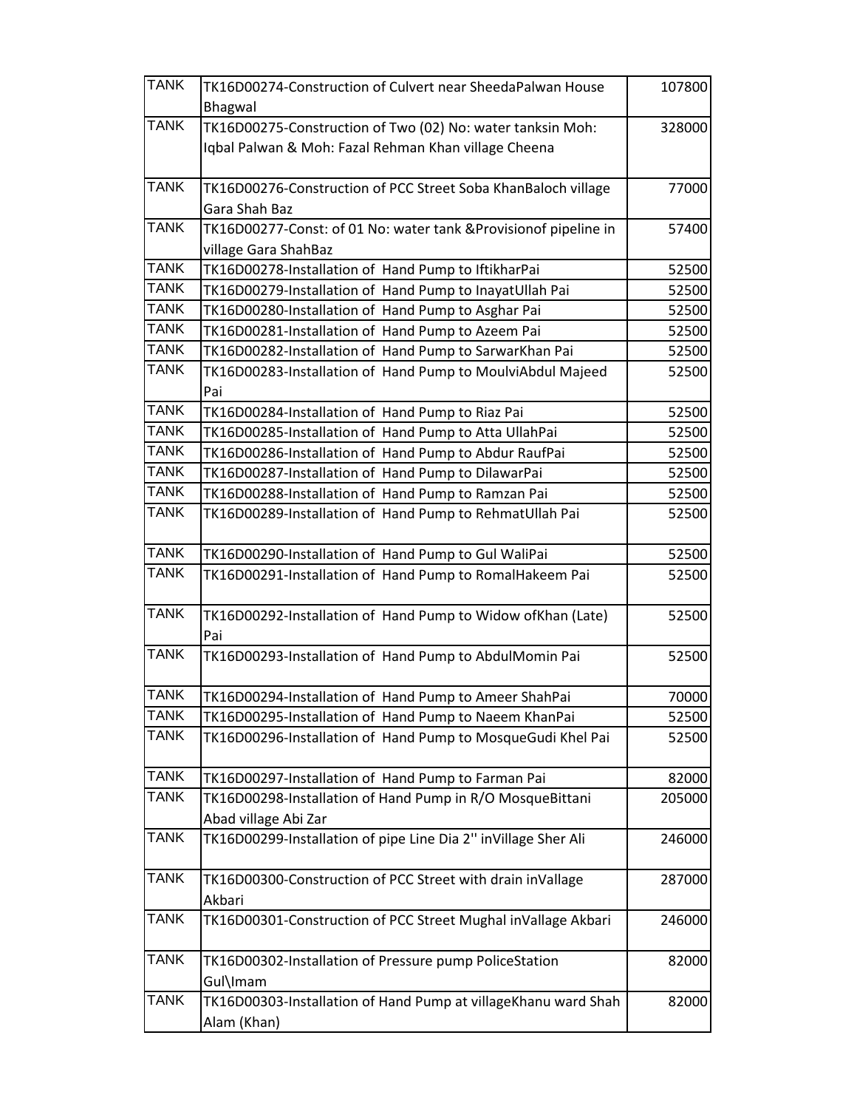| <b>TANK</b>                | TK16D00274-Construction of Culvert near SheedaPalwan House                    | 107800 |
|----------------------------|-------------------------------------------------------------------------------|--------|
|                            | Bhagwal                                                                       |        |
| <b>TANK</b>                | TK16D00275-Construction of Two (02) No: water tanksin Moh:                    | 328000 |
|                            | Iqbal Palwan & Moh: Fazal Rehman Khan village Cheena                          |        |
| <b>TANK</b>                | TK16D00276-Construction of PCC Street Soba KhanBaloch village                 | 77000  |
|                            | Gara Shah Baz                                                                 |        |
| <b>TANK</b>                | TK16D00277-Const: of 01 No: water tank & Provisionof pipeline in              | 57400  |
|                            | village Gara ShahBaz                                                          |        |
| <b>TANK</b>                | TK16D00278-Installation of Hand Pump to IftikharPai                           | 52500  |
| <b>TANK</b><br><b>TANK</b> | TK16D00279-Installation of Hand Pump to InayatUllah Pai                       | 52500  |
| <b>TANK</b>                | TK16D00280-Installation of Hand Pump to Asghar Pai                            | 52500  |
| <b>TANK</b>                | TK16D00281-Installation of Hand Pump to Azeem Pai                             | 52500  |
| <b>TANK</b>                | TK16D00282-Installation of Hand Pump to SarwarKhan Pai                        | 52500  |
|                            | TK16D00283-Installation of Hand Pump to MoulviAbdul Majeed<br>Pai             | 52500  |
| <b>TANK</b>                | TK16D00284-Installation of Hand Pump to Riaz Pai                              | 52500  |
| <b>TANK</b>                | TK16D00285-Installation of Hand Pump to Atta UllahPai                         | 52500  |
| <b>TANK</b>                | TK16D00286-Installation of Hand Pump to Abdur RaufPai                         | 52500  |
| <b>TANK</b>                | TK16D00287-Installation of Hand Pump to DilawarPai                            | 52500  |
| <b>TANK</b>                | TK16D00288-Installation of Hand Pump to Ramzan Pai                            | 52500  |
| <b>TANK</b>                | TK16D00289-Installation of Hand Pump to RehmatUllah Pai                       | 52500  |
| <b>TANK</b>                | TK16D00290-Installation of Hand Pump to Gul WaliPai                           | 52500  |
| <b>TANK</b>                | TK16D00291-Installation of Hand Pump to RomalHakeem Pai                       | 52500  |
| <b>TANK</b>                | TK16D00292-Installation of Hand Pump to Widow ofKhan (Late)<br>Pai            | 52500  |
| <b>TANK</b>                | TK16D00293-Installation of Hand Pump to AbdulMomin Pai                        | 52500  |
| <b>TANK</b>                | TK16D00294-Installation of Hand Pump to Ameer ShahPai                         | 70000  |
| <b>TANK</b>                | TK16D00295-Installation of Hand Pump to Naeem KhanPai                         | 52500  |
| <b>TANK</b>                | TK16D00296-Installation of Hand Pump to MosqueGudi Khel Pai                   | 52500  |
| <b>TANK</b>                | TK16D00297-Installation of Hand Pump to Farman Pai                            | 82000  |
| <b>TANK</b>                | TK16D00298-Installation of Hand Pump in R/O MosqueBittani                     | 205000 |
|                            | Abad village Abi Zar                                                          |        |
| <b>TANK</b>                | TK16D00299-Installation of pipe Line Dia 2" inVillage Sher Ali                | 246000 |
| <b>TANK</b>                | TK16D00300-Construction of PCC Street with drain inVallage<br>Akbari          | 287000 |
| <b>TANK</b>                | TK16D00301-Construction of PCC Street Mughal inVallage Akbari                 | 246000 |
| <b>TANK</b>                | TK16D00302-Installation of Pressure pump PoliceStation<br>Gul\Imam            | 82000  |
| <b>TANK</b>                | TK16D00303-Installation of Hand Pump at villageKhanu ward Shah<br>Alam (Khan) | 82000  |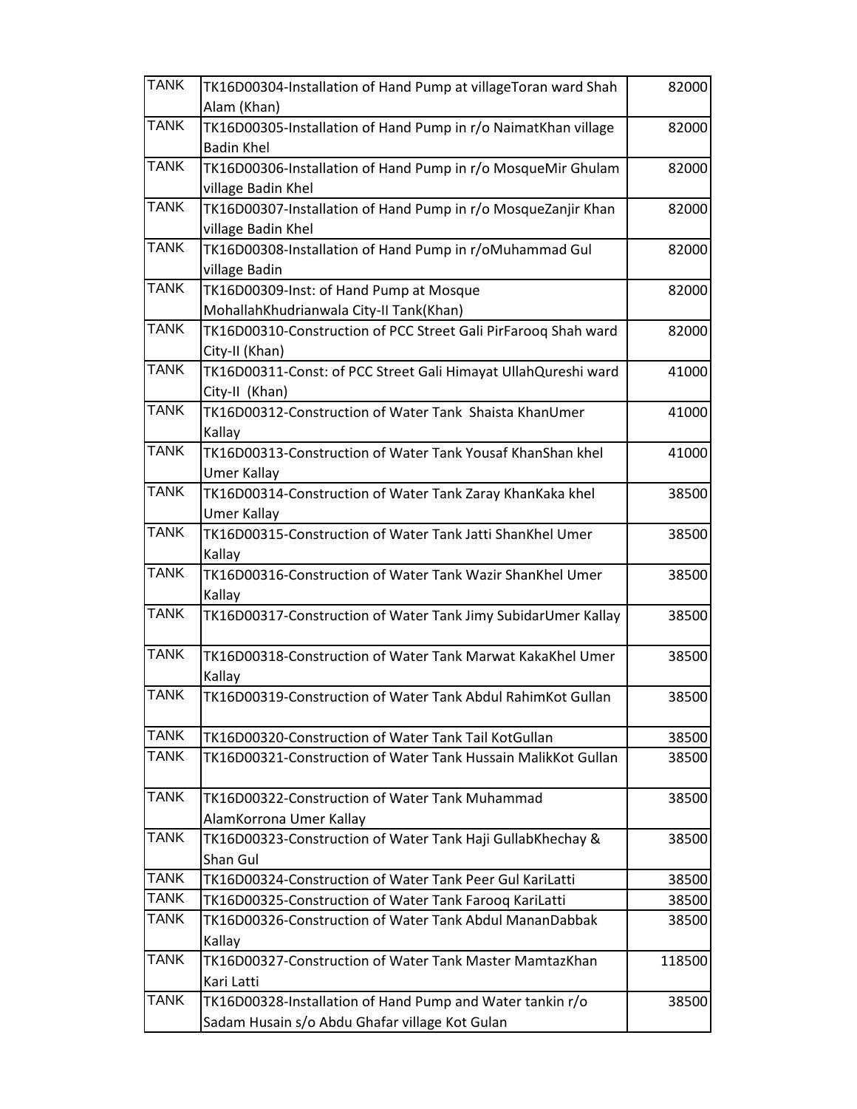| <b>TANK</b> | TK16D00304-Installation of Hand Pump at villageToran ward Shah | 82000  |
|-------------|----------------------------------------------------------------|--------|
|             | Alam (Khan)                                                    |        |
| <b>TANK</b> | TK16D00305-Installation of Hand Pump in r/o NaimatKhan village | 82000  |
|             | <b>Badin Khel</b>                                              |        |
| <b>TANK</b> | TK16D00306-Installation of Hand Pump in r/o MosqueMir Ghulam   | 82000  |
|             | village Badin Khel                                             |        |
| <b>TANK</b> | TK16D00307-Installation of Hand Pump in r/o MosqueZanjir Khan  | 82000  |
|             | village Badin Khel                                             |        |
| <b>TANK</b> | TK16D00308-Installation of Hand Pump in r/oMuhammad Gul        | 82000  |
|             | village Badin                                                  |        |
| <b>TANK</b> | TK16D00309-Inst: of Hand Pump at Mosque                        | 82000  |
|             | MohallahKhudrianwala City-II Tank(Khan)                        |        |
| <b>TANK</b> | TK16D00310-Construction of PCC Street Gali PirFarooq Shah ward | 82000  |
|             | City-II (Khan)                                                 |        |
| <b>TANK</b> | TK16D00311-Const: of PCC Street Gali Himayat UllahQureshi ward | 41000  |
|             | City-II (Khan)                                                 |        |
| <b>TANK</b> | TK16D00312-Construction of Water Tank Shaista KhanUmer         | 41000  |
|             | Kallay                                                         |        |
| <b>TANK</b> | TK16D00313-Construction of Water Tank Yousaf KhanShan khel     | 41000  |
|             | <b>Umer Kallay</b>                                             |        |
| <b>TANK</b> | TK16D00314-Construction of Water Tank Zaray KhanKaka khel      | 38500  |
|             | Umer Kallay                                                    |        |
| <b>TANK</b> | TK16D00315-Construction of Water Tank Jatti ShanKhel Umer      | 38500  |
|             | Kallay                                                         |        |
| <b>TANK</b> | TK16D00316-Construction of Water Tank Wazir ShanKhel Umer      | 38500  |
|             | Kallay                                                         |        |
| <b>TANK</b> | TK16D00317-Construction of Water Tank Jimy SubidarUmer Kallay  | 38500  |
|             |                                                                |        |
| <b>TANK</b> | TK16D00318-Construction of Water Tank Marwat KakaKhel Umer     | 38500  |
|             | Kallay                                                         |        |
| <b>TANK</b> | TK16D00319-Construction of Water Tank Abdul RahimKot Gullan    | 38500  |
|             |                                                                |        |
| <b>TANK</b> | TK16D00320-Construction of Water Tank Tail KotGullan           | 38500  |
| <b>TANK</b> | TK16D00321-Construction of Water Tank Hussain MalikKot Gullan  | 38500  |
|             |                                                                |        |
| <b>TANK</b> | TK16D00322-Construction of Water Tank Muhammad                 | 38500  |
|             | AlamKorrona Umer Kallay                                        |        |
| <b>TANK</b> | TK16D00323-Construction of Water Tank Haji GullabKhechay &     | 38500  |
|             | Shan Gul                                                       |        |
| <b>TANK</b> | TK16D00324-Construction of Water Tank Peer Gul KariLatti       | 38500  |
| <b>TANK</b> | TK16D00325-Construction of Water Tank Farooq KariLatti         | 38500  |
| <b>TANK</b> | TK16D00326-Construction of Water Tank Abdul MananDabbak        | 38500  |
|             | Kallay                                                         |        |
| <b>TANK</b> | TK16D00327-Construction of Water Tank Master MamtazKhan        | 118500 |
|             | Kari Latti                                                     |        |
| <b>TANK</b> | TK16D00328-Installation of Hand Pump and Water tankin r/o      | 38500  |
|             | Sadam Husain s/o Abdu Ghafar village Kot Gulan                 |        |
|             |                                                                |        |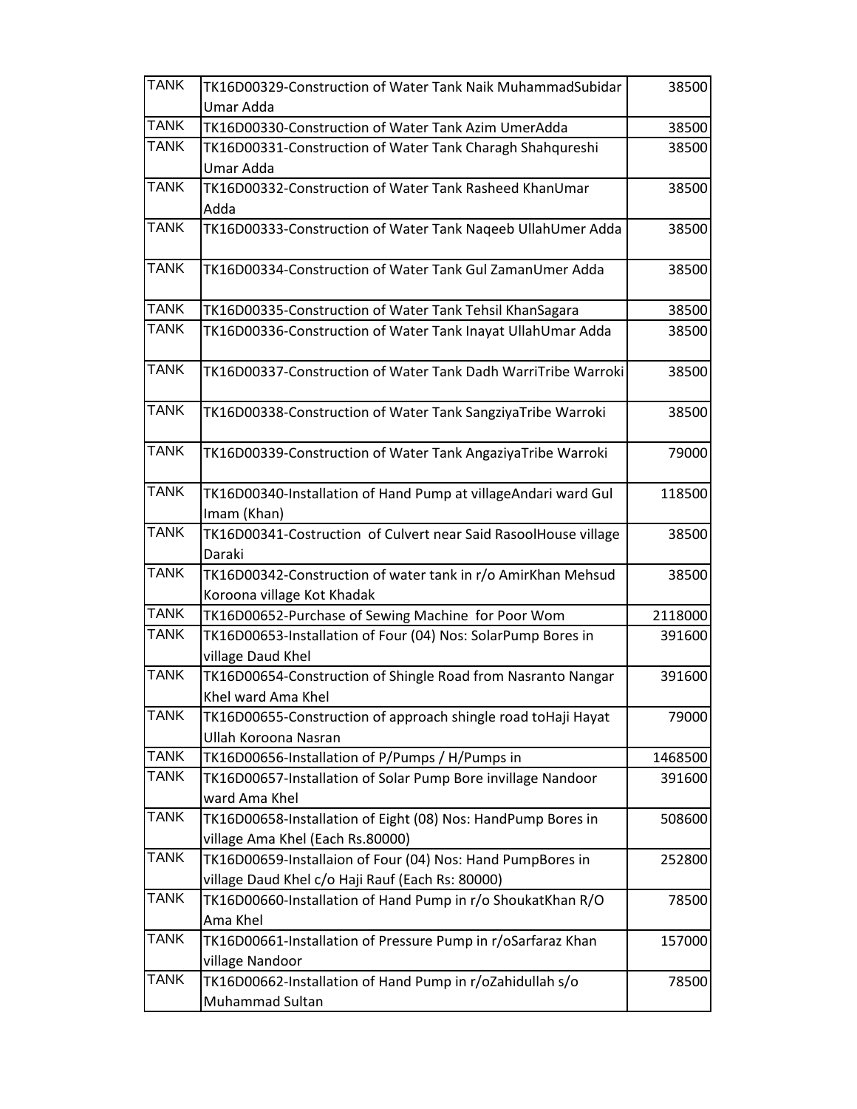| <b>TANK</b> | TK16D00329-Construction of Water Tank Naik MuhammadSubidar                    | 38500   |
|-------------|-------------------------------------------------------------------------------|---------|
|             | Umar Adda                                                                     |         |
| <b>TANK</b> | TK16D00330-Construction of Water Tank Azim UmerAdda                           | 38500   |
| <b>TANK</b> | TK16D00331-Construction of Water Tank Charagh Shahqureshi                     | 38500   |
|             | Umar Adda                                                                     |         |
| <b>TANK</b> | TK16D00332-Construction of Water Tank Rasheed KhanUmar                        | 38500   |
| <b>TANK</b> | Adda                                                                          |         |
|             | TK16D00333-Construction of Water Tank Nageeb UllahUmer Adda                   | 38500   |
| <b>TANK</b> | TK16D00334-Construction of Water Tank Gul ZamanUmer Adda                      | 38500   |
| <b>TANK</b> | TK16D00335-Construction of Water Tank Tehsil KhanSagara                       | 38500   |
| <b>TANK</b> | TK16D00336-Construction of Water Tank Inayat UllahUmar Adda                   | 38500   |
| <b>TANK</b> | TK16D00337-Construction of Water Tank Dadh WarriTribe Warroki                 | 38500   |
| <b>TANK</b> | TK16D00338-Construction of Water Tank SangziyaTribe Warroki                   | 38500   |
| <b>TANK</b> | TK16D00339-Construction of Water Tank AngaziyaTribe Warroki                   | 79000   |
| <b>TANK</b> | TK16D00340-Installation of Hand Pump at villageAndari ward Gul<br>Imam (Khan) | 118500  |
| <b>TANK</b> | TK16D00341-Costruction of Culvert near Said RasoolHouse village               | 38500   |
|             | Daraki                                                                        |         |
| <b>TANK</b> | TK16D00342-Construction of water tank in r/o AmirKhan Mehsud                  | 38500   |
|             | Koroona village Kot Khadak                                                    |         |
| <b>TANK</b> | TK16D00652-Purchase of Sewing Machine for Poor Wom                            | 2118000 |
| <b>TANK</b> | TK16D00653-Installation of Four (04) Nos: SolarPump Bores in                  | 391600  |
|             | village Daud Khel                                                             |         |
| <b>TANK</b> | TK16D00654-Construction of Shingle Road from Nasranto Nangar                  | 391600  |
|             | Khel ward Ama Khel                                                            |         |
| <b>TANK</b> | TK16D00655-Construction of approach shingle road toHaji Hayat                 | 79000   |
|             | Ullah Koroona Nasran                                                          |         |
| <b>TANK</b> | TK16D00656-Installation of P/Pumps / H/Pumps in                               | 1468500 |
| <b>TANK</b> | TK16D00657-Installation of Solar Pump Bore invillage Nandoor                  | 391600  |
|             | ward Ama Khel                                                                 |         |
| <b>TANK</b> | TK16D00658-Installation of Eight (08) Nos: HandPump Bores in                  | 508600  |
|             | village Ama Khel (Each Rs.80000)                                              |         |
| <b>TANK</b> | TK16D00659-Installaion of Four (04) Nos: Hand PumpBores in                    | 252800  |
|             | village Daud Khel c/o Haji Rauf (Each Rs: 80000)                              |         |
| <b>TANK</b> | TK16D00660-Installation of Hand Pump in r/o ShoukatKhan R/O                   | 78500   |
|             | Ama Khel                                                                      |         |
| <b>TANK</b> | TK16D00661-Installation of Pressure Pump in r/oSarfaraz Khan                  | 157000  |
|             | village Nandoor                                                               |         |
| <b>TANK</b> | TK16D00662-Installation of Hand Pump in r/oZahidullah s/o                     | 78500   |
|             | Muhammad Sultan                                                               |         |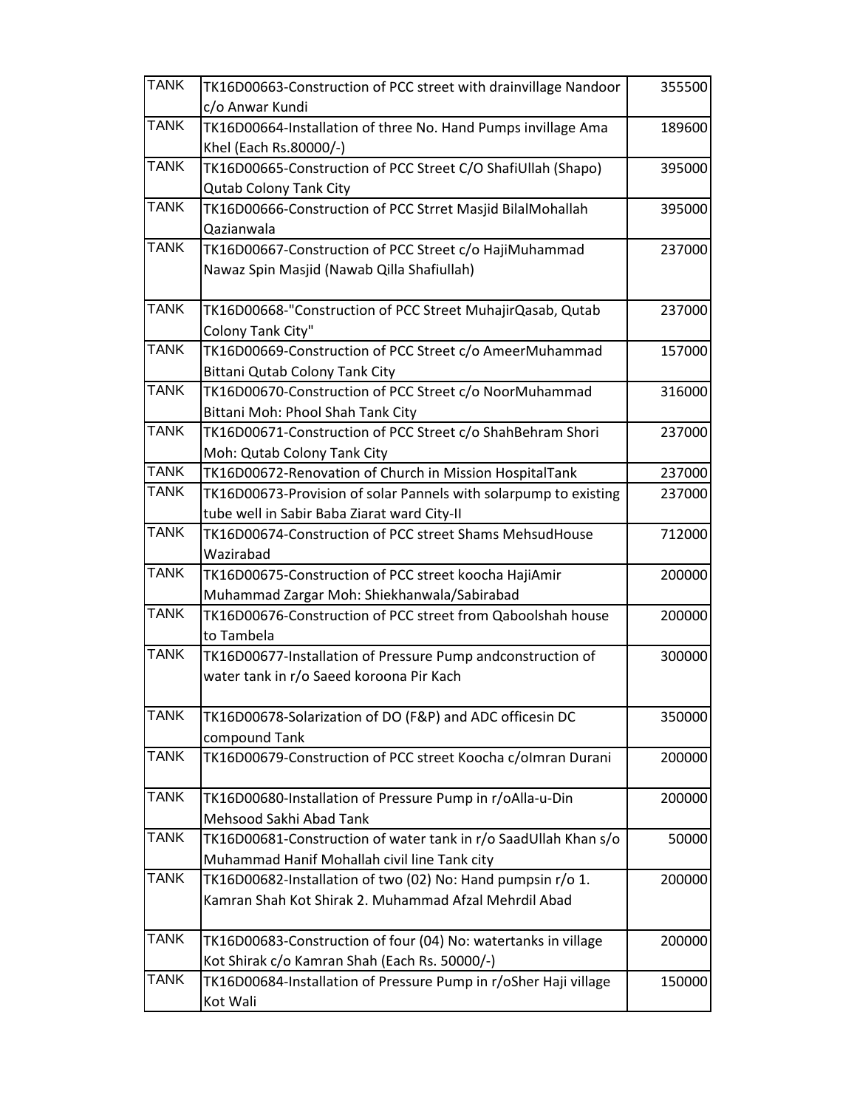| <b>TANK</b> | TK16D00663-Construction of PCC street with drainvillage Nandoor                               | 355500 |
|-------------|-----------------------------------------------------------------------------------------------|--------|
|             | c/o Anwar Kundi                                                                               |        |
| <b>TANK</b> | TK16D00664-Installation of three No. Hand Pumps invillage Ama<br>Khel (Each Rs.80000/-)       | 189600 |
| <b>TANK</b> |                                                                                               |        |
|             | TK16D00665-Construction of PCC Street C/O ShafiUllah (Shapo)<br><b>Qutab Colony Tank City</b> | 395000 |
| <b>TANK</b> | TK16D00666-Construction of PCC Strret Masjid BilalMohallah                                    | 395000 |
|             | Qazianwala                                                                                    |        |
| <b>TANK</b> | TK16D00667-Construction of PCC Street c/o HajiMuhammad                                        | 237000 |
|             | Nawaz Spin Masjid (Nawab Qilla Shafiullah)                                                    |        |
| <b>TANK</b> | TK16D00668-"Construction of PCC Street MuhajirQasab, Qutab                                    | 237000 |
|             | Colony Tank City"                                                                             |        |
| <b>TANK</b> | TK16D00669-Construction of PCC Street c/o AmeerMuhammad                                       | 157000 |
|             | Bittani Qutab Colony Tank City                                                                |        |
| <b>TANK</b> | TK16D00670-Construction of PCC Street c/o NoorMuhammad                                        | 316000 |
|             | Bittani Moh: Phool Shah Tank City                                                             |        |
| <b>TANK</b> | TK16D00671-Construction of PCC Street c/o ShahBehram Shori                                    | 237000 |
|             | Moh: Qutab Colony Tank City                                                                   |        |
| <b>TANK</b> | TK16D00672-Renovation of Church in Mission HospitalTank                                       | 237000 |
| <b>TANK</b> | TK16D00673-Provision of solar Pannels with solarpump to existing                              | 237000 |
|             | tube well in Sabir Baba Ziarat ward City-II                                                   |        |
| <b>TANK</b> | TK16D00674-Construction of PCC street Shams MehsudHouse                                       | 712000 |
|             | Wazirabad                                                                                     |        |
| <b>TANK</b> | TK16D00675-Construction of PCC street koocha HajiAmir                                         | 200000 |
|             | Muhammad Zargar Moh: Shiekhanwala/Sabirabad                                                   |        |
| <b>TANK</b> | TK16D00676-Construction of PCC street from Qaboolshah house                                   | 200000 |
|             | to Tambela                                                                                    |        |
| <b>TANK</b> | TK16D00677-Installation of Pressure Pump andconstruction of                                   | 300000 |
|             | water tank in r/o Saeed koroona Pir Kach                                                      |        |
| <b>TANK</b> | TK16D00678-Solarization of DO (F&P) and ADC officesin DC                                      | 350000 |
|             | compound Tank                                                                                 |        |
| <b>TANK</b> | TK16D00679-Construction of PCC street Koocha c/olmran Durani                                  | 200000 |
| <b>TANK</b> | TK16D00680-Installation of Pressure Pump in r/oAlla-u-Din                                     | 200000 |
|             | Mehsood Sakhi Abad Tank                                                                       |        |
| <b>TANK</b> | TK16D00681-Construction of water tank in r/o SaadUllah Khan s/o                               | 50000  |
|             | Muhammad Hanif Mohallah civil line Tank city                                                  |        |
| <b>TANK</b> | TK16D00682-Installation of two (02) No: Hand pumpsin r/o 1.                                   | 200000 |
|             | Kamran Shah Kot Shirak 2. Muhammad Afzal Mehrdil Abad                                         |        |
| <b>TANK</b> | TK16D00683-Construction of four (04) No: watertanks in village                                | 200000 |
|             | Kot Shirak c/o Kamran Shah (Each Rs. 50000/-)                                                 |        |
| <b>TANK</b> | TK16D00684-Installation of Pressure Pump in r/oSher Haji village                              | 150000 |
|             | Kot Wali                                                                                      |        |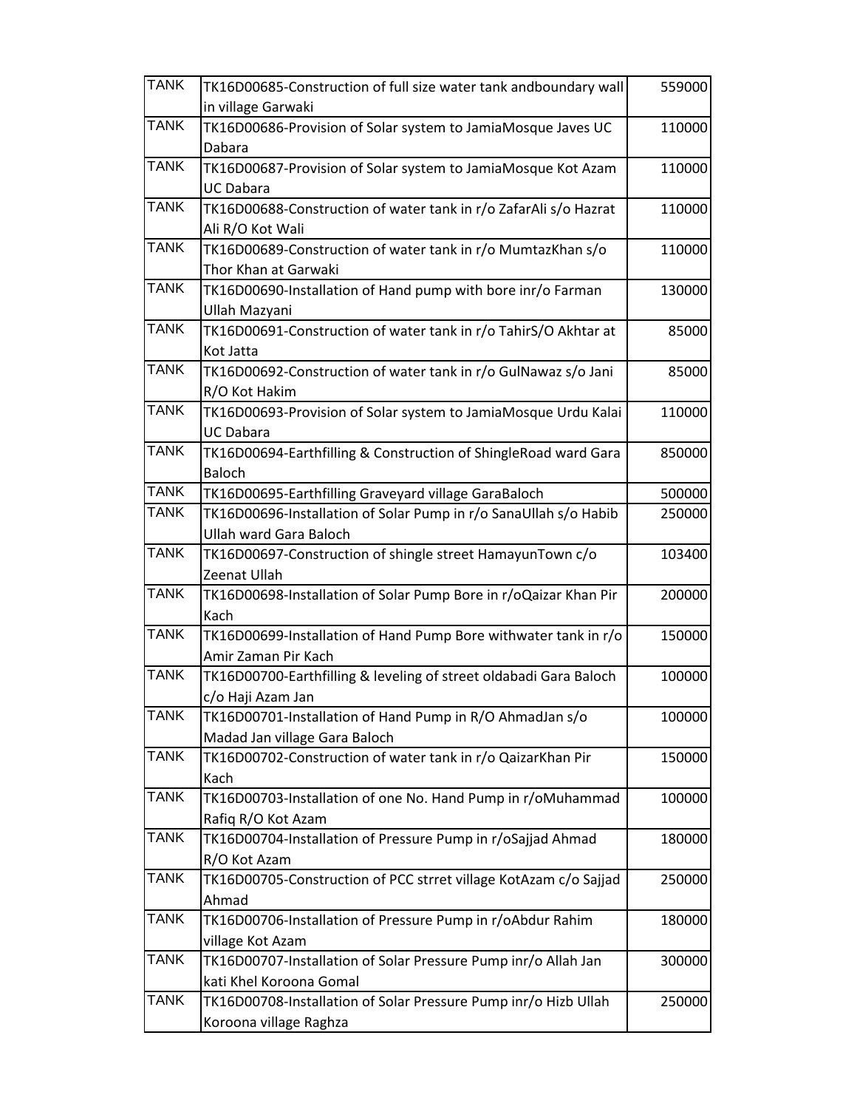| <b>TANK</b> | TK16D00685-Construction of full size water tank andboundary wall  | 559000 |
|-------------|-------------------------------------------------------------------|--------|
|             | in village Garwaki                                                |        |
| <b>TANK</b> | TK16D00686-Provision of Solar system to JamiaMosque Javes UC      | 110000 |
|             | Dabara                                                            |        |
| <b>TANK</b> | TK16D00687-Provision of Solar system to JamiaMosque Kot Azam      | 110000 |
|             | <b>UC Dabara</b>                                                  |        |
| <b>TANK</b> | TK16D00688-Construction of water tank in r/o ZafarAli s/o Hazrat  | 110000 |
|             | Ali R/O Kot Wali                                                  |        |
| <b>TANK</b> | TK16D00689-Construction of water tank in r/o MumtazKhan s/o       | 110000 |
|             | Thor Khan at Garwaki                                              |        |
| <b>TANK</b> | TK16D00690-Installation of Hand pump with bore inr/o Farman       | 130000 |
|             | Ullah Mazyani                                                     |        |
| <b>TANK</b> | TK16D00691-Construction of water tank in r/o TahirS/O Akhtar at   | 85000  |
|             | Kot Jatta                                                         |        |
| <b>TANK</b> | TK16D00692-Construction of water tank in r/o GulNawaz s/o Jani    | 85000  |
|             | R/O Kot Hakim                                                     |        |
| <b>TANK</b> | TK16D00693-Provision of Solar system to JamiaMosque Urdu Kalai    | 110000 |
|             | <b>UC Dabara</b>                                                  |        |
| <b>TANK</b> | TK16D00694-Earthfilling & Construction of ShingleRoad ward Gara   | 850000 |
|             | <b>Baloch</b>                                                     |        |
| <b>TANK</b> | TK16D00695-Earthfilling Graveyard village GaraBaloch              | 500000 |
| <b>TANK</b> | TK16D00696-Installation of Solar Pump in r/o SanaUllah s/o Habib  | 250000 |
|             | <b>Ullah ward Gara Baloch</b>                                     |        |
| <b>TANK</b> | TK16D00697-Construction of shingle street HamayunTown c/o         | 103400 |
|             | Zeenat Ullah                                                      |        |
| <b>TANK</b> | TK16D00698-Installation of Solar Pump Bore in r/oQaizar Khan Pir  | 200000 |
|             | Kach                                                              |        |
| <b>TANK</b> | TK16D00699-Installation of Hand Pump Bore withwater tank in r/o   | 150000 |
|             | Amir Zaman Pir Kach                                               |        |
| <b>TANK</b> | TK16D00700-Earthfilling & leveling of street oldabadi Gara Baloch | 100000 |
|             | c/o Haji Azam Jan                                                 |        |
| <b>TANK</b> | TK16D00701-Installation of Hand Pump in R/O AhmadJan s/o          | 100000 |
|             | Madad Jan village Gara Baloch                                     |        |
| <b>TANK</b> | TK16D00702-Construction of water tank in r/o QaizarKhan Pir       | 150000 |
|             | Kach                                                              |        |
| <b>TANK</b> | TK16D00703-Installation of one No. Hand Pump in r/oMuhammad       | 100000 |
|             | Rafiq R/O Kot Azam                                                |        |
| <b>TANK</b> | TK16D00704-Installation of Pressure Pump in r/oSajjad Ahmad       | 180000 |
|             | R/O Kot Azam                                                      |        |
| <b>TANK</b> | TK16D00705-Construction of PCC strret village KotAzam c/o Sajjad  | 250000 |
|             | Ahmad                                                             |        |
| <b>TANK</b> | TK16D00706-Installation of Pressure Pump in r/oAbdur Rahim        | 180000 |
|             | village Kot Azam                                                  |        |
| <b>TANK</b> | TK16D00707-Installation of Solar Pressure Pump inr/o Allah Jan    | 300000 |
|             | kati Khel Koroona Gomal                                           |        |
| <b>TANK</b> | TK16D00708-Installation of Solar Pressure Pump inr/o Hizb Ullah   | 250000 |
|             | Koroona village Raghza                                            |        |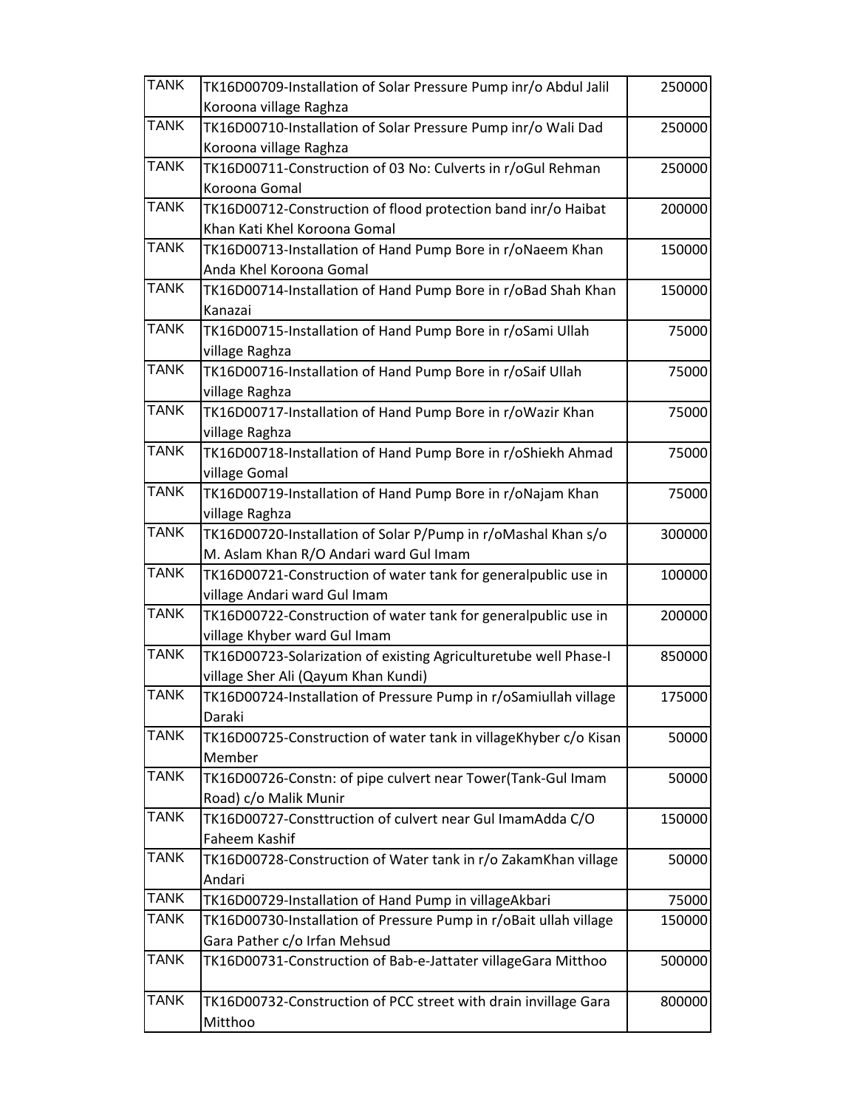| <b>TANK</b> | TK16D00709-Installation of Solar Pressure Pump inr/o Abdul Jalil  | 250000 |
|-------------|-------------------------------------------------------------------|--------|
|             | Koroona village Raghza                                            |        |
| <b>TANK</b> | TK16D00710-Installation of Solar Pressure Pump inr/o Wali Dad     | 250000 |
|             | Koroona village Raghza                                            |        |
| <b>TANK</b> | TK16D00711-Construction of 03 No: Culverts in r/oGul Rehman       | 250000 |
|             | Koroona Gomal                                                     |        |
| <b>TANK</b> | TK16D00712-Construction of flood protection band inr/o Haibat     | 200000 |
|             | Khan Kati Khel Koroona Gomal                                      |        |
| <b>TANK</b> | TK16D00713-Installation of Hand Pump Bore in r/oNaeem Khan        | 150000 |
|             | Anda Khel Koroona Gomal                                           |        |
| <b>TANK</b> | TK16D00714-Installation of Hand Pump Bore in r/oBad Shah Khan     | 150000 |
|             | Kanazai                                                           |        |
| <b>TANK</b> | TK16D00715-Installation of Hand Pump Bore in r/oSami Ullah        | 75000  |
|             | village Raghza                                                    |        |
| <b>TANK</b> | TK16D00716-Installation of Hand Pump Bore in r/oSaif Ullah        | 75000  |
|             | village Raghza                                                    |        |
| <b>TANK</b> | TK16D00717-Installation of Hand Pump Bore in r/oWazir Khan        | 75000  |
|             | village Raghza                                                    |        |
| <b>TANK</b> | TK16D00718-Installation of Hand Pump Bore in r/oShiekh Ahmad      | 75000  |
|             |                                                                   |        |
| <b>TANK</b> | village Gomal                                                     |        |
|             | TK16D00719-Installation of Hand Pump Bore in r/oNajam Khan        | 75000  |
| <b>TANK</b> | village Raghza                                                    |        |
|             | TK16D00720-Installation of Solar P/Pump in r/oMashal Khan s/o     | 300000 |
|             | M. Aslam Khan R/O Andari ward Gul Imam                            |        |
| <b>TANK</b> | TK16D00721-Construction of water tank for generalpublic use in    | 100000 |
|             | village Andari ward Gul Imam                                      |        |
| <b>TANK</b> | TK16D00722-Construction of water tank for generalpublic use in    | 200000 |
|             | village Khyber ward Gul Imam                                      |        |
| <b>TANK</b> | TK16D00723-Solarization of existing Agriculturetube well Phase-I  | 850000 |
|             | village Sher Ali (Qayum Khan Kundi)                               |        |
| <b>TANK</b> | TK16D00724-Installation of Pressure Pump in r/oSamiullah village  | 175000 |
|             | Daraki                                                            |        |
| <b>TANK</b> | TK16D00725-Construction of water tank in villageKhyber c/o Kisan  | 50000  |
|             | Member                                                            |        |
| <b>TANK</b> | TK16D00726-Constn: of pipe culvert near Tower(Tank-Gul Imam       | 50000  |
|             | Road) c/o Malik Munir                                             |        |
| <b>TANK</b> | TK16D00727-Consttruction of culvert near Gul ImamAdda C/O         | 150000 |
|             | Faheem Kashif                                                     |        |
| <b>TANK</b> | TK16D00728-Construction of Water tank in r/o ZakamKhan village    | 50000  |
|             | Andari                                                            |        |
| <b>TANK</b> | TK16D00729-Installation of Hand Pump in villageAkbari             | 75000  |
| <b>TANK</b> | TK16D00730-Installation of Pressure Pump in r/oBait ullah village | 150000 |
|             | Gara Pather c/o Irfan Mehsud                                      |        |
| <b>TANK</b> | TK16D00731-Construction of Bab-e-Jattater villageGara Mitthoo     | 500000 |
|             |                                                                   |        |
| <b>TANK</b> | TK16D00732-Construction of PCC street with drain invillage Gara   | 800000 |
|             | Mitthoo                                                           |        |
|             |                                                                   |        |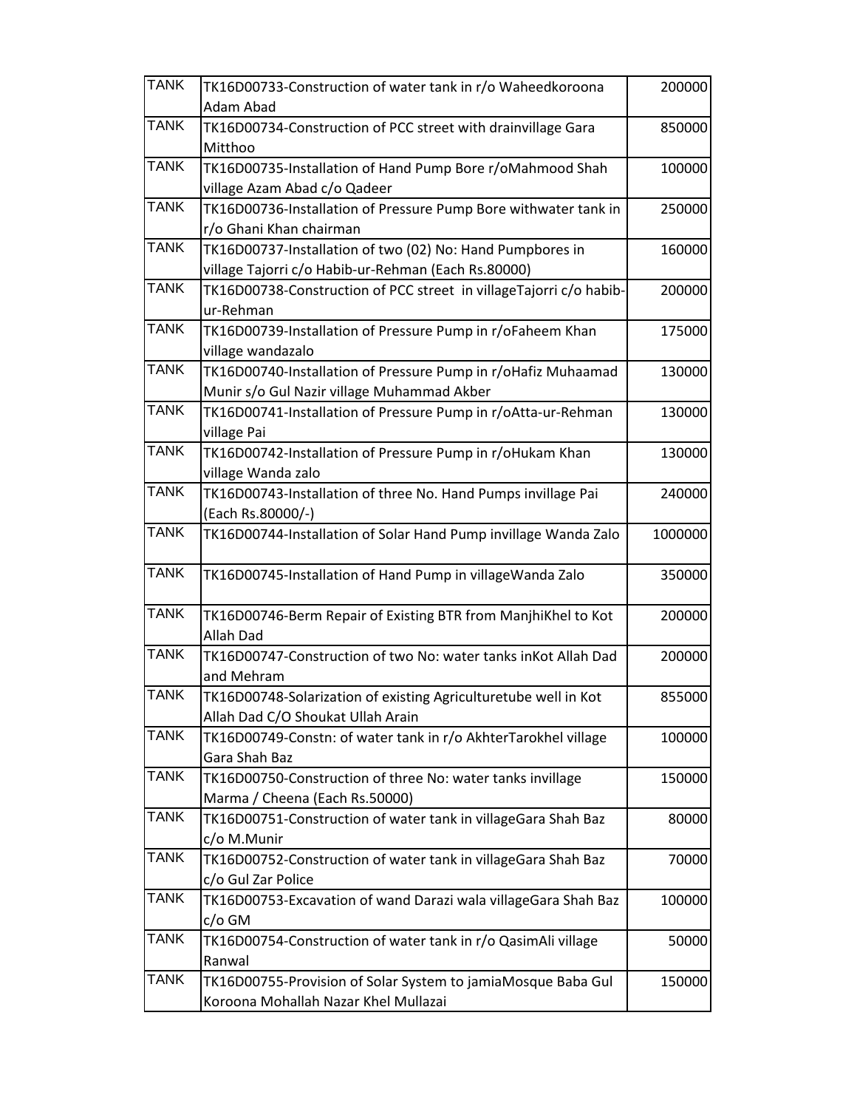| <b>TANK</b> | TK16D00733-Construction of water tank in r/o Waheedkoroona         | 200000  |
|-------------|--------------------------------------------------------------------|---------|
|             | Adam Abad                                                          |         |
| <b>TANK</b> | TK16D00734-Construction of PCC street with drainvillage Gara       | 850000  |
|             | Mitthoo                                                            |         |
| <b>TANK</b> | TK16D00735-Installation of Hand Pump Bore r/oMahmood Shah          | 100000  |
|             | village Azam Abad c/o Qadeer                                       |         |
| <b>TANK</b> | TK16D00736-Installation of Pressure Pump Bore withwater tank in    | 250000  |
|             | r/o Ghani Khan chairman                                            |         |
| <b>TANK</b> | TK16D00737-Installation of two (02) No: Hand Pumpbores in          | 160000  |
|             | village Tajorri c/o Habib-ur-Rehman (Each Rs.80000)                |         |
| <b>TANK</b> | TK16D00738-Construction of PCC street in villageTajorri c/o habib- | 200000  |
|             | ur-Rehman                                                          |         |
| <b>TANK</b> | TK16D00739-Installation of Pressure Pump in r/oFaheem Khan         | 175000  |
|             | village wandazalo                                                  |         |
| <b>TANK</b> | TK16D00740-Installation of Pressure Pump in r/oHafiz Muhaamad      | 130000  |
|             | Munir s/o Gul Nazir village Muhammad Akber                         |         |
| <b>TANK</b> | TK16D00741-Installation of Pressure Pump in r/oAtta-ur-Rehman      | 130000  |
|             | village Pai                                                        |         |
| <b>TANK</b> | TK16D00742-Installation of Pressure Pump in r/oHukam Khan          | 130000  |
|             | village Wanda zalo                                                 |         |
| <b>TANK</b> | TK16D00743-Installation of three No. Hand Pumps invillage Pai      | 240000  |
|             | (Each Rs.80000/-)                                                  |         |
| <b>TANK</b> | TK16D00744-Installation of Solar Hand Pump invillage Wanda Zalo    | 1000000 |
| <b>TANK</b> | TK16D00745-Installation of Hand Pump in villageWanda Zalo          | 350000  |
| <b>TANK</b> | TK16D00746-Berm Repair of Existing BTR from ManjhiKhel to Kot      | 200000  |
|             | <b>Allah Dad</b>                                                   |         |
| <b>TANK</b> | TK16D00747-Construction of two No: water tanks inKot Allah Dad     | 200000  |
|             | and Mehram                                                         |         |
| <b>TANK</b> | TK16D00748-Solarization of existing Agriculturetube well in Kot    | 855000  |
|             | Allah Dad C/O Shoukat Ullah Arain                                  |         |
| <b>TANK</b> | TK16D00749-Constn: of water tank in r/o AkhterTarokhel village     | 100000  |
|             | Gara Shah Baz                                                      |         |
| <b>TANK</b> | TK16D00750-Construction of three No: water tanks invillage         | 150000  |
|             | Marma / Cheena (Each Rs.50000)                                     |         |
| <b>TANK</b> | TK16D00751-Construction of water tank in villageGara Shah Baz      | 80000   |
|             | c/o M.Munir                                                        |         |
| <b>TANK</b> | TK16D00752-Construction of water tank in villageGara Shah Baz      | 70000   |
|             | c/o Gul Zar Police                                                 |         |
| <b>TANK</b> | TK16D00753-Excavation of wand Darazi wala villageGara Shah Baz     | 100000  |
|             | c/o GM                                                             |         |
| <b>TANK</b> | TK16D00754-Construction of water tank in r/o QasimAli village      | 50000   |
|             | Ranwal                                                             |         |
| <b>TANK</b> | TK16D00755-Provision of Solar System to jamiaMosque Baba Gul       | 150000  |
|             | Koroona Mohallah Nazar Khel Mullazai                               |         |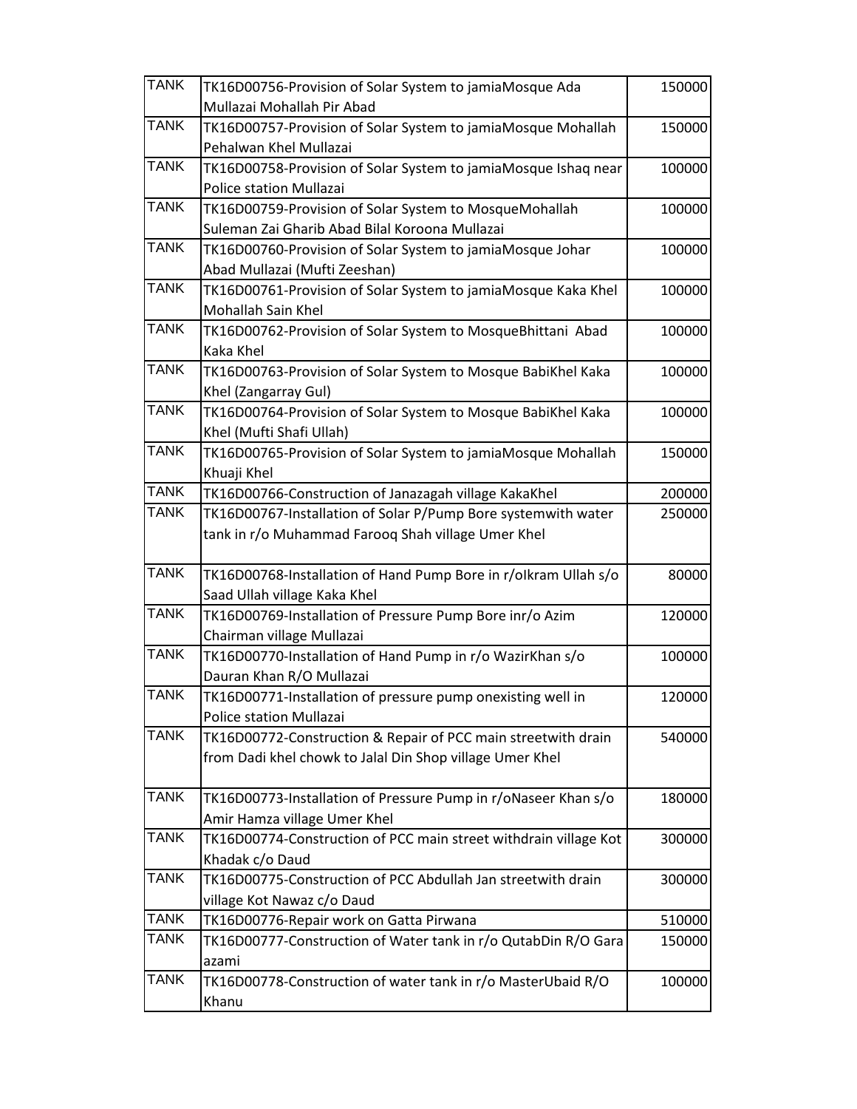| <b>TANK</b> | TK16D00756-Provision of Solar System to jamiaMosque Ada<br>Mullazai Mohallah Pir Abad | 150000 |
|-------------|---------------------------------------------------------------------------------------|--------|
| <b>TANK</b> | TK16D00757-Provision of Solar System to jamiaMosque Mohallah                          | 150000 |
|             | Pehalwan Khel Mullazai                                                                |        |
| <b>TANK</b> | TK16D00758-Provision of Solar System to jamiaMosque Ishaq near                        | 100000 |
|             | Police station Mullazai                                                               |        |
| <b>TANK</b> | TK16D00759-Provision of Solar System to MosqueMohallah                                | 100000 |
|             | Suleman Zai Gharib Abad Bilal Koroona Mullazai                                        |        |
| <b>TANK</b> | TK16D00760-Provision of Solar System to jamiaMosque Johar                             | 100000 |
|             | Abad Mullazai (Mufti Zeeshan)                                                         |        |
| <b>TANK</b> | TK16D00761-Provision of Solar System to jamiaMosque Kaka Khel                         | 100000 |
|             | Mohallah Sain Khel                                                                    |        |
| <b>TANK</b> | TK16D00762-Provision of Solar System to MosqueBhittani Abad                           | 100000 |
|             | Kaka Khel                                                                             |        |
| <b>TANK</b> | TK16D00763-Provision of Solar System to Mosque BabiKhel Kaka                          | 100000 |
|             | Khel (Zangarray Gul)                                                                  |        |
| <b>TANK</b> | TK16D00764-Provision of Solar System to Mosque BabiKhel Kaka                          | 100000 |
|             | Khel (Mufti Shafi Ullah)                                                              |        |
| <b>TANK</b> | TK16D00765-Provision of Solar System to jamiaMosque Mohallah                          | 150000 |
|             | Khuaji Khel                                                                           |        |
| <b>TANK</b> | TK16D00766-Construction of Janazagah village KakaKhel                                 | 200000 |
| <b>TANK</b> | TK16D00767-Installation of Solar P/Pump Bore systemwith water                         | 250000 |
|             | tank in r/o Muhammad Farooq Shah village Umer Khel                                    |        |
| <b>TANK</b> | TK16D00768-Installation of Hand Pump Bore in r/olkram Ullah s/o                       | 80000  |
|             | Saad Ullah village Kaka Khel                                                          |        |
| <b>TANK</b> | TK16D00769-Installation of Pressure Pump Bore inr/o Azim                              | 120000 |
|             | Chairman village Mullazai                                                             |        |
| <b>TANK</b> | TK16D00770-Installation of Hand Pump in r/o WazirKhan s/o                             | 100000 |
|             | Dauran Khan R/O Mullazai                                                              |        |
| <b>TANK</b> | TK16D00771-Installation of pressure pump onexisting well in                           | 120000 |
|             | Police station Mullazai                                                               |        |
| <b>TANK</b> | TK16D00772-Construction & Repair of PCC main streetwith drain                         | 540000 |
|             | from Dadi khel chowk to Jalal Din Shop village Umer Khel                              |        |
| <b>TANK</b> | TK16D00773-Installation of Pressure Pump in r/oNaseer Khan s/o                        | 180000 |
|             | Amir Hamza village Umer Khel                                                          |        |
| <b>TANK</b> | TK16D00774-Construction of PCC main street withdrain village Kot                      | 300000 |
|             | Khadak c/o Daud                                                                       |        |
| <b>TANK</b> | TK16D00775-Construction of PCC Abdullah Jan streetwith drain                          | 300000 |
|             | village Kot Nawaz c/o Daud                                                            |        |
| <b>TANK</b> | TK16D00776-Repair work on Gatta Pirwana                                               | 510000 |
| <b>TANK</b> | TK16D00777-Construction of Water tank in r/o QutabDin R/O Gara                        | 150000 |
|             | azami                                                                                 |        |
| <b>TANK</b> | TK16D00778-Construction of water tank in r/o MasterUbaid R/O                          | 100000 |
|             | Khanu                                                                                 |        |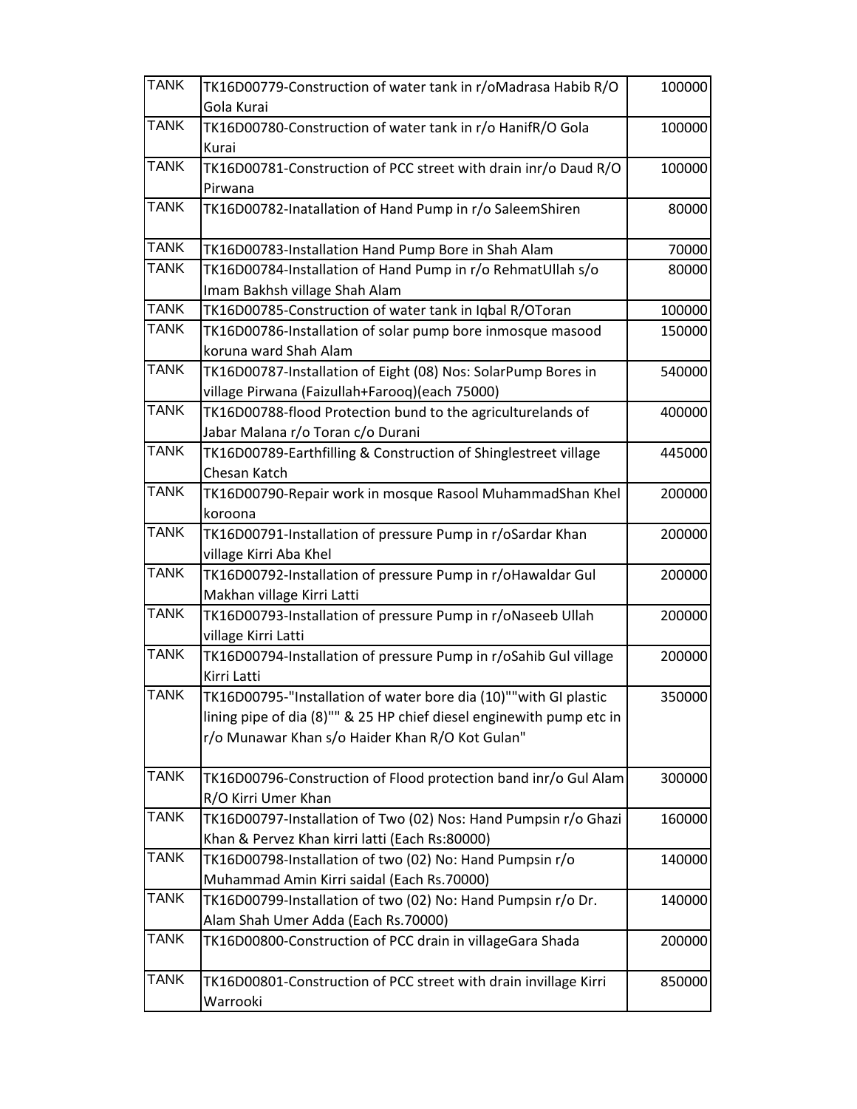| <b>TANK</b> | TK16D00779-Construction of water tank in r/oMadrasa Habib R/O        | 100000 |
|-------------|----------------------------------------------------------------------|--------|
|             | Gola Kurai                                                           |        |
| <b>TANK</b> | TK16D00780-Construction of water tank in r/o HanifR/O Gola           | 100000 |
|             | Kurai                                                                |        |
| <b>TANK</b> | TK16D00781-Construction of PCC street with drain inr/o Daud R/O      | 100000 |
|             | Pirwana                                                              |        |
| <b>TANK</b> | TK16D00782-Inatallation of Hand Pump in r/o SaleemShiren             | 80000  |
| <b>TANK</b> | TK16D00783-Installation Hand Pump Bore in Shah Alam                  | 70000  |
| <b>TANK</b> | TK16D00784-Installation of Hand Pump in r/o RehmatUllah s/o          | 80000  |
|             | Imam Bakhsh village Shah Alam                                        |        |
| <b>TANK</b> | TK16D00785-Construction of water tank in Iqbal R/OToran              | 100000 |
| <b>TANK</b> | TK16D00786-Installation of solar pump bore inmosque masood           | 150000 |
|             | koruna ward Shah Alam                                                |        |
| <b>TANK</b> | TK16D00787-Installation of Eight (08) Nos: SolarPump Bores in        | 540000 |
|             | village Pirwana (Faizullah+Farooq)(each 75000)                       |        |
| <b>TANK</b> | TK16D00788-flood Protection bund to the agriculturelands of          | 400000 |
|             | Jabar Malana r/o Toran c/o Durani                                    |        |
| <b>TANK</b> | TK16D00789-Earthfilling & Construction of Shinglestreet village      | 445000 |
|             | Chesan Katch                                                         |        |
| <b>TANK</b> | TK16D00790-Repair work in mosque Rasool MuhammadShan Khel            | 200000 |
|             | koroona                                                              |        |
| <b>TANK</b> | TK16D00791-Installation of pressure Pump in r/oSardar Khan           | 200000 |
|             | village Kirri Aba Khel                                               |        |
| <b>TANK</b> | TK16D00792-Installation of pressure Pump in r/oHawaldar Gul          | 200000 |
|             | Makhan village Kirri Latti                                           |        |
| <b>TANK</b> | TK16D00793-Installation of pressure Pump in r/oNaseeb Ullah          | 200000 |
|             | village Kirri Latti                                                  |        |
| <b>TANK</b> | TK16D00794-Installation of pressure Pump in r/oSahib Gul village     | 200000 |
|             | Kirri Latti                                                          |        |
| <b>TANK</b> | TK16D00795-"Installation of water bore dia (10)""with GI plastic     | 350000 |
|             | lining pipe of dia (8)"" & 25 HP chief diesel enginewith pump etc in |        |
|             | r/o Munawar Khan s/o Haider Khan R/O Kot Gulan"                      |        |
|             |                                                                      |        |
| <b>TANK</b> | TK16D00796-Construction of Flood protection band inr/o Gul Alam      | 300000 |
| <b>TANK</b> | R/O Kirri Umer Khan                                                  |        |
|             | TK16D00797-Installation of Two (02) Nos: Hand Pumpsin r/o Ghazi      | 160000 |
|             | Khan & Pervez Khan kirri latti (Each Rs:80000)                       |        |
| <b>TANK</b> | TK16D00798-Installation of two (02) No: Hand Pumpsin r/o             | 140000 |
|             | Muhammad Amin Kirri saidal (Each Rs.70000)                           |        |
| <b>TANK</b> | TK16D00799-Installation of two (02) No: Hand Pumpsin r/o Dr.         | 140000 |
|             | Alam Shah Umer Adda (Each Rs.70000)                                  |        |
| <b>TANK</b> | TK16D00800-Construction of PCC drain in villageGara Shada            | 200000 |
| <b>TANK</b> | TK16D00801-Construction of PCC street with drain invillage Kirri     | 850000 |
|             | Warrooki                                                             |        |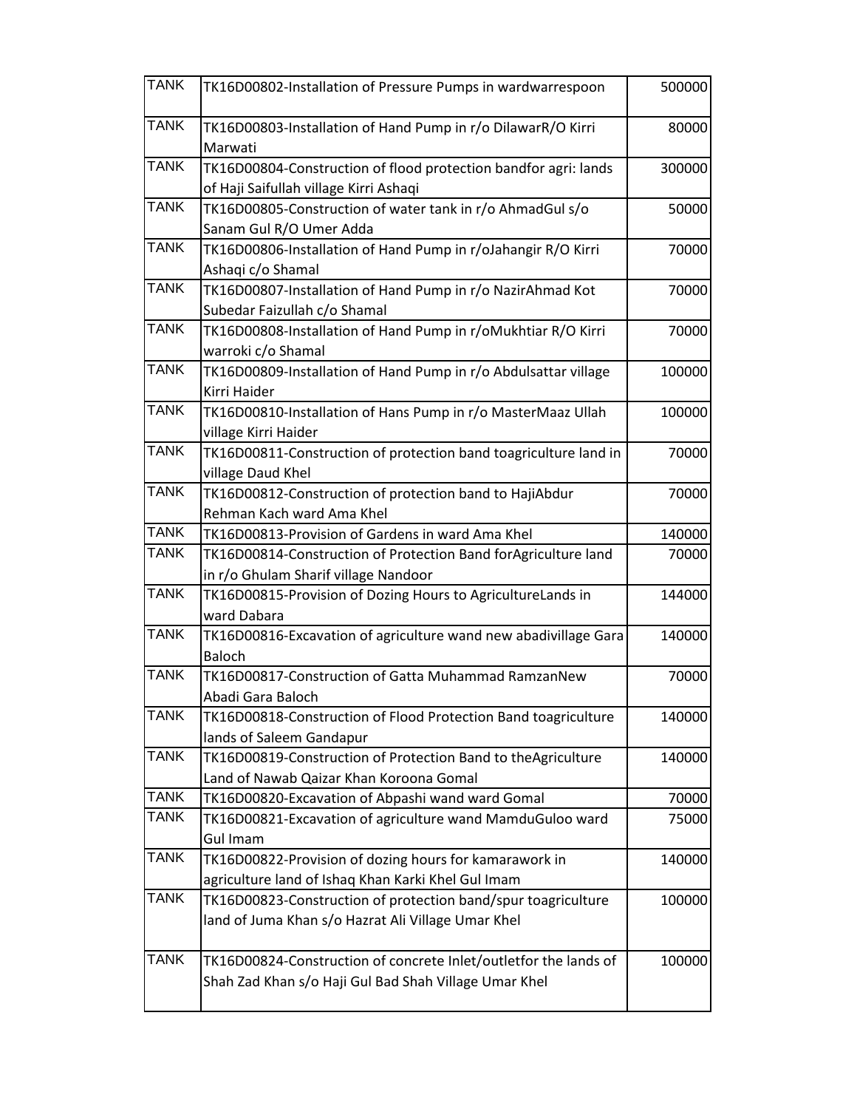| <b>TANK</b> | TK16D00802-Installation of Pressure Pumps in wardwarrespoon                                                               | 500000 |
|-------------|---------------------------------------------------------------------------------------------------------------------------|--------|
| <b>TANK</b> | TK16D00803-Installation of Hand Pump in r/o DilawarR/O Kirri<br>Marwati                                                   | 80000  |
| <b>TANK</b> | TK16D00804-Construction of flood protection bandfor agri: lands<br>of Haji Saifullah village Kirri Ashaqi                 | 300000 |
| <b>TANK</b> | TK16D00805-Construction of water tank in r/o AhmadGul s/o<br>Sanam Gul R/O Umer Adda                                      | 50000  |
| <b>TANK</b> | TK16D00806-Installation of Hand Pump in r/oJahangir R/O Kirri<br>Ashaqi c/o Shamal                                        | 70000  |
| <b>TANK</b> | TK16D00807-Installation of Hand Pump in r/o NazirAhmad Kot<br>Subedar Faizullah c/o Shamal                                | 70000  |
| <b>TANK</b> | TK16D00808-Installation of Hand Pump in r/oMukhtiar R/O Kirri<br>warroki c/o Shamal                                       | 70000  |
| <b>TANK</b> | TK16D00809-Installation of Hand Pump in r/o Abdulsattar village<br>Kirri Haider                                           | 100000 |
| <b>TANK</b> | TK16D00810-Installation of Hans Pump in r/o MasterMaaz Ullah<br>village Kirri Haider                                      | 100000 |
| <b>TANK</b> | TK16D00811-Construction of protection band toagriculture land in<br>village Daud Khel                                     | 70000  |
| <b>TANK</b> | TK16D00812-Construction of protection band to HajiAbdur<br>Rehman Kach ward Ama Khel                                      | 70000  |
| <b>TANK</b> | TK16D00813-Provision of Gardens in ward Ama Khel                                                                          | 140000 |
| <b>TANK</b> | TK16D00814-Construction of Protection Band forAgriculture land<br>in r/o Ghulam Sharif village Nandoor                    | 70000  |
| <b>TANK</b> | TK16D00815-Provision of Dozing Hours to AgricultureLands in<br>ward Dabara                                                | 144000 |
| <b>TANK</b> | TK16D00816-Excavation of agriculture wand new abadivillage Gara<br><b>Baloch</b>                                          | 140000 |
| <b>TANK</b> | TK16D00817-Construction of Gatta Muhammad RamzanNew<br>Abadi Gara Baloch                                                  | 70000  |
| <b>TANK</b> | TK16D00818-Construction of Flood Protection Band toagriculture<br>lands of Saleem Gandapur                                | 140000 |
| <b>TANK</b> | TK16D00819-Construction of Protection Band to theAgriculture<br>Land of Nawab Qaizar Khan Koroona Gomal                   | 140000 |
| <b>TANK</b> | TK16D00820-Excavation of Abpashi wand ward Gomal                                                                          | 70000  |
| <b>TANK</b> | TK16D00821-Excavation of agriculture wand MamduGuloo ward<br><b>Gul Imam</b>                                              | 75000  |
| <b>TANK</b> | TK16D00822-Provision of dozing hours for kamarawork in<br>agriculture land of Ishaq Khan Karki Khel Gul Imam              | 140000 |
| <b>TANK</b> | TK16D00823-Construction of protection band/spur toagriculture<br>land of Juma Khan s/o Hazrat Ali Village Umar Khel       | 100000 |
| <b>TANK</b> | TK16D00824-Construction of concrete Inlet/outletfor the lands of<br>Shah Zad Khan s/o Haji Gul Bad Shah Village Umar Khel | 100000 |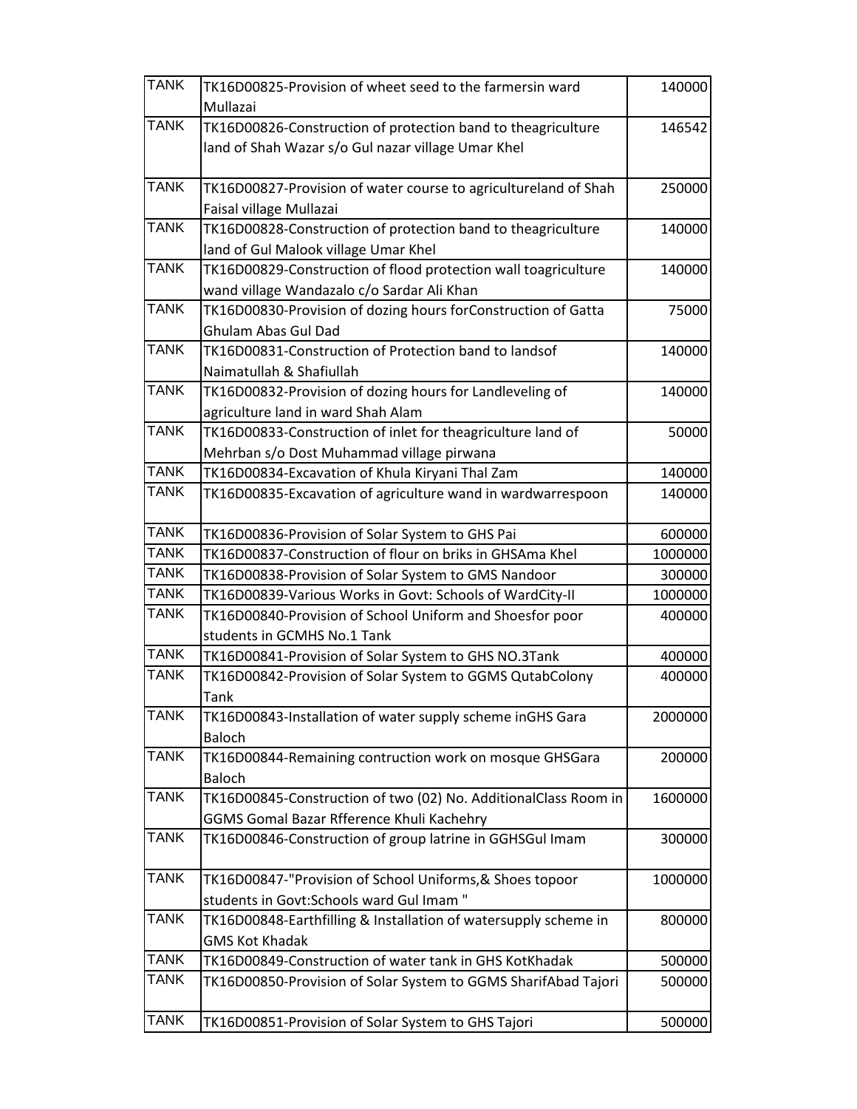| <b>TANK</b> | TK16D00825-Provision of wheet seed to the farmersin ward        | 140000  |
|-------------|-----------------------------------------------------------------|---------|
|             | Mullazai                                                        |         |
| <b>TANK</b> | TK16D00826-Construction of protection band to theagriculture    | 146542  |
|             | land of Shah Wazar s/o Gul nazar village Umar Khel              |         |
| <b>TANK</b> | TK16D00827-Provision of water course to agricultureland of Shah | 250000  |
|             | Faisal village Mullazai                                         |         |
| <b>TANK</b> | TK16D00828-Construction of protection band to theagriculture    | 140000  |
|             | land of Gul Malook village Umar Khel                            |         |
| <b>TANK</b> | TK16D00829-Construction of flood protection wall toagriculture  | 140000  |
| <b>TANK</b> | wand village Wandazalo c/o Sardar Ali Khan                      |         |
|             | TK16D00830-Provision of dozing hours forConstruction of Gatta   | 75000   |
|             | Ghulam Abas Gul Dad                                             |         |
| <b>TANK</b> | TK16D00831-Construction of Protection band to landsof           | 140000  |
| <b>TANK</b> | Naimatullah & Shafiullah                                        |         |
|             | TK16D00832-Provision of dozing hours for Landleveling of        | 140000  |
| <b>TANK</b> | agriculture land in ward Shah Alam                              |         |
|             | TK16D00833-Construction of inlet for theagriculture land of     | 50000   |
| <b>TANK</b> | Mehrban s/o Dost Muhammad village pirwana                       |         |
| <b>TANK</b> | TK16D00834-Excavation of Khula Kiryani Thal Zam                 | 140000  |
|             | TK16D00835-Excavation of agriculture wand in wardwarrespoon     | 140000  |
| <b>TANK</b> | TK16D00836-Provision of Solar System to GHS Pai                 | 600000  |
| <b>TANK</b> | TK16D00837-Construction of flour on briks in GHSAma Khel        | 1000000 |
| <b>TANK</b> | TK16D00838-Provision of Solar System to GMS Nandoor             | 300000  |
| <b>TANK</b> | TK16D00839-Various Works in Govt: Schools of WardCity-II        | 1000000 |
| <b>TANK</b> | TK16D00840-Provision of School Uniform and Shoesfor poor        | 400000  |
|             | students in GCMHS No.1 Tank                                     |         |
| <b>TANK</b> | TK16D00841-Provision of Solar System to GHS NO.3Tank            | 400000  |
| <b>TANK</b> | TK16D00842-Provision of Solar System to GGMS QutabColony        | 400000  |
|             | Tank                                                            |         |
| <b>TANK</b> | TK16D00843-Installation of water supply scheme inGHS Gara       | 2000000 |
|             | <b>Baloch</b>                                                   |         |
| <b>TANK</b> | TK16D00844-Remaining contruction work on mosque GHSGara         | 200000  |
|             | <b>Baloch</b>                                                   |         |
| <b>TANK</b> | TK16D00845-Construction of two (02) No. AdditionalClass Room in | 1600000 |
|             | GGMS Gomal Bazar Rfference Khuli Kachehry                       |         |
| <b>TANK</b> | TK16D00846-Construction of group latrine in GGHSGul Imam        | 300000  |
| <b>TANK</b> | TK16D00847-"Provision of School Uniforms, & Shoes topoor        | 1000000 |
|             | students in Govt:Schools ward Gul Imam "                        |         |
| <b>TANK</b> | TK16D00848-Earthfilling & Installation of watersupply scheme in | 800000  |
|             | <b>GMS Kot Khadak</b>                                           |         |
| <b>TANK</b> | TK16D00849-Construction of water tank in GHS KotKhadak          | 500000  |
| <b>TANK</b> | TK16D00850-Provision of Solar System to GGMS SharifAbad Tajori  | 500000  |
| <b>TANK</b> | TK16D00851-Provision of Solar System to GHS Tajori              | 500000  |
|             |                                                                 |         |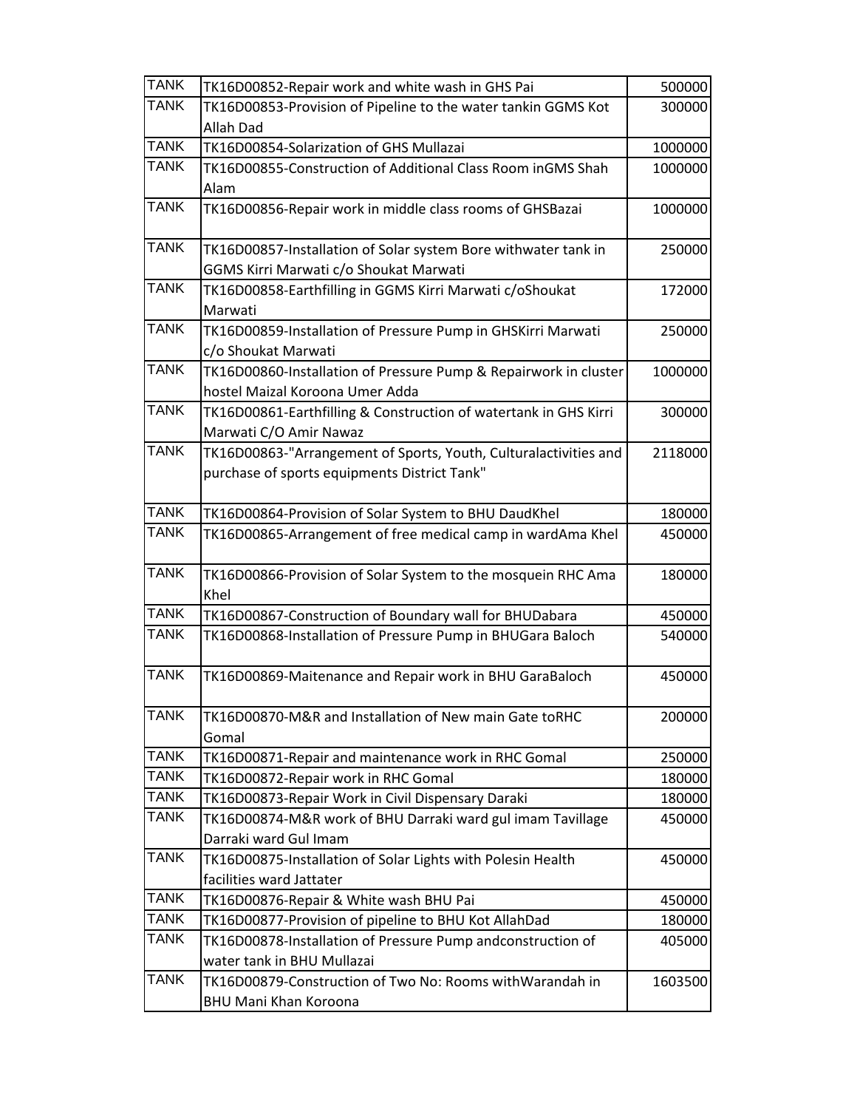| <b>TANK</b> | TK16D00852-Repair work and white wash in GHS Pai                 | 500000  |
|-------------|------------------------------------------------------------------|---------|
| <b>TANK</b> | TK16D00853-Provision of Pipeline to the water tankin GGMS Kot    | 300000  |
|             | Allah Dad                                                        |         |
| <b>TANK</b> | TK16D00854-Solarization of GHS Mullazai                          | 1000000 |
| <b>TANK</b> | TK16D00855-Construction of Additional Class Room inGMS Shah      | 1000000 |
|             | Alam                                                             |         |
| <b>TANK</b> | TK16D00856-Repair work in middle class rooms of GHSBazai         | 1000000 |
| <b>TANK</b> | TK16D00857-Installation of Solar system Bore withwater tank in   | 250000  |
|             | GGMS Kirri Marwati c/o Shoukat Marwati                           |         |
| <b>TANK</b> | TK16D00858-Earthfilling in GGMS Kirri Marwati c/oShoukat         | 172000  |
|             | Marwati                                                          |         |
| <b>TANK</b> | TK16D00859-Installation of Pressure Pump in GHSKirri Marwati     | 250000  |
|             | c/o Shoukat Marwati                                              |         |
| <b>TANK</b> | TK16D00860-Installation of Pressure Pump & Repairwork in cluster | 1000000 |
|             | hostel Maizal Koroona Umer Adda                                  |         |
| <b>TANK</b> | TK16D00861-Earthfilling & Construction of watertank in GHS Kirri | 300000  |
|             | Marwati C/O Amir Nawaz                                           |         |
| <b>TANK</b> | TK16D00863-"Arrangement of Sports, Youth, Culturalactivities and | 2118000 |
|             | purchase of sports equipments District Tank"                     |         |
|             |                                                                  |         |
| <b>TANK</b> | TK16D00864-Provision of Solar System to BHU DaudKhel             | 180000  |
| <b>TANK</b> | TK16D00865-Arrangement of free medical camp in wardAma Khel      | 450000  |
|             |                                                                  |         |
| <b>TANK</b> | TK16D00866-Provision of Solar System to the mosquein RHC Ama     | 180000  |
|             | Khel                                                             |         |
| <b>TANK</b> | TK16D00867-Construction of Boundary wall for BHUDabara           | 450000  |
| <b>TANK</b> | TK16D00868-Installation of Pressure Pump in BHUGara Baloch       | 540000  |
| <b>TANK</b> | TK16D00869-Maitenance and Repair work in BHU GaraBaloch          | 450000  |
| <b>TANK</b> | TK16D00870-M&R and Installation of New main Gate toRHC           | 200000  |
|             | Gomal                                                            |         |
| <b>TANK</b> | TK16D00871-Repair and maintenance work in RHC Gomal              | 250000  |
| <b>TANK</b> | TK16D00872-Repair work in RHC Gomal                              | 180000  |
| <b>TANK</b> | TK16D00873-Repair Work in Civil Dispensary Daraki                | 180000  |
| <b>TANK</b> | TK16D00874-M&R work of BHU Darraki ward gul imam Tavillage       | 450000  |
|             | Darraki ward Gul Imam                                            |         |
| <b>TANK</b> | TK16D00875-Installation of Solar Lights with Polesin Health      | 450000  |
|             | facilities ward Jattater                                         |         |
| <b>TANK</b> | TK16D00876-Repair & White wash BHU Pai                           | 450000  |
| <b>TANK</b> | TK16D00877-Provision of pipeline to BHU Kot AllahDad             | 180000  |
| <b>TANK</b> | TK16D00878-Installation of Pressure Pump andconstruction of      | 405000  |
|             | water tank in BHU Mullazai                                       |         |
| <b>TANK</b> | TK16D00879-Construction of Two No: Rooms withWarandah in         | 1603500 |
|             | <b>BHU Mani Khan Koroona</b>                                     |         |